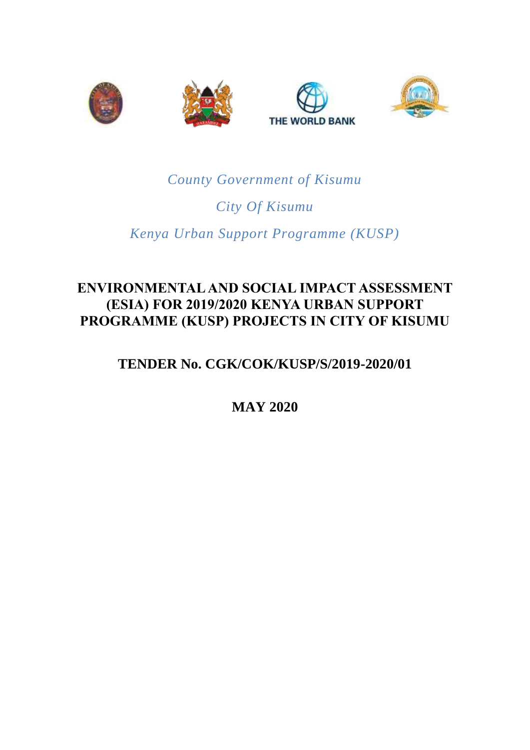

# *County Government of Kisumu*

# *City Of Kisumu*

# *Kenya Urban Support Programme (KUSP)*

# **ENVIRONMENTAL AND SOCIAL IMPACT ASSESSMENT (ESIA) FOR 2019/2020 KENYA URBAN SUPPORT PROGRAMME (KUSP) PROJECTS IN CITY OF KISUMU**

# **TENDER No. CGK/COK/KUSP/S/2019-2020/01**

**MAY 2020**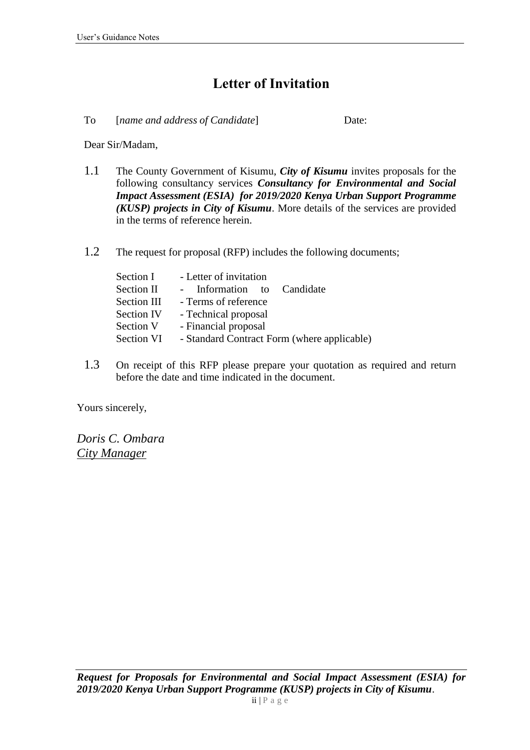# **Letter of Invitation**

<span id="page-1-0"></span>To [*name and address of Candidate*] Date:

Dear Sir/Madam,

- 1.1 The County Government of Kisumu, *City of Kisumu* invites proposals for the following consultancy services *Consultancy for Environmental and Social Impact Assessment (ESIA) for 2019/2020 Kenya Urban Support Programme (KUSP) projects in City of Kisumu*. More details of the services are provided in the terms of reference herein.
- 1.2 The request for proposal (RFP) includes the following documents;

| Section I   | - Letter of invitation                      |
|-------------|---------------------------------------------|
| Section II  | Information to Candidate                    |
| Section III | - Terms of reference                        |
| Section IV  | - Technical proposal                        |
| Section V   | - Financial proposal                        |
| Section VI  | - Standard Contract Form (where applicable) |

1.3 On receipt of this RFP please prepare your quotation as required and return before the date and time indicated in the document.

Yours sincerely,

*Doris C. Ombara City Manager*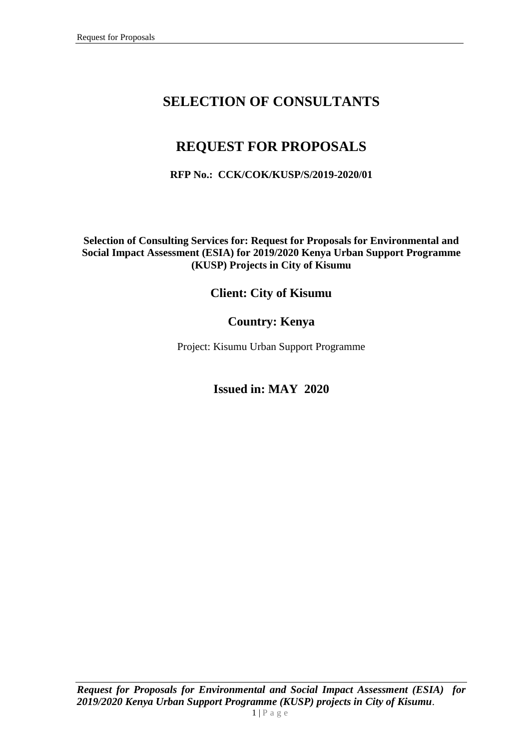# **SELECTION OF CONSULTANTS**

# **REQUEST FOR PROPOSALS**

### **RFP No.: CCK/COK/KUSP/S/2019-2020/01**

**Selection of Consulting Services for: Request for Proposals for Environmental and Social Impact Assessment (ESIA) for 2019/2020 Kenya Urban Support Programme (KUSP) Projects in City of Kisumu**

## **Client: City of Kisumu**

## **Country: Kenya**

Project: Kisumu Urban Support Programme

## **Issued in: MAY 2020**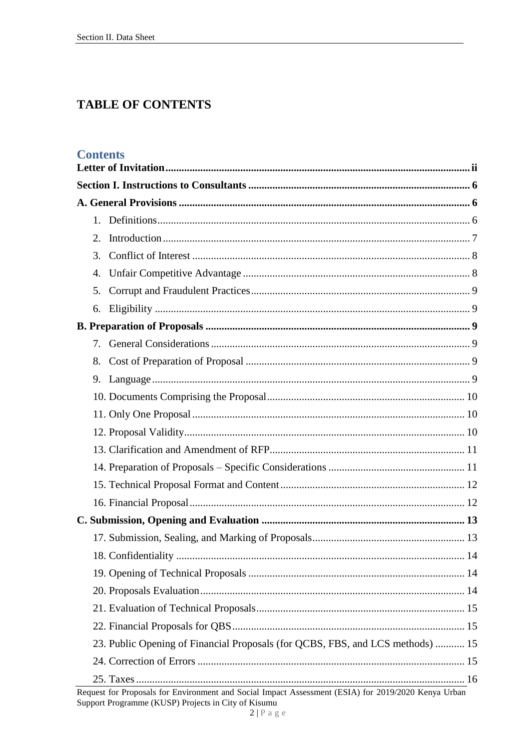# **TABLE OF CONTENTS**

### **Contents**

|  | 2. |                                                                                                     |  |
|--|----|-----------------------------------------------------------------------------------------------------|--|
|  | 3. |                                                                                                     |  |
|  | 4. |                                                                                                     |  |
|  | 5. |                                                                                                     |  |
|  | 6. |                                                                                                     |  |
|  |    |                                                                                                     |  |
|  | 7. |                                                                                                     |  |
|  | 8. |                                                                                                     |  |
|  |    |                                                                                                     |  |
|  |    |                                                                                                     |  |
|  |    |                                                                                                     |  |
|  |    |                                                                                                     |  |
|  |    |                                                                                                     |  |
|  |    |                                                                                                     |  |
|  |    |                                                                                                     |  |
|  |    |                                                                                                     |  |
|  |    |                                                                                                     |  |
|  |    |                                                                                                     |  |
|  |    | 14                                                                                                  |  |
|  |    |                                                                                                     |  |
|  |    |                                                                                                     |  |
|  |    |                                                                                                     |  |
|  |    |                                                                                                     |  |
|  |    | 23. Public Opening of Financial Proposals (for QCBS, FBS, and LCS methods)  15                      |  |
|  |    |                                                                                                     |  |
|  |    |                                                                                                     |  |
|  |    | Request for Proposals for Environment and Social Impact Assessment (ESIA) for 2019/2020 Kenya Urban |  |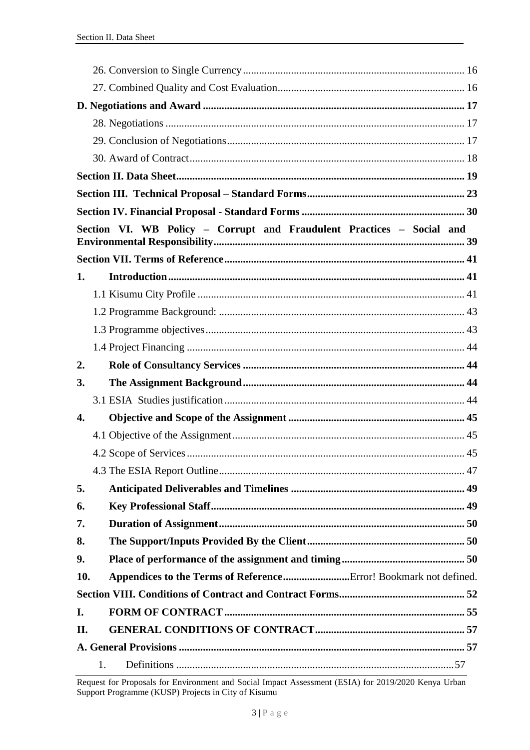|     | Section VI. WB Policy - Corrupt and Fraudulent Practices - Social and |  |
|-----|-----------------------------------------------------------------------|--|
|     |                                                                       |  |
|     |                                                                       |  |
| 1.  |                                                                       |  |
|     |                                                                       |  |
|     |                                                                       |  |
|     |                                                                       |  |
|     |                                                                       |  |
| 2.  |                                                                       |  |
| 3.  |                                                                       |  |
|     |                                                                       |  |
| 4.  |                                                                       |  |
|     |                                                                       |  |
|     |                                                                       |  |
|     |                                                                       |  |
| 5.  |                                                                       |  |
| 6.  |                                                                       |  |
| 7.  |                                                                       |  |
| 8.  |                                                                       |  |
| 9.  |                                                                       |  |
| 10. |                                                                       |  |
|     |                                                                       |  |
| I.  |                                                                       |  |
| II. |                                                                       |  |
|     |                                                                       |  |
|     | 1.                                                                    |  |

Request for Proposals for Environment and Social Impact Assessment (ESIA) for 2019/2020 Kenya Urban<br>Support Programme (KUSP) Projects in City of Kisumu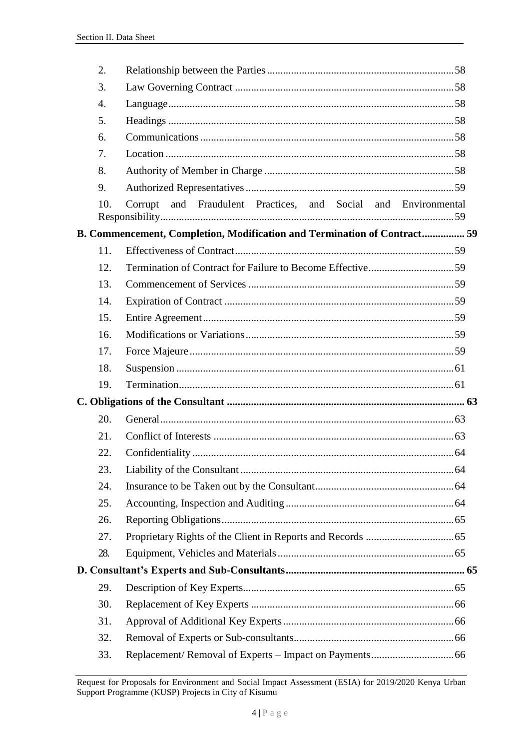| 2.  |                                                                          |
|-----|--------------------------------------------------------------------------|
| 3.  |                                                                          |
| 4.  |                                                                          |
| 5.  |                                                                          |
| 6.  |                                                                          |
| 7.  |                                                                          |
| 8.  |                                                                          |
| 9.  |                                                                          |
| 10. | and Fraudulent Practices, and Social and Environmental<br>Corrupt        |
|     | B. Commencement, Completion, Modification and Termination of Contract 59 |
| 11. |                                                                          |
| 12. |                                                                          |
| 13. |                                                                          |
| 14. |                                                                          |
| 15. |                                                                          |
| 16. |                                                                          |
| 17. |                                                                          |
| 18. |                                                                          |
| 19. |                                                                          |
|     |                                                                          |
| 20. |                                                                          |
| 21. |                                                                          |
| 22. |                                                                          |
| 23. |                                                                          |
| 24. |                                                                          |
| 25. |                                                                          |
| 26. |                                                                          |
| 27. |                                                                          |
| 28. |                                                                          |
|     |                                                                          |
| 29. |                                                                          |
| 30. |                                                                          |
| 31. |                                                                          |
| 32. |                                                                          |
| 33. |                                                                          |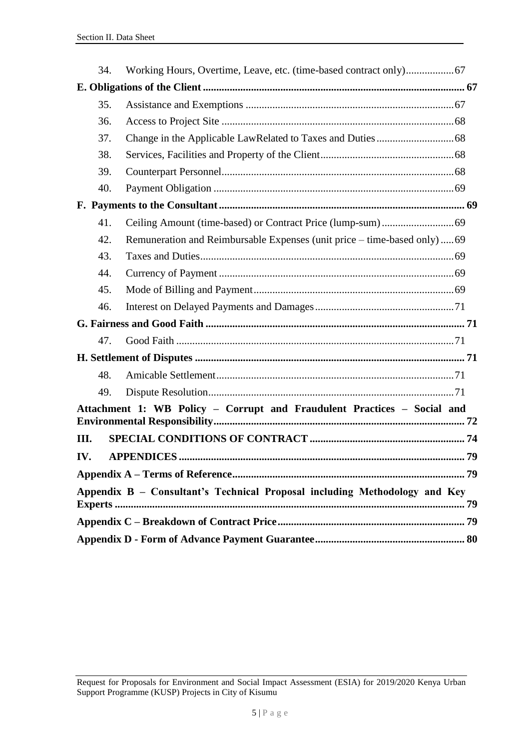|      | 34. |                                                                            |  |
|------|-----|----------------------------------------------------------------------------|--|
|      |     |                                                                            |  |
|      | 35. |                                                                            |  |
|      | 36. |                                                                            |  |
|      | 37. |                                                                            |  |
|      | 38. |                                                                            |  |
|      | 39. |                                                                            |  |
|      | 40. |                                                                            |  |
|      |     |                                                                            |  |
|      | 41. |                                                                            |  |
|      | 42. | Remuneration and Reimbursable Expenses (unit price – time-based only) 69   |  |
|      | 43. |                                                                            |  |
|      | 44. |                                                                            |  |
|      | 45. |                                                                            |  |
|      | 46. |                                                                            |  |
|      |     |                                                                            |  |
|      | 47. |                                                                            |  |
|      |     |                                                                            |  |
|      | 48. |                                                                            |  |
|      | 49. |                                                                            |  |
|      |     | Attachment 1: WB Policy - Corrupt and Fraudulent Practices - Social and    |  |
| III. |     |                                                                            |  |
| IV.  |     | 79                                                                         |  |
|      |     |                                                                            |  |
|      |     | Appendix B - Consultant's Technical Proposal including Methodology and Key |  |
|      |     |                                                                            |  |
|      |     |                                                                            |  |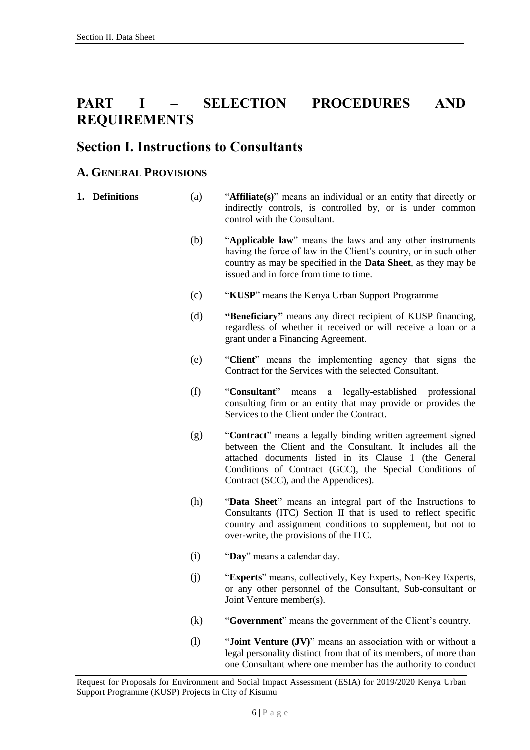# **PART I – SELECTION PROCEDURES AND REQUIREMENTS**

## <span id="page-7-0"></span>**Section I. Instructions to Consultants**

### <span id="page-7-1"></span>**A. GENERAL PROVISIONS**

- <span id="page-7-2"></span>**1. Definitions** (a) "**Affiliate(s)**" means an individual or an entity that directly or indirectly controls, is controlled by, or is under common control with the Consultant.
	- (b) "**Applicable law**" means the laws and any other instruments having the force of law in the Client's country, or in such other country as may be specified in the **Data Sheet**, as they may be issued and in force from time to time.
	- (c) "**KUSP**" means the Kenya Urban Support Programme
	- (d) **"Beneficiary"** means any direct recipient of KUSP financing, regardless of whether it received or will receive a loan or a grant under a Financing Agreement.
	- (e) "**Client**" means the implementing agency that signs the Contract for the Services with the selected Consultant.
	- (f) "**Consultant**" means a legally-established professional consulting firm or an entity that may provide or provides the Services to the Client under the Contract.
	- (g) "**Contract**" means a legally binding written agreement signed between the Client and the Consultant. It includes all the attached documents listed in its Clause 1 (the General Conditions of Contract (GCC), the Special Conditions of Contract (SCC), and the Appendices).
	- (h) "**Data Sheet**" means an integral part of the Instructions to Consultants (ITC) Section II that is used to reflect specific country and assignment conditions to supplement, but not to over-write, the provisions of the ITC.
	- (i) "**Day**" means a calendar day.
	- (j) "**Experts**" means, collectively, Key Experts, Non-Key Experts, or any other personnel of the Consultant, Sub-consultant or Joint Venture member(s).
	- (k) "**Government**" means the government of the Client's country.
	- (l) "**Joint Venture (JV)**" means an association with or without a legal personality distinct from that of its members, of more than one Consultant where one member has the authority to conduct

Request for Proposals for Environment and Social Impact Assessment (ESIA) for 2019/2020 Kenya Urban Support Programme (KUSP) Projects in City of Kisumu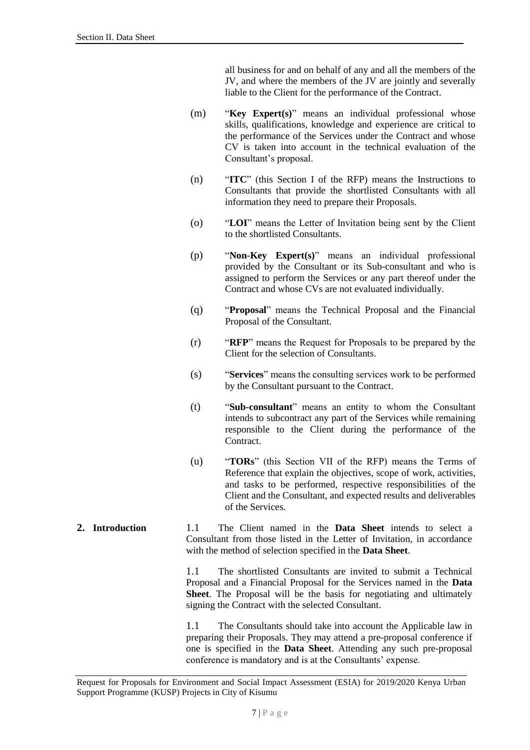all business for and on behalf of any and all the members of the JV, and where the members of the JV are jointly and severally liable to the Client for the performance of the Contract.

- (m) "**Key Expert(s)**" means an individual professional whose skills, qualifications, knowledge and experience are critical to the performance of the Services under the Contract and whose CV is taken into account in the technical evaluation of the Consultant's proposal.
- (n) "**ITC**" (this Section I of the RFP) means the Instructions to Consultants that provide the shortlisted Consultants with all information they need to prepare their Proposals.
- (o) "**LOI**" means the Letter of Invitation being sent by the Client to the shortlisted Consultants.
- (p) "**Non-Key Expert(s)**" means an individual professional provided by the Consultant or its Sub-consultant and who is assigned to perform the Services or any part thereof under the Contract and whose CVs are not evaluated individually.
- (q) "**Proposal**" means the Technical Proposal and the Financial Proposal of the Consultant.
- (r) "**RFP**" means the Request for Proposals to be prepared by the Client for the selection of Consultants.
- (s) "**Services**" means the consulting services work to be performed by the Consultant pursuant to the Contract.
- (t) "**Sub-consultant**" means an entity to whom the Consultant intends to subcontract any part of the Services while remaining responsible to the Client during the performance of the Contract.
- (u) "**TORs**" (this Section VII of the RFP) means the Terms of Reference that explain the objectives, scope of work, activities, and tasks to be performed, respective responsibilities of the Client and the Consultant, and expected results and deliverables of the Services.
- <span id="page-8-0"></span>**2. Introduction** 1.1 The Client named in the **Data Sheet** intends to select a Consultant from those listed in the Letter of Invitation, in accordance with the method of selection specified in the **Data Sheet**.

1.1 The shortlisted Consultants are invited to submit a Technical Proposal and a Financial Proposal for the Services named in the **Data Sheet**. The Proposal will be the basis for negotiating and ultimately signing the Contract with the selected Consultant.

1.1 The Consultants should take into account the Applicable law in preparing their Proposals. They may attend a pre-proposal conference if one is specified in the **Data Sheet**. Attending any such pre-proposal conference is mandatory and is at the Consultants' expense.

Request for Proposals for Environment and Social Impact Assessment (ESIA) for 2019/2020 Kenya Urban Support Programme (KUSP) Projects in City of Kisumu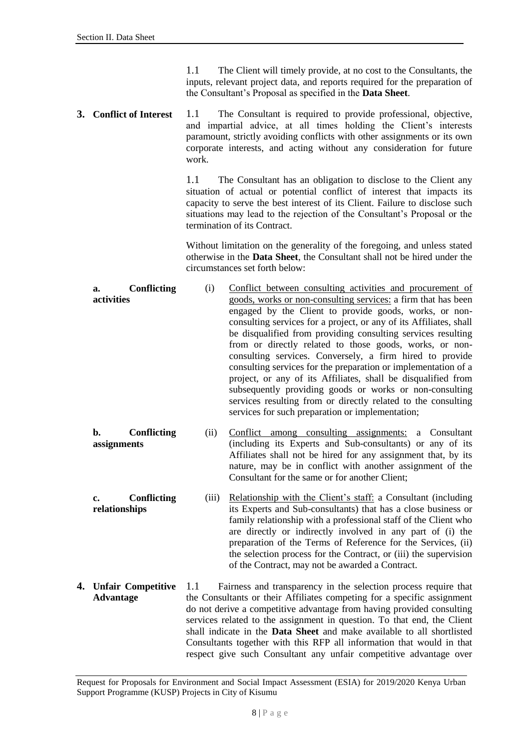1.1 The Client will timely provide, at no cost to the Consultants, the inputs, relevant project data, and reports required for the preparation of the Consultant's Proposal as specified in the **Data Sheet**.

<span id="page-9-0"></span>**3. Conflict of Interest** 1.1 The Consultant is required to provide professional, objective, and impartial advice, at all times holding the Client's interests paramount, strictly avoiding conflicts with other assignments or its own corporate interests, and acting without any consideration for future work.

> 1.1 The Consultant has an obligation to disclose to the Client any situation of actual or potential conflict of interest that impacts its capacity to serve the best interest of its Client. Failure to disclose such situations may lead to the rejection of the Consultant's Proposal or the termination of its Contract.

> Without limitation on the generality of the foregoing, and unless stated otherwise in the **Data Sheet**, the Consultant shall not be hired under the circumstances set forth below:

- **a. Conflicting activities** (i) Conflict between consulting activities and procurement of goods, works or non-consulting services: a firm that has been engaged by the Client to provide goods, works, or nonconsulting services for a project, or any of its Affiliates, shall be disqualified from providing consulting services resulting from or directly related to those goods, works, or nonconsulting services. Conversely, a firm hired to provide consulting services for the preparation or implementation of a project, or any of its Affiliates, shall be disqualified from subsequently providing goods or works or non-consulting services resulting from or directly related to the consulting services for such preparation or implementation;
- **b. Conflicting assignments** (ii) Conflict among consulting assignments: a Consultant (including its Experts and Sub-consultants) or any of its Affiliates shall not be hired for any assignment that, by its nature, may be in conflict with another assignment of the Consultant for the same or for another Client;
- **c. Conflicting relationships** (iii) Relationship with the Client's staff: a Consultant (including its Experts and Sub-consultants) that has a close business or family relationship with a professional staff of the Client who are directly or indirectly involved in any part of (i) the preparation of the Terms of Reference for the Services, (ii) the selection process for the Contract, or (iii) the supervision of the Contract, may not be awarded a Contract.
- <span id="page-9-1"></span>**4. Unfair Competitive Advantage** 1.1 Fairness and transparency in the selection process require that the Consultants or their Affiliates competing for a specific assignment do not derive a competitive advantage from having provided consulting services related to the assignment in question. To that end, the Client shall indicate in the **Data Sheet** and make available to all shortlisted Consultants together with this RFP all information that would in that respect give such Consultant any unfair competitive advantage over

Request for Proposals for Environment and Social Impact Assessment (ESIA) for 2019/2020 Kenya Urban Support Programme (KUSP) Projects in City of Kisumu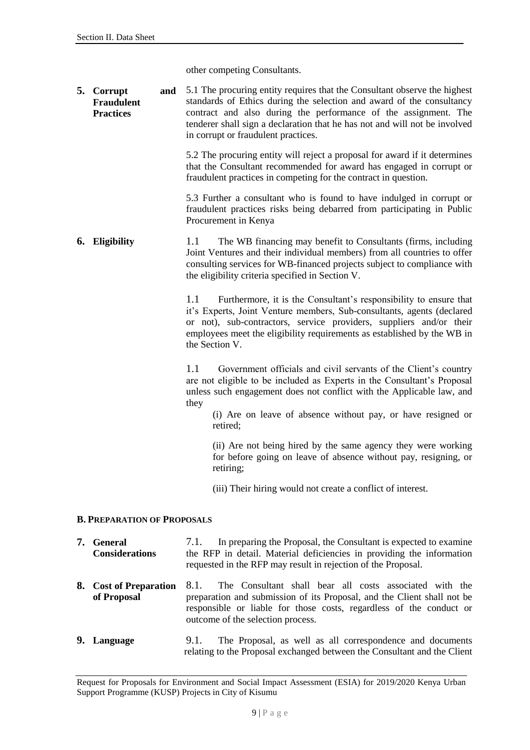other competing Consultants.

<span id="page-10-0"></span>**5. Corrupt and Fraudulent Practices** 5.1 The procuring entity requires that the Consultant observe the highest standards of Ethics during the selection and award of the consultancy contract and also during the performance of the assignment. The tenderer shall sign a declaration that he has not and will not be involved in corrupt or fraudulent practices.

> 5.2 The procuring entity will reject a proposal for award if it determines that the Consultant recommended for award has engaged in corrupt or fraudulent practices in competing for the contract in question.

> 5.3 Further a consultant who is found to have indulged in corrupt or fraudulent practices risks being debarred from participating in Public Procurement in Kenya

<span id="page-10-1"></span>**6. Eligibility** 1.1 The WB financing may benefit to Consultants (firms, including Joint Ventures and their individual members) from all countries to offer consulting services for WB-financed projects subject to compliance with the eligibility criteria specified in Section V.

> 1.1 Furthermore, it is the Consultant's responsibility to ensure that it's Experts, Joint Venture members, Sub-consultants, agents (declared or not), sub-contractors, service providers, suppliers and/or their employees meet the eligibility requirements as established by the WB in the Section V.

> 1.1 Government officials and civil servants of the Client's country are not eligible to be included as Experts in the Consultant's Proposal unless such engagement does not conflict with the Applicable law, and they

(i) Are on leave of absence without pay, or have resigned or retired;

(ii) Are not being hired by the same agency they were working for before going on leave of absence without pay, resigning, or retiring;

(iii) Their hiring would not create a conflict of interest.

#### <span id="page-10-2"></span>**B. PREPARATION OF PROPOSALS**

<span id="page-10-4"></span><span id="page-10-3"></span>

| 7. General<br><b>Considerations</b>   | In preparing the Proposal, the Consultant is expected to examine<br>7.1.<br>the RFP in detail. Material deficiencies in providing the information<br>requested in the RFP may result in rejection of the Proposal.                                     |
|---------------------------------------|--------------------------------------------------------------------------------------------------------------------------------------------------------------------------------------------------------------------------------------------------------|
| 8. Cost of Preparation<br>of Proposal | 8.1.<br>The Consultant shall bear all costs associated with the<br>preparation and submission of its Proposal, and the Client shall not be<br>responsible or liable for those costs, regardless of the conduct or<br>outcome of the selection process. |
| 9. Language                           | The Proposal, as well as all correspondence and documents<br>9.1.<br>relating to the Proposal exchanged between the Consultant and the Client                                                                                                          |

<span id="page-10-5"></span>Request for Proposals for Environment and Social Impact Assessment (ESIA) for 2019/2020 Kenya Urban Support Programme (KUSP) Projects in City of Kisumu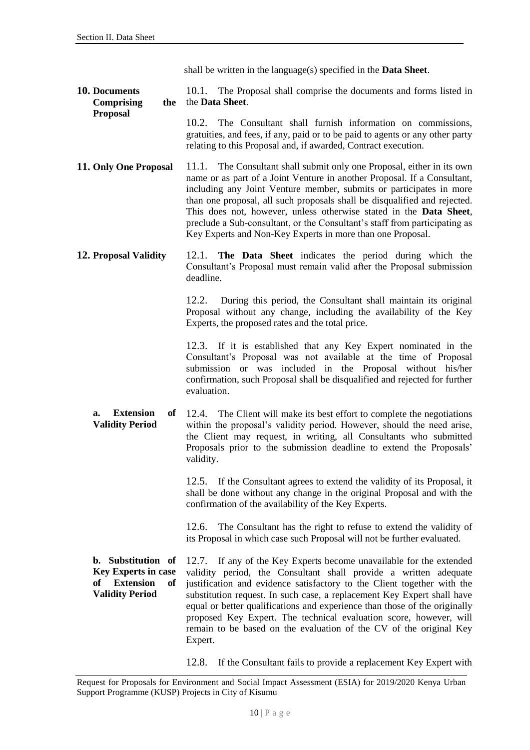shall be written in the language(s) specified in the **Data Sheet**.

<span id="page-11-0"></span>**10. Documents Comprising the Proposal** 10.1. The Proposal shall comprise the documents and forms listed in the **Data Sheet**.

10.2. The Consultant shall furnish information on commissions, gratuities, and fees, if any, paid or to be paid to agents or any other party relating to this Proposal and, if awarded, Contract execution.

- <span id="page-11-1"></span>**11. Only One Proposal** 11.1. The Consultant shall submit only one Proposal, either in its own name or as part of a Joint Venture in another Proposal. If a Consultant, including any Joint Venture member, submits or participates in more than one proposal, all such proposals shall be disqualified and rejected. This does not, however, unless otherwise stated in the **Data Sheet**, preclude a Sub-consultant, or the Consultant's staff from participating as Key Experts and Non-Key Experts in more than one Proposal.
- <span id="page-11-2"></span>**12. Proposal Validity** 12.1. **The Data Sheet** indicates the period during which the Consultant's Proposal must remain valid after the Proposal submission deadline.

12.2. During this period, the Consultant shall maintain its original Proposal without any change, including the availability of the Key Experts, the proposed rates and the total price.

12.3. If it is established that any Key Expert nominated in the Consultant's Proposal was not available at the time of Proposal submission or was included in the Proposal without his/her confirmation, such Proposal shall be disqualified and rejected for further evaluation.

**a. Extension of Validity Period** 12.4. The Client will make its best effort to complete the negotiations within the proposal's validity period. However, should the need arise, the Client may request, in writing, all Consultants who submitted Proposals prior to the submission deadline to extend the Proposals' validity.

> 12.5. If the Consultant agrees to extend the validity of its Proposal, it shall be done without any change in the original Proposal and with the confirmation of the availability of the Key Experts.

> 12.6. The Consultant has the right to refuse to extend the validity of its Proposal in which case such Proposal will not be further evaluated.

**b. Substitution of Key Experts in case of Extension of Validity Period**  12.7. If any of the Key Experts become unavailable for the extended validity period, the Consultant shall provide a written adequate justification and evidence satisfactory to the Client together with the substitution request. In such case, a replacement Key Expert shall have equal or better qualifications and experience than those of the originally proposed Key Expert. The technical evaluation score, however, will remain to be based on the evaluation of the CV of the original Key Expert.

12.8. If the Consultant fails to provide a replacement Key Expert with

Request for Proposals for Environment and Social Impact Assessment (ESIA) for 2019/2020 Kenya Urban Support Programme (KUSP) Projects in City of Kisumu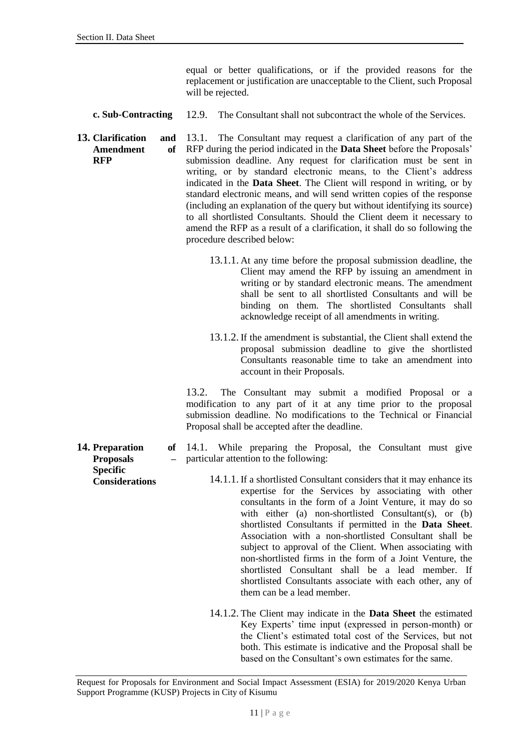equal or better qualifications, or if the provided reasons for the replacement or justification are unacceptable to the Client, such Proposal will be rejected.

- **c. Sub-Contracting** 12.9. The Consultant shall not subcontract the whole of the Services.
- <span id="page-12-0"></span>**13. Clarification and Amendment of RFP** 13.1. The Consultant may request a clarification of any part of the RFP during the period indicated in the **Data Sheet** before the Proposals' submission deadline. Any request for clarification must be sent in writing, or by standard electronic means, to the Client's address indicated in the **Data Sheet**. The Client will respond in writing, or by standard electronic means, and will send written copies of the response (including an explanation of the query but without identifying its source) to all shortlisted Consultants. Should the Client deem it necessary to amend the RFP as a result of a clarification, it shall do so following the procedure described below:
	- 13.1.1. At any time before the proposal submission deadline, the Client may amend the RFP by issuing an amendment in writing or by standard electronic means. The amendment shall be sent to all shortlisted Consultants and will be binding on them. The shortlisted Consultants shall acknowledge receipt of all amendments in writing.
	- 13.1.2. If the amendment is substantial, the Client shall extend the proposal submission deadline to give the shortlisted Consultants reasonable time to take an amendment into account in their Proposals.

13.2. The Consultant may submit a modified Proposal or a modification to any part of it at any time prior to the proposal submission deadline. No modifications to the Technical or Financial Proposal shall be accepted after the deadline.

14.1. While preparing the Proposal, the Consultant must give particular attention to the following:

- 14.1.1. If a shortlisted Consultant considers that it may enhance its expertise for the Services by associating with other consultants in the form of a Joint Venture, it may do so with either (a) non-shortlisted Consultant(s), or (b) shortlisted Consultants if permitted in the **Data Sheet**. Association with a non-shortlisted Consultant shall be subject to approval of the Client. When associating with non-shortlisted firms in the form of a Joint Venture, the shortlisted Consultant shall be a lead member. If shortlisted Consultants associate with each other, any of them can be a lead member.
	- 14.1.2. The Client may indicate in the **Data Sheet** the estimated Key Experts' time input (expressed in person-month) or the Client's estimated total cost of the Services, but not both. This estimate is indicative and the Proposal shall be based on the Consultant's own estimates for the same.

<span id="page-12-1"></span>**14. Preparation of Proposals – Specific Considerations**

Request for Proposals for Environment and Social Impact Assessment (ESIA) for 2019/2020 Kenya Urban Support Programme (KUSP) Projects in City of Kisumu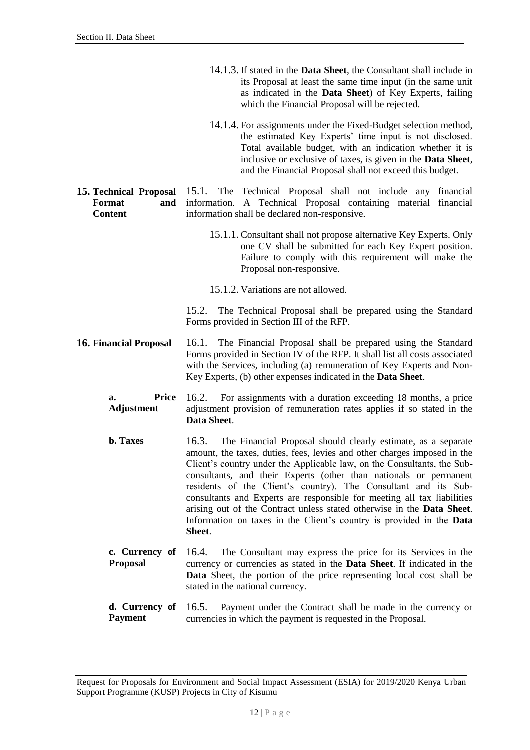- 14.1.3. If stated in the **Data Sheet**, the Consultant shall include in its Proposal at least the same time input (in the same unit as indicated in the **Data Sheet**) of Key Experts, failing which the Financial Proposal will be rejected.
- 14.1.4. For assignments under the Fixed-Budget selection method, the estimated Key Experts' time input is not disclosed. Total available budget, with an indication whether it is inclusive or exclusive of taxes, is given in the **Data Sheet**, and the Financial Proposal shall not exceed this budget.
- <span id="page-13-0"></span>**15. Technical Proposal Format and Content** 15.1. The Technical Proposal shall not include any financial information. A Technical Proposal containing material financial information shall be declared non-responsive.
	- 15.1.1. Consultant shall not propose alternative Key Experts. Only one CV shall be submitted for each Key Expert position. Failure to comply with this requirement will make the Proposal non-responsive.
	- 15.1.2. Variations are not allowed.

15.2. The Technical Proposal shall be prepared using the Standard Forms provided in Section III of the RFP.

- <span id="page-13-1"></span>**16. Financial Proposal** 16.1. The Financial Proposal shall be prepared using the Standard Forms provided in Section IV of the RFP. It shall list all costs associated with the Services, including (a) remuneration of Key Experts and Non-Key Experts, (b) other expenses indicated in the **Data Sheet**.
	- **a. Price Adjustment**  16.2. For assignments with a duration exceeding 18 months, a price adjustment provision of remuneration rates applies if so stated in the **Data Sheet**.
	- **b. Taxes** 16.3. The Financial Proposal should clearly estimate, as a separate amount, the taxes, duties, fees, levies and other charges imposed in the Client's country under the Applicable law, on the Consultants, the Subconsultants, and their Experts (other than nationals or permanent residents of the Client's country). The Consultant and its Subconsultants and Experts are responsible for meeting all tax liabilities arising out of the Contract unless stated otherwise in the **Data Sheet**. Information on taxes in the Client's country is provided in the **Data Sheet**.
	- **c. Currency of Proposal**  16.4. The Consultant may express the price for its Services in the currency or currencies as stated in the **Data Sheet**. If indicated in the **Data** Sheet, the portion of the price representing local cost shall be stated in the national currency.
	- **d. Currency of Payment** 16.5. Payment under the Contract shall be made in the currency or currencies in which the payment is requested in the Proposal.

Request for Proposals for Environment and Social Impact Assessment (ESIA) for 2019/2020 Kenya Urban Support Programme (KUSP) Projects in City of Kisumu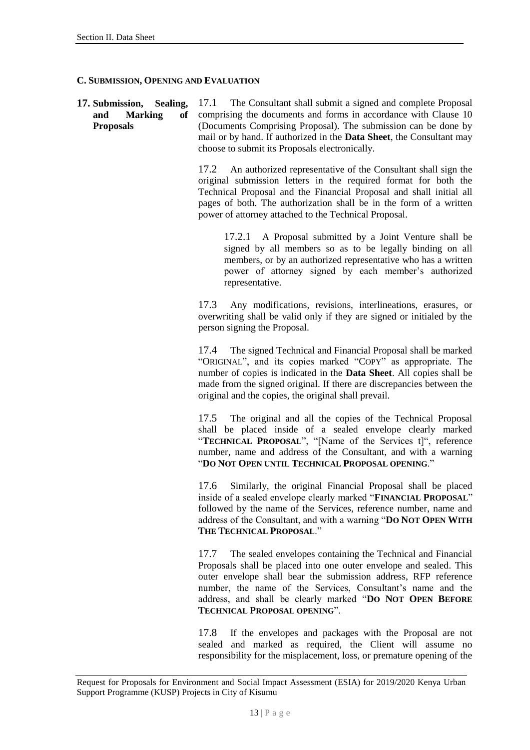#### <span id="page-14-0"></span>**C. SUBMISSION, OPENING AND EVALUATION**

<span id="page-14-1"></span>**17. Submission, Sealing, and Marking of Proposals** 17.1 The Consultant shall submit a signed and complete Proposal comprising the documents and forms in accordance with Clause 10 (Documents Comprising Proposal). The submission can be done by mail or by hand. If authorized in the **Data Sheet**, the Consultant may choose to submit its Proposals electronically.

> 17.2 An authorized representative of the Consultant shall sign the original submission letters in the required format for both the Technical Proposal and the Financial Proposal and shall initial all pages of both. The authorization shall be in the form of a written power of attorney attached to the Technical Proposal.

17.2.1 A Proposal submitted by a Joint Venture shall be signed by all members so as to be legally binding on all members, or by an authorized representative who has a written power of attorney signed by each member's authorized representative.

17.3 Any modifications, revisions, interlineations, erasures, or overwriting shall be valid only if they are signed or initialed by the person signing the Proposal.

17.4 The signed Technical and Financial Proposal shall be marked "ORIGINAL", and its copies marked "COPY" as appropriate. The number of copies is indicated in the **Data Sheet**. All copies shall be made from the signed original. If there are discrepancies between the original and the copies, the original shall prevail.

17.5 The original and all the copies of the Technical Proposal shall be placed inside of a sealed envelope clearly marked "TECHNICAL PROPOSAL", "[Name of the Services t]", reference number, name and address of the Consultant, and with a warning "**DO NOT OPEN UNTIL TECHNICAL PROPOSAL OPENING**."

17.6 Similarly, the original Financial Proposal shall be placed inside of a sealed envelope clearly marked "**FINANCIAL PROPOSAL**" followed by the name of the Services, reference number, name and address of the Consultant, and with a warning "**DO NOT OPEN WITH THE TECHNICAL PROPOSAL**."

17.7 The sealed envelopes containing the Technical and Financial Proposals shall be placed into one outer envelope and sealed. This outer envelope shall bear the submission address, RFP reference number, the name of the Services, Consultant's name and the address, and shall be clearly marked "**DO NOT OPEN BEFORE TECHNICAL PROPOSAL OPENING**".

17.8 If the envelopes and packages with the Proposal are not sealed and marked as required, the Client will assume no responsibility for the misplacement, loss, or premature opening of the

Request for Proposals for Environment and Social Impact Assessment (ESIA) for 2019/2020 Kenya Urban Support Programme (KUSP) Projects in City of Kisumu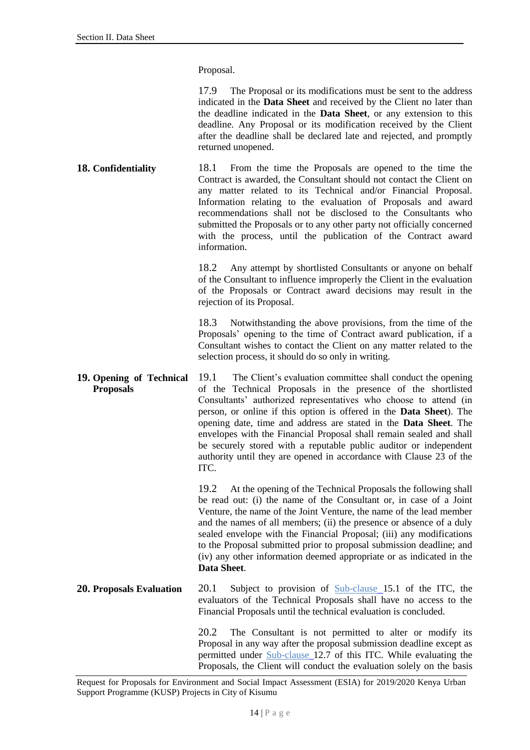Proposal.

17.9 The Proposal or its modifications must be sent to the address indicated in the **Data Sheet** and received by the Client no later than the deadline indicated in the **Data Sheet**, or any extension to this deadline. Any Proposal or its modification received by the Client after the deadline shall be declared late and rejected, and promptly returned unopened.

<span id="page-15-0"></span>**18. Confidentiality** 18.1 From the time the Proposals are opened to the time the Contract is awarded, the Consultant should not contact the Client on any matter related to its Technical and/or Financial Proposal. Information relating to the evaluation of Proposals and award recommendations shall not be disclosed to the Consultants who submitted the Proposals or to any other party not officially concerned with the process, until the publication of the Contract award information.

> 18.2 Any attempt by shortlisted Consultants or anyone on behalf of the Consultant to influence improperly the Client in the evaluation of the Proposals or Contract award decisions may result in the rejection of its Proposal.

> 18.3 Notwithstanding the above provisions, from the time of the Proposals' opening to the time of Contract award publication, if a Consultant wishes to contact the Client on any matter related to the selection process, it should do so only in writing.

<span id="page-15-1"></span>**19. Opening of Technical Proposals** 19.1 The Client's evaluation committee shall conduct the opening of the Technical Proposals in the presence of the shortlisted Consultants' authorized representatives who choose to attend (in person, or online if this option is offered in the **Data Sheet**). The opening date, time and address are stated in the **Data Sheet**. The envelopes with the Financial Proposal shall remain sealed and shall be securely stored with a reputable public auditor or independent authority until they are opened in accordance with Clause 23 of the ITC.

> 19.2 At the opening of the Technical Proposals the following shall be read out: (i) the name of the Consultant or, in case of a Joint Venture, the name of the Joint Venture, the name of the lead member and the names of all members; (ii) the presence or absence of a duly sealed envelope with the Financial Proposal; (iii) any modifications to the Proposal submitted prior to proposal submission deadline; and (iv) any other information deemed appropriate or as indicated in the **Data Sheet**.

<span id="page-15-2"></span>**20. Proposals Evaluation** 20.1 Subject to provision of Sub-clause 15.1 of the ITC, the evaluators of the Technical Proposals shall have no access to the Financial Proposals until the technical evaluation is concluded.

> 20.2 The Consultant is not permitted to alter or modify its Proposal in any way after the proposal submission deadline except as permitted under Sub-clause 12.7 of this ITC. While evaluating the Proposals, the Client will conduct the evaluation solely on the basis

Request for Proposals for Environment and Social Impact Assessment (ESIA) for 2019/2020 Kenya Urban Support Programme (KUSP) Projects in City of Kisumu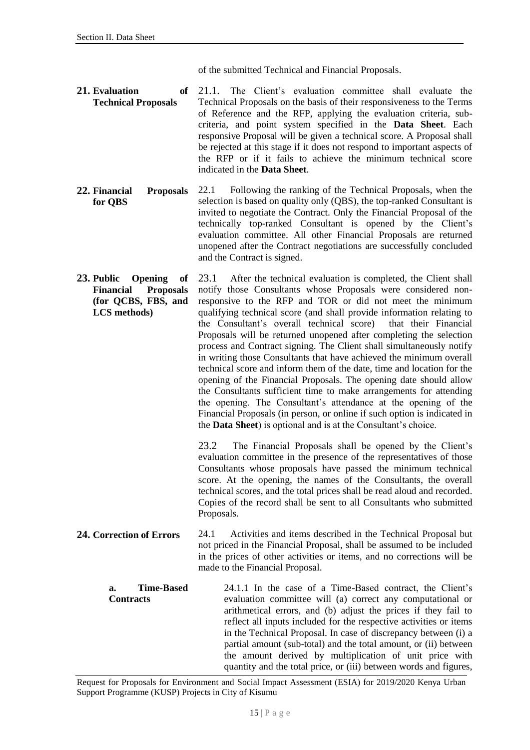of the submitted Technical and Financial Proposals.

- <span id="page-16-0"></span>**21. Evaluation of Technical Proposals** 21.1. The Client's evaluation committee shall evaluate the Technical Proposals on the basis of their responsiveness to the Terms of Reference and the RFP, applying the evaluation criteria, subcriteria, and point system specified in the **Data Sheet**. Each responsive Proposal will be given a technical score. A Proposal shall be rejected at this stage if it does not respond to important aspects of the RFP or if it fails to achieve the minimum technical score indicated in the **Data Sheet**.
- <span id="page-16-1"></span>**22. Financial Proposals for QBS** 22.1 Following the ranking of the Technical Proposals, when the selection is based on quality only (QBS), the top-ranked Consultant is invited to negotiate the Contract. Only the Financial Proposal of the technically top-ranked Consultant is opened by the Client's evaluation committee. All other Financial Proposals are returned unopened after the Contract negotiations are successfully concluded and the Contract is signed.
- <span id="page-16-2"></span>**23. Public Opening of Financial Proposals (for QCBS, FBS, and LCS methods)** 23.1 After the technical evaluation is completed, the Client shall notify those Consultants whose Proposals were considered nonresponsive to the RFP and TOR or did not meet the minimum qualifying technical score (and shall provide information relating to the Consultant's overall technical score) that their Financial Proposals will be returned unopened after completing the selection process and Contract signing. The Client shall simultaneously notify in writing those Consultants that have achieved the minimum overall technical score and inform them of the date, time and location for the opening of the Financial Proposals. The opening date should allow the Consultants sufficient time to make arrangements for attending the opening. The Consultant's attendance at the opening of the Financial Proposals (in person, or online if such option is indicated in the **Data Sheet**) is optional and is at the Consultant's choice.

23.2 The Financial Proposals shall be opened by the Client's evaluation committee in the presence of the representatives of those Consultants whose proposals have passed the minimum technical score. At the opening, the names of the Consultants, the overall technical scores, and the total prices shall be read aloud and recorded. Copies of the record shall be sent to all Consultants who submitted Proposals.

- <span id="page-16-3"></span>**24. Correction of Errors** 24.1 Activities and items described in the Technical Proposal but not priced in the Financial Proposal, shall be assumed to be included in the prices of other activities or items, and no corrections will be made to the Financial Proposal.
	- **a. Time-Based Contracts** 24.1.1 In the case of a Time-Based contract, the Client's evaluation committee will (a) correct any computational or arithmetical errors, and (b) adjust the prices if they fail to reflect all inputs included for the respective activities or items in the Technical Proposal. In case of discrepancy between (i) a partial amount (sub-total) and the total amount, or (ii) between the amount derived by multiplication of unit price with quantity and the total price, or (iii) between words and figures,

Request for Proposals for Environment and Social Impact Assessment (ESIA) for 2019/2020 Kenya Urban Support Programme (KUSP) Projects in City of Kisumu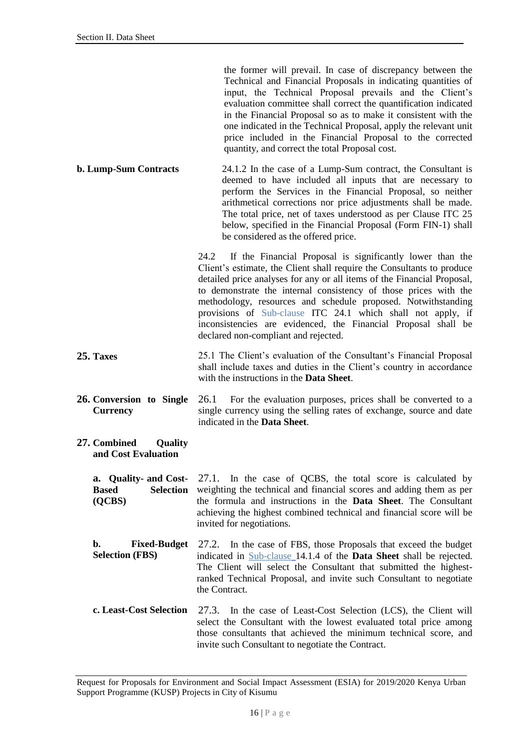the former will prevail. In case of discrepancy between the Technical and Financial Proposals in indicating quantities of input, the Technical Proposal prevails and the Client's evaluation committee shall correct the quantification indicated in the Financial Proposal so as to make it consistent with the one indicated in the Technical Proposal, apply the relevant unit price included in the Financial Proposal to the corrected quantity, and correct the total Proposal cost.

**b. Lump-Sum Contracts** 24.1.2 In the case of a Lump-Sum contract, the Consultant is deemed to have included all inputs that are necessary to perform the Services in the Financial Proposal, so neither arithmetical corrections nor price adjustments shall be made. The total price, net of taxes understood as per Clause ITC 25 below, specified in the Financial Proposal (Form FIN-1) shall be considered as the offered price.

> 24.2 If the Financial Proposal is significantly lower than the Client's estimate, the Client shall require the Consultants to produce detailed price analyses for any or all items of the Financial Proposal, to demonstrate the internal consistency of those prices with the methodology, resources and schedule proposed. Notwithstanding provisions of Sub-clause ITC 24.1 which shall not apply, if inconsistencies are evidenced, the Financial Proposal shall be declared non-compliant and rejected.

- <span id="page-17-0"></span>**25. Taxes** 25.1 The Client's evaluation of the Consultant's Financial Proposal shall include taxes and duties in the Client's country in accordance with the instructions in the **Data Sheet**.
- <span id="page-17-1"></span>**26. Conversion to Single Currency** 26.1 For the evaluation purposes, prices shall be converted to a single currency using the selling rates of exchange, source and date indicated in the **Data Sheet**.
- <span id="page-17-2"></span>**27. Combined Quality and Cost Evaluation**

**a. Quality- and Cost-Based Selection (QCBS)**

27.1. In the case of QCBS, the total score is calculated by weighting the technical and financial scores and adding them as per the formula and instructions in the **Data Sheet**. The Consultant achieving the highest combined technical and financial score will be invited for negotiations.

- **b. Fixed-Budget Selection (FBS)** 27.2. In the case of FBS, those Proposals that exceed the budget indicated in Sub-clause 14.1.4 of the **Data Sheet** shall be rejected. The Client will select the Consultant that submitted the highestranked Technical Proposal, and invite such Consultant to negotiate the Contract.
- **c. Least-Cost Selection** 27.3. In the case of Least-Cost Selection (LCS), the Client will select the Consultant with the lowest evaluated total price among those consultants that achieved the minimum technical score, and invite such Consultant to negotiate the Contract.

Request for Proposals for Environment and Social Impact Assessment (ESIA) for 2019/2020 Kenya Urban Support Programme (KUSP) Projects in City of Kisumu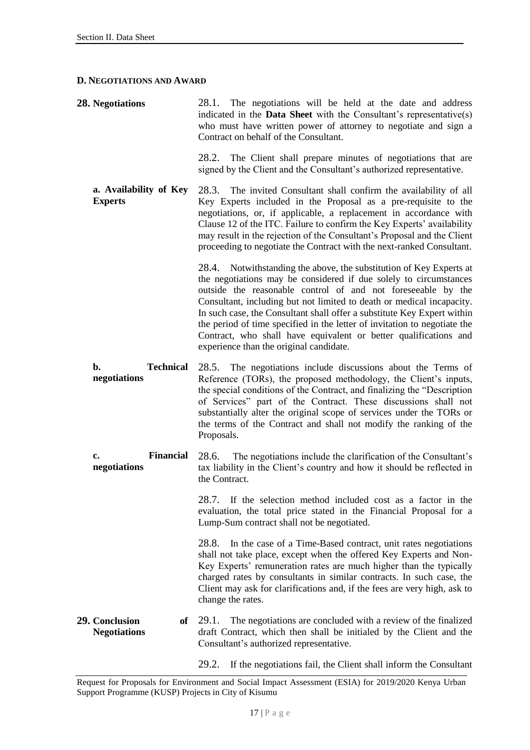#### <span id="page-18-0"></span>**D. NEGOTIATIONS AND AWARD**

<span id="page-18-1"></span>

| <b>28. Negotiations</b>                     | 28.1. The negotiations will be held at the date and address<br>indicated in the <b>Data Sheet</b> with the Consultant's representative(s)<br>who must have written power of attorney to negotiate and sign a<br>Contract on behalf of the Consultant.                                                                                                                                                                                                                                                                                                    |
|---------------------------------------------|----------------------------------------------------------------------------------------------------------------------------------------------------------------------------------------------------------------------------------------------------------------------------------------------------------------------------------------------------------------------------------------------------------------------------------------------------------------------------------------------------------------------------------------------------------|
|                                             | 28.2. The Client shall prepare minutes of negotiations that are<br>signed by the Client and the Consultant's authorized representative.                                                                                                                                                                                                                                                                                                                                                                                                                  |
| a. Availability of Key<br><b>Experts</b>    | 28.3.<br>The invited Consultant shall confirm the availability of all<br>Key Experts included in the Proposal as a pre-requisite to the<br>negotiations, or, if applicable, a replacement in accordance with<br>Clause 12 of the ITC. Failure to confirm the Key Experts' availability<br>may result in the rejection of the Consultant's Proposal and the Client<br>proceeding to negotiate the Contract with the next-ranked Consultant.                                                                                                               |
|                                             | 28.4. Notwithstanding the above, the substitution of Key Experts at<br>the negotiations may be considered if due solely to circumstances<br>outside the reasonable control of and not foreseeable by the<br>Consultant, including but not limited to death or medical incapacity.<br>In such case, the Consultant shall offer a substitute Key Expert within<br>the period of time specified in the letter of invitation to negotiate the<br>Contract, who shall have equivalent or better qualifications and<br>experience than the original candidate. |
| b.<br><b>Technical</b><br>negotiations      | 28.5. The negotiations include discussions about the Terms of<br>Reference (TORs), the proposed methodology, the Client's inputs,<br>the special conditions of the Contract, and finalizing the "Description<br>of Services" part of the Contract. These discussions shall not<br>substantially alter the original scope of services under the TORs or<br>the terms of the Contract and shall not modify the ranking of the<br>Proposals.                                                                                                                |
| <b>Financial</b><br>c.<br>negotiations      | The negotiations include the clarification of the Consultant's<br>28.6.<br>tax liability in the Client's country and how it should be reflected in<br>the Contract.                                                                                                                                                                                                                                                                                                                                                                                      |
|                                             | 28.7. If the selection method included cost as a factor in the<br>evaluation, the total price stated in the Financial Proposal for a<br>Lump-Sum contract shall not be negotiated.                                                                                                                                                                                                                                                                                                                                                                       |
|                                             | 28.8.<br>In the case of a Time-Based contract, unit rates negotiations<br>shall not take place, except when the offered Key Experts and Non-<br>Key Experts' remuneration rates are much higher than the typically<br>charged rates by consultants in similar contracts. In such case, the<br>Client may ask for clarifications and, if the fees are very high, ask to<br>change the rates.                                                                                                                                                              |
| 29. Conclusion<br>of<br><b>Negotiations</b> | The negotiations are concluded with a review of the finalized<br>29.1.<br>draft Contract, which then shall be initialed by the Client and the<br>Consultant's authorized representative.                                                                                                                                                                                                                                                                                                                                                                 |
|                                             | 29.2.<br>If the negotiations fail, the Client shall inform the Consultant                                                                                                                                                                                                                                                                                                                                                                                                                                                                                |

<span id="page-18-2"></span>Request for Proposals for Environment and Social Impact Assessment (ESIA) for 2019/2020 Kenya Urban Support Programme (KUSP) Projects in City of Kisumu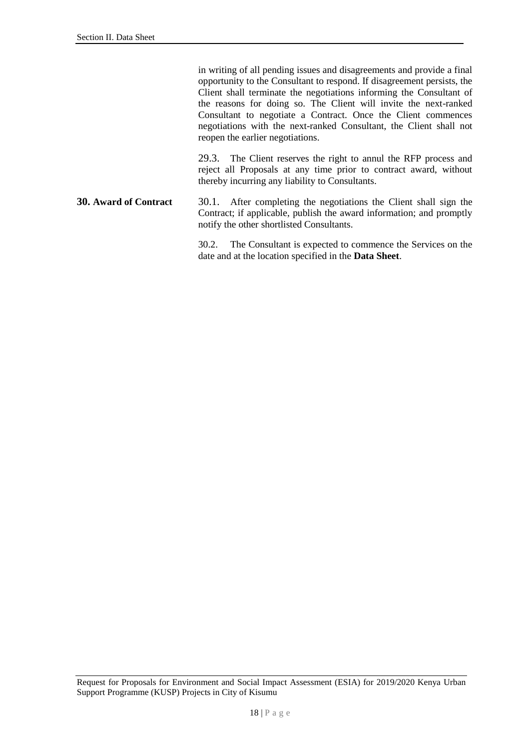in writing of all pending issues and disagreements and provide a final opportunity to the Consultant to respond. If disagreement persists, the Client shall terminate the negotiations informing the Consultant of the reasons for doing so. The Client will invite the next-ranked Consultant to negotiate a Contract. Once the Client commences negotiations with the next-ranked Consultant, the Client shall not reopen the earlier negotiations.

29.3. The Client reserves the right to annul the RFP process and reject all Proposals at any time prior to contract award, without thereby incurring any liability to Consultants.

#### <span id="page-19-1"></span><span id="page-19-0"></span>**30. Award of Contract** 30.1. After completing the negotiations the Client shall sign the Contract; if applicable, publish the award information; and promptly notify the other shortlisted Consultants.

30.2. The Consultant is expected to commence the Services on the date and at the location specified in the **Data Sheet**.

Request for Proposals for Environment and Social Impact Assessment (ESIA) for 2019/2020 Kenya Urban Support Programme (KUSP) Projects in City of Kisumu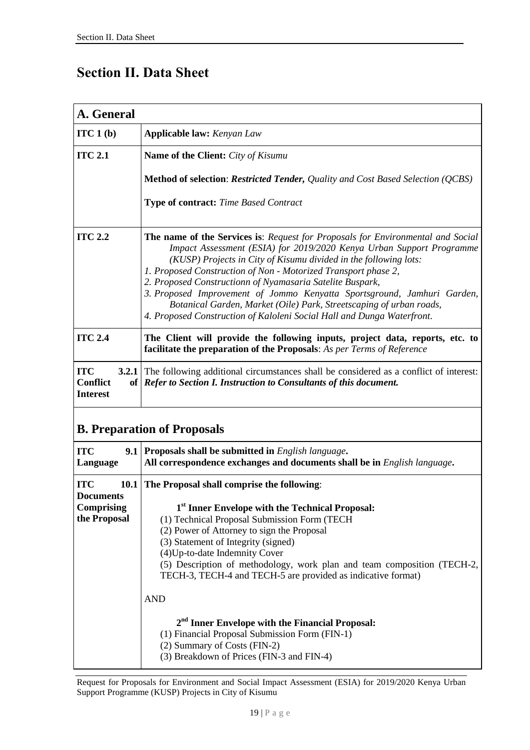# **Section II. Data Sheet**

| A. General                                                                         |                                                                                                                                                                                                                                                                                                                                                                                                                                                                                                                                                                                                                   |  |
|------------------------------------------------------------------------------------|-------------------------------------------------------------------------------------------------------------------------------------------------------------------------------------------------------------------------------------------------------------------------------------------------------------------------------------------------------------------------------------------------------------------------------------------------------------------------------------------------------------------------------------------------------------------------------------------------------------------|--|
| ITC1(b)                                                                            | <b>Applicable law:</b> Kenyan Law                                                                                                                                                                                                                                                                                                                                                                                                                                                                                                                                                                                 |  |
| <b>ITC 2.1</b>                                                                     | <b>Name of the Client:</b> City of Kisumu                                                                                                                                                                                                                                                                                                                                                                                                                                                                                                                                                                         |  |
|                                                                                    | <b>Method of selection: Restricted Tender, Quality and Cost Based Selection (QCBS)</b>                                                                                                                                                                                                                                                                                                                                                                                                                                                                                                                            |  |
|                                                                                    | Type of contract: Time Based Contract                                                                                                                                                                                                                                                                                                                                                                                                                                                                                                                                                                             |  |
| <b>ITC 2.2</b>                                                                     | <b>The name of the Services is:</b> Request for Proposals for Environmental and Social<br>Impact Assessment (ESIA) for 2019/2020 Kenya Urban Support Programme<br>(KUSP) Projects in City of Kisumu divided in the following lots:<br>1. Proposed Construction of Non - Motorized Transport phase 2,<br>2. Proposed Constructionn of Nyamasaria Satelite Buspark,<br>3. Proposed Improvement of Jommo Kenyatta Sportsground, Jamhuri Garden,<br>Botanical Garden, Market (Oile) Park, Streetscaping of urban roads,<br>4. Proposed Construction of Kaloleni Social Hall and Dunga Waterfront.                     |  |
| <b>ITC 2.4</b>                                                                     | The Client will provide the following inputs, project data, reports, etc. to<br>facilitate the preparation of the Proposals: As per Terms of Reference                                                                                                                                                                                                                                                                                                                                                                                                                                                            |  |
| <b>ITC</b><br>3.2.1<br><b>Conflict</b><br><b>Interest</b>                          | The following additional circumstances shall be considered as a conflict of interest:<br>of   Refer to Section I. Instruction to Consultants of this document.                                                                                                                                                                                                                                                                                                                                                                                                                                                    |  |
| <b>B. Preparation of Proposals</b>                                                 |                                                                                                                                                                                                                                                                                                                                                                                                                                                                                                                                                                                                                   |  |
| <b>ITC</b><br>9.1<br>Language                                                      | Proposals shall be submitted in English language.<br>All correspondence exchanges and documents shall be in English language.                                                                                                                                                                                                                                                                                                                                                                                                                                                                                     |  |
| <b>ITC</b><br><b>10.1</b><br><b>Documents</b><br><b>Comprising</b><br>the Proposal | The Proposal shall comprise the following:<br>1st Inner Envelope with the Technical Proposal:<br>(1) Technical Proposal Submission Form (TECH<br>(2) Power of Attorney to sign the Proposal<br>(3) Statement of Integrity (signed)<br>(4) Up-to-date Indemnity Cover<br>(5) Description of methodology, work plan and team composition (TECH-2,<br>TECH-3, TECH-4 and TECH-5 are provided as indicative format)<br><b>AND</b><br>$2nd$ Inner Envelope with the Financial Proposal:<br>(1) Financial Proposal Submission Form (FIN-1)<br>(2) Summary of Costs (FIN-2)<br>(3) Breakdown of Prices (FIN-3 and FIN-4) |  |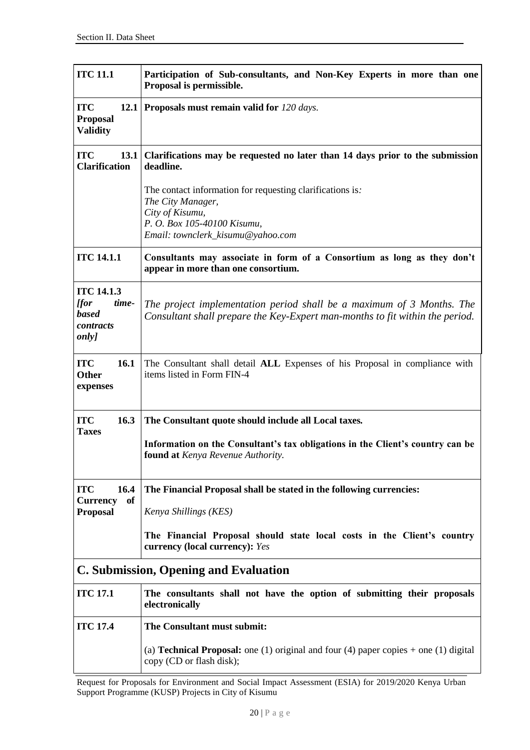| <b>ITC 11.1</b>                                                                                     | Participation of Sub-consultants, and Non-Key Experts in more than one<br>Proposal is permissible.                                                                    |  |
|-----------------------------------------------------------------------------------------------------|-----------------------------------------------------------------------------------------------------------------------------------------------------------------------|--|
| <b>ITC</b><br>12.1<br><b>Proposal</b><br><b>Validity</b>                                            | Proposals must remain valid for 120 days.                                                                                                                             |  |
| <b>ITC</b><br><b>13.1</b><br><b>Clarification</b>                                                   | Clarifications may be requested no later than 14 days prior to the submission<br>deadline.                                                                            |  |
|                                                                                                     | The contact information for requesting clarifications is:<br>The City Manager,<br>City of Kisumu,<br>P. O. Box 105-40100 Kisumu,<br>Email: townclerk_kisumu@yahoo.com |  |
| <b>ITC 14.1.1</b>                                                                                   | Consultants may associate in form of a Consortium as long as they don't<br>appear in more than one consortium.                                                        |  |
| <b>ITC 14.1.3</b><br><i><u><b>for</b></u></i><br>time-<br><b>based</b><br>contracts<br><i>only]</i> | The project implementation period shall be a maximum of 3 Months. The<br>Consultant shall prepare the Key-Expert man-months to fit within the period.                 |  |
| <b>ITC</b><br>16.1<br><b>Other</b><br>expenses                                                      | The Consultant shall detail ALL Expenses of his Proposal in compliance with<br>items listed in Form FIN-4                                                             |  |
| 16.3<br><b>ITC</b>                                                                                  | The Consultant quote should include all Local taxes.                                                                                                                  |  |
| <b>Taxes</b>                                                                                        | Information on the Consultant's tax obligations in the Client's country can be<br>found at Kenya Revenue Authority.                                                   |  |
| 16.4<br><b>ITC</b>                                                                                  | The Financial Proposal shall be stated in the following currencies:                                                                                                   |  |
| <b>of</b><br><b>Currency</b><br><b>Proposal</b>                                                     | Kenya Shillings (KES)                                                                                                                                                 |  |
|                                                                                                     | The Financial Proposal should state local costs in the Client's country<br>currency (local currency): Yes                                                             |  |
| C. Submission, Opening and Evaluation                                                               |                                                                                                                                                                       |  |
| <b>ITC 17.1</b>                                                                                     | The consultants shall not have the option of submitting their proposals<br>electronically                                                                             |  |
| <b>ITC 17.4</b>                                                                                     | The Consultant must submit:                                                                                                                                           |  |
|                                                                                                     | (a) <b>Technical Proposal:</b> one (1) original and four (4) paper copies $+$ one (1) digital<br>copy (CD or flash disk);                                             |  |

Request for Proposals for Environment and Social Impact Assessment (ESIA) for 2019/2020 Kenya Urban Support Programme (KUSP) Projects in City of Kisumu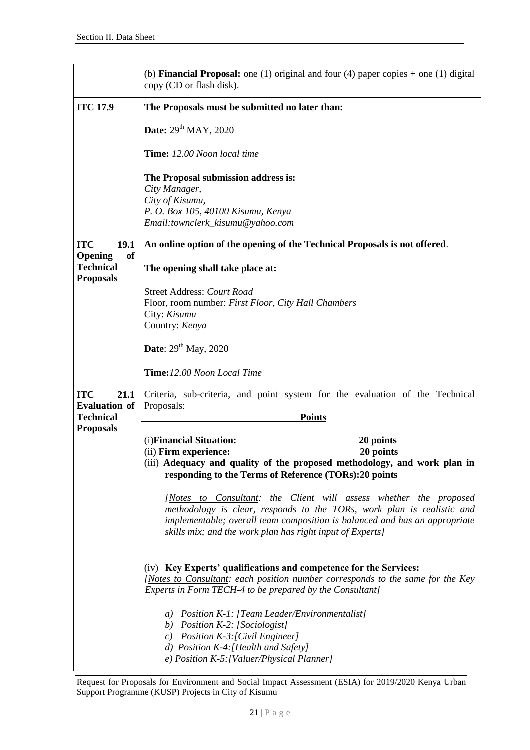|                                                              | (b) <b>Financial Proposal:</b> one (1) original and four (4) paper copies $+$ one (1) digital<br>copy (CD or flash disk).                                                                                                                                                              |
|--------------------------------------------------------------|----------------------------------------------------------------------------------------------------------------------------------------------------------------------------------------------------------------------------------------------------------------------------------------|
| <b>ITC 17.9</b>                                              | The Proposals must be submitted no later than:                                                                                                                                                                                                                                         |
|                                                              | Date: 29 <sup>th</sup> MAY, 2020                                                                                                                                                                                                                                                       |
|                                                              | Time: 12.00 Noon local time                                                                                                                                                                                                                                                            |
|                                                              | The Proposal submission address is:<br>City Manager,                                                                                                                                                                                                                                   |
|                                                              | City of Kisumu,<br>P. O. Box 105, 40100 Kisumu, Kenya<br>Email:townclerk_kisumu@yahoo.com                                                                                                                                                                                              |
| <b>ITC</b><br>19.1                                           | An online option of the opening of the Technical Proposals is not offered.                                                                                                                                                                                                             |
| Opening<br><b>of</b><br><b>Technical</b><br><b>Proposals</b> | The opening shall take place at:                                                                                                                                                                                                                                                       |
|                                                              | <b>Street Address: Court Road</b>                                                                                                                                                                                                                                                      |
|                                                              | Floor, room number: First Floor, City Hall Chambers<br>City: Kisumu                                                                                                                                                                                                                    |
|                                                              | Country: Kenya                                                                                                                                                                                                                                                                         |
|                                                              | <b>Date:</b> $29^{th}$ May, 2020                                                                                                                                                                                                                                                       |
|                                                              | Time:12.00 Noon Local Time                                                                                                                                                                                                                                                             |
| <b>ITC</b><br>21.1<br><b>Evaluation of</b>                   | Criteria, sub-criteria, and point system for the evaluation of the Technical<br>Proposals:                                                                                                                                                                                             |
| <b>Technical</b><br><b>Proposals</b>                         | <b>Points</b>                                                                                                                                                                                                                                                                          |
|                                                              | (i) Financial Situation:<br>20 points                                                                                                                                                                                                                                                  |
|                                                              | (ii) Firm experience:<br>20 points<br>(iii) Adequacy and quality of the proposed methodology, and work plan in<br>responding to the Terms of Reference (TORs):20 points                                                                                                                |
|                                                              | [Notes to Consultant: the Client will assess whether the proposed<br>methodology is clear, responds to the TORs, work plan is realistic and<br>implementable; overall team composition is balanced and has an appropriate<br>skills mix; and the work plan has right input of Experts] |
|                                                              | (iv) Key Experts' qualifications and competence for the Services:<br>[Notes to Consultant: each position number corresponds to the same for the Key<br>Experts in Form TECH-4 to be prepared by the Consultant]                                                                        |
|                                                              | a) Position K-1: [Team Leader/Environmentalist]<br>b) Position K-2: [Sociologist]<br>c) Position $K-3$ : [Civil Engineer]<br>d) Position K-4: [Health and Safety]<br>e) Position K-5: [Valuer/Physical Planner]                                                                        |

Request for Proposals for Environment and Social Impact Assessment (ESIA) for 2019/2020 Kenya Urban Support Programme (KUSP) Projects in City of Kisumu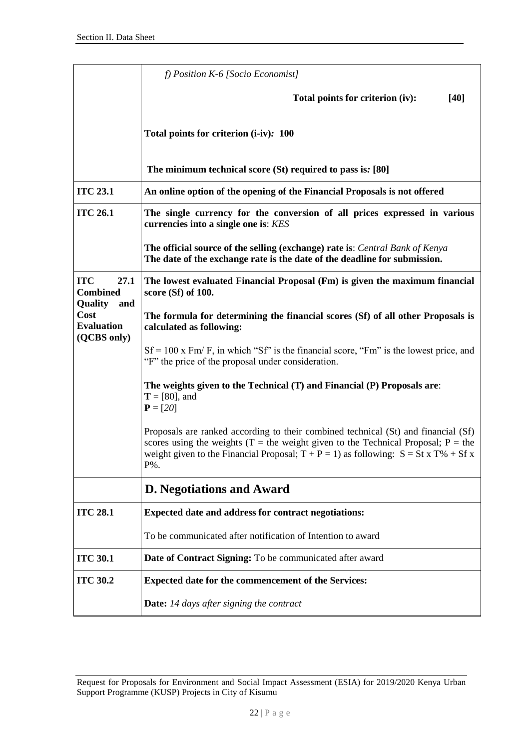|                                                            | $f$ ) Position K-6 [Socio Economist]                                                                                                                                                                                                                                          |
|------------------------------------------------------------|-------------------------------------------------------------------------------------------------------------------------------------------------------------------------------------------------------------------------------------------------------------------------------|
|                                                            | Total points for criterion (iv):<br>$[40]$                                                                                                                                                                                                                                    |
|                                                            | Total points for criterion (i-iv): 100                                                                                                                                                                                                                                        |
|                                                            | The minimum technical score (St) required to pass is: [80]                                                                                                                                                                                                                    |
| <b>ITC 23.1</b>                                            | An online option of the opening of the Financial Proposals is not offered                                                                                                                                                                                                     |
| <b>ITC 26.1</b>                                            | The single currency for the conversion of all prices expressed in various<br>currencies into a single one is: KES                                                                                                                                                             |
|                                                            | The official source of the selling (exchange) rate is: Central Bank of Kenya<br>The date of the exchange rate is the date of the deadline for submission.                                                                                                                     |
| <b>ITC</b><br>27.1<br><b>Combined</b>                      | The lowest evaluated Financial Proposal (Fm) is given the maximum financial<br>score $(Sf)$ of 100.                                                                                                                                                                           |
| Quality<br>and<br>Cost<br><b>Evaluation</b><br>(QCBS only) | The formula for determining the financial scores (Sf) of all other Proposals is<br>calculated as following:                                                                                                                                                                   |
|                                                            | $Sf = 100$ x Fm/F, in which "Sf" is the financial score, "Fm" is the lowest price, and<br>"F" the price of the proposal under consideration.                                                                                                                                  |
|                                                            | The weights given to the Technical (T) and Financial (P) Proposals are:<br>$T = [80]$ , and<br>$P = [20]$                                                                                                                                                                     |
|                                                            | Proposals are ranked according to their combined technical (St) and financial (Sf)<br>scores using the weights (T = the weight given to the Technical Proposal; $P =$ the<br>weight given to the Financial Proposal; $T + P = 1$ ) as following: $S = St x T\% + Sf x$<br>P%. |
|                                                            | <b>D. Negotiations and Award</b>                                                                                                                                                                                                                                              |
| <b>ITC 28.1</b>                                            | Expected date and address for contract negotiations:                                                                                                                                                                                                                          |
|                                                            | To be communicated after notification of Intention to award                                                                                                                                                                                                                   |
| <b>ITC 30.1</b>                                            | Date of Contract Signing: To be communicated after award                                                                                                                                                                                                                      |
| <b>ITC 30.2</b>                                            | Expected date for the commencement of the Services:                                                                                                                                                                                                                           |
|                                                            | <b>Date:</b> 14 days after signing the contract                                                                                                                                                                                                                               |

Request for Proposals for Environment and Social Impact Assessment (ESIA) for 2019/2020 Kenya Urban Support Programme (KUSP) Projects in City of Kisumu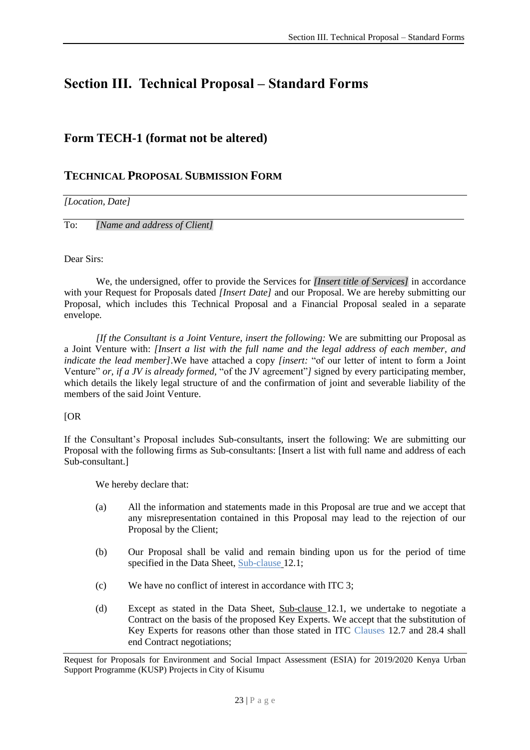# <span id="page-24-0"></span>**Section III. Technical Proposal – Standard Forms**

## **Form TECH-1 (format not be altered)**

### **TECHNICAL PROPOSAL SUBMISSION FORM**

#### *[Location, Date]*

To: *[Name and address of Client]*

#### Dear Sirs:

We, the undersigned, offer to provide the Services for *[Insert title of Services]* in accordance with your Request for Proposals dated *[Insert Date]* and our Proposal. We are hereby submitting our Proposal, which includes this Technical Proposal and a Financial Proposal sealed in a separate envelope*.*

*[If the Consultant is a Joint Venture, insert the following:* We are submitting our Proposal as a Joint Venture with: *[Insert a list with the full name and the legal address of each member, and indicate the lead member]*.We have attached a copy *[insert:* "of our letter of intent to form a Joint Venture" *or, if a JV is already formed,* "of the JV agreement"*]* signed by every participating member, which details the likely legal structure of and the confirmation of joint and severable liability of the members of the said Joint Venture.

#### [OR

If the Consultant's Proposal includes Sub-consultants, insert the following: We are submitting our Proposal with the following firms as Sub-consultants: [Insert a list with full name and address of each Sub-consultant.]

We hereby declare that:

- (a) All the information and statements made in this Proposal are true and we accept that any misrepresentation contained in this Proposal may lead to the rejection of our Proposal by the Client;
- (b) Our Proposal shall be valid and remain binding upon us for the period of time specified in the Data Sheet, Sub-clause 12.1;
- (c) We have no conflict of interest in accordance with ITC 3;
- (d) Except as stated in the Data Sheet, Sub-clause 12.1, we undertake to negotiate a Contract on the basis of the proposed  $\overline{\text{Key Events}}$ . We accept that the substitution of Key Experts for reasons other than those stated in ITC Clauses 12.7 and 28.4 shall end Contract negotiations;

Request for Proposals for Environment and Social Impact Assessment (ESIA) for 2019/2020 Kenya Urban Support Programme (KUSP) Projects in City of Kisumu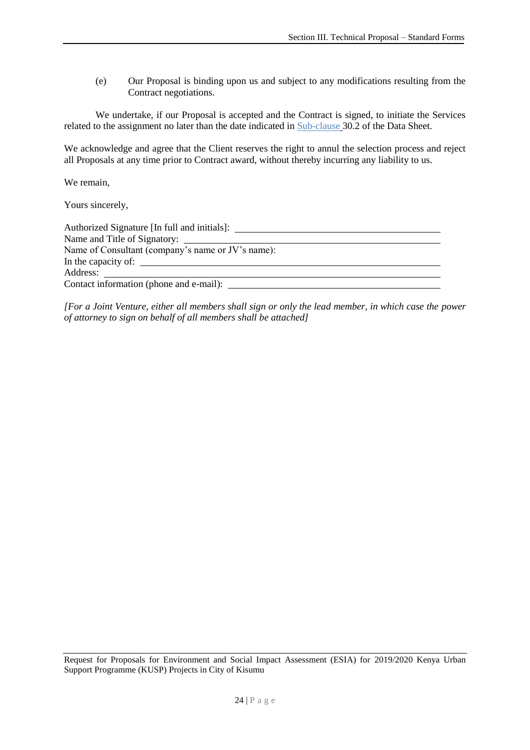(e) Our Proposal is binding upon us and subject to any modifications resulting from the Contract negotiations.

We undertake, if our Proposal is accepted and the Contract is signed, to initiate the Services related to the assignment no later than the date indicated in Sub-clause 30.2 of the Data Sheet.

We acknowledge and agree that the Client reserves the right to annul the selection process and reject all Proposals at any time prior to Contract award, without thereby incurring any liability to us.

We remain,

Yours sincerely,

| Authorized Signature [In full and initials]:      |  |  |
|---------------------------------------------------|--|--|
|                                                   |  |  |
| Name of Consultant (company's name or JV's name): |  |  |
|                                                   |  |  |
| Address:                                          |  |  |
| Contact information (phone and e-mail): _         |  |  |

*[For a Joint Venture, either all members shall sign or only the lead member, in which case the power of attorney to sign on behalf of all members shall be attached]*

Request for Proposals for Environment and Social Impact Assessment (ESIA) for 2019/2020 Kenya Urban Support Programme (KUSP) Projects in City of Kisumu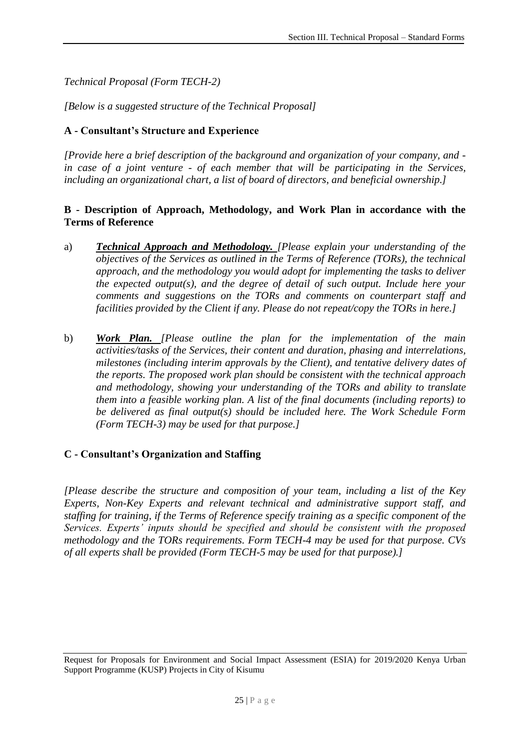*Technical Proposal (Form TECH-2)*

*[Below is a suggested structure of the Technical Proposal]*

#### **A - Consultant's Structure and Experience**

*[Provide here a brief description of the background and organization of your company, and in case of a joint venture - of each member that will be participating in the Services, including an organizational chart, a list of board of directors, and beneficial ownership.]*

#### **B - Description of Approach, Methodology, and Work Plan in accordance with the Terms of Reference**

- a) *Technical Approach and Methodology. [Please explain your understanding of the objectives of the Services as outlined in the Terms of Reference (TORs), the technical approach, and the methodology you would adopt for implementing the tasks to deliver the expected output(s), and the degree of detail of such output. Include here your comments and suggestions on the TORs and comments on counterpart staff and facilities provided by the Client if any. Please do not repeat/copy the TORs in here.]*
- b) *Work Plan. [Please outline the plan for the implementation of the main activities/tasks of the Services, their content and duration, phasing and interrelations, milestones (including interim approvals by the Client), and tentative delivery dates of the reports. The proposed work plan should be consistent with the technical approach and methodology, showing your understanding of the TORs and ability to translate them into a feasible working plan. A list of the final documents (including reports) to be delivered as final output(s) should be included here. The Work Schedule Form (Form TECH-3) may be used for that purpose.]*

#### **C - Consultant's Organization and Staffing**

*[Please describe the structure and composition of your team, including a list of the Key Experts, Non-Key Experts and relevant technical and administrative support staff, and staffing for training, if the Terms of Reference specify training as a specific component of the Services. Experts' inputs should be specified and should be consistent with the proposed methodology and the TORs requirements. Form TECH-4 may be used for that purpose. CVs of all experts shall be provided (Form TECH-5 may be used for that purpose).]*

Request for Proposals for Environment and Social Impact Assessment (ESIA) for 2019/2020 Kenya Urban Support Programme (KUSP) Projects in City of Kisumu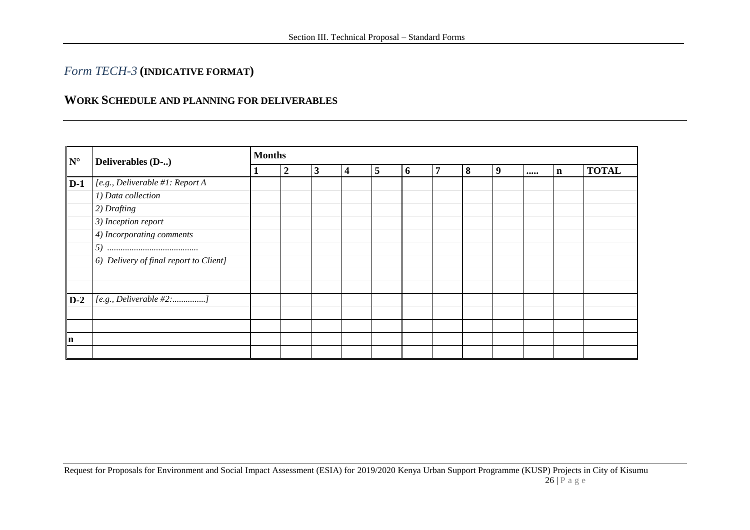## *Form TECH-3* **(INDICATIVE FORMAT)**

### **WORK SCHEDULE AND PLANNING FOR DELIVERABLES**

| $\mathbf{N}^\circ$ | Deliverables (D-)                       | <b>Months</b>    |   |   |   |   |   |   |   |  |   |              |  |
|--------------------|-----------------------------------------|------------------|---|---|---|---|---|---|---|--|---|--------------|--|
|                    |                                         | $\boldsymbol{2}$ | 3 | 4 | 5 | 6 | 7 | 8 | 9 |  | n | <b>TOTAL</b> |  |
| $D-1$              | [e.g., Deliverable #1: Report A         |                  |   |   |   |   |   |   |   |  |   |              |  |
|                    | 1) Data collection                      |                  |   |   |   |   |   |   |   |  |   |              |  |
|                    | 2) Drafting                             |                  |   |   |   |   |   |   |   |  |   |              |  |
|                    | 3) Inception report                     |                  |   |   |   |   |   |   |   |  |   |              |  |
|                    | $\overline{4}$ ) Incorporating comments |                  |   |   |   |   |   |   |   |  |   |              |  |
|                    |                                         |                  |   |   |   |   |   |   |   |  |   |              |  |
|                    | 6) Delivery of final report to Client]  |                  |   |   |   |   |   |   |   |  |   |              |  |
|                    |                                         |                  |   |   |   |   |   |   |   |  |   |              |  |
|                    |                                         |                  |   |   |   |   |   |   |   |  |   |              |  |
| $D-2$              | [e.g., Deliverable #2:]                 |                  |   |   |   |   |   |   |   |  |   |              |  |
|                    |                                         |                  |   |   |   |   |   |   |   |  |   |              |  |
|                    |                                         |                  |   |   |   |   |   |   |   |  |   |              |  |
| $\mathbf n$        |                                         |                  |   |   |   |   |   |   |   |  |   |              |  |
|                    |                                         |                  |   |   |   |   |   |   |   |  |   |              |  |

Request for Proposals for Environment and Social Impact Assessment (ESIA) for 2019/2020 Kenya Urban Support Programme (KUSP) Projects in City of Kisumu  $26$  | P a g e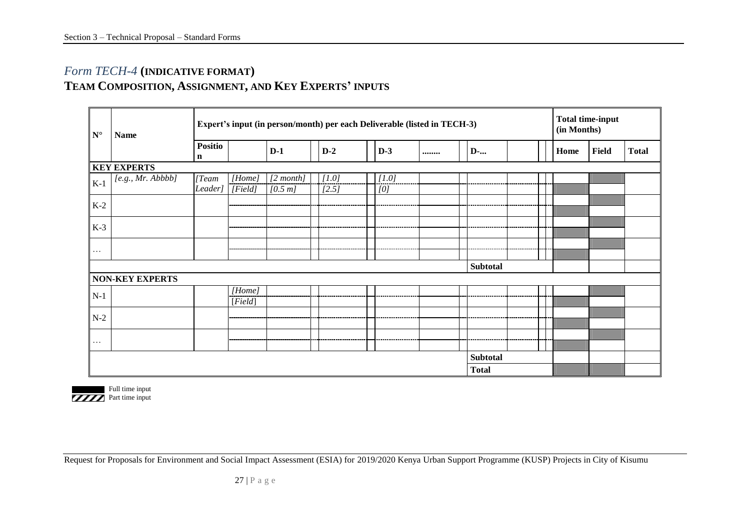## *Form TECH-4* **(INDICATIVE FORMAT) TEAM COMPOSITION, ASSIGNMENT, AND KEY EXPERTS' INPUTS**

| $\mathbf{N}^{\circ}$ | <b>Name</b>                      |                               | Expert's input (in person/month) per each Deliverable (listed in TECH-3) |                           |  |                |  |              |  |  |                 |  |  | (in Months) | <b>Total time-input</b> |              |
|----------------------|----------------------------------|-------------------------------|--------------------------------------------------------------------------|---------------------------|--|----------------|--|--------------|--|--|-----------------|--|--|-------------|-------------------------|--------------|
|                      |                                  | <b>Positio</b><br>$\mathbf n$ |                                                                          | $D-1$                     |  | $D-2$          |  | $D-3$        |  |  | D-              |  |  | Home        | Field                   | <b>Total</b> |
|                      | <b>KEY EXPERTS</b>               |                               |                                                                          |                           |  |                |  |              |  |  |                 |  |  |             |                         |              |
| $K-1$                | $[$ e.g., Mr. $\overline{Abbbb}$ | Team<br>Leader]               | [Home]<br>[Field]                                                        | $[2 \; month]$<br>[0.5 m] |  | [1.0]<br>[2.5] |  | [1.0]<br>[0] |  |  |                 |  |  |             |                         |              |
| $K-2$                |                                  |                               |                                                                          |                           |  |                |  |              |  |  |                 |  |  |             |                         |              |
| $K-3$                |                                  |                               |                                                                          |                           |  |                |  |              |  |  |                 |  |  |             |                         |              |
| $ \cdots $           |                                  |                               |                                                                          |                           |  |                |  |              |  |  |                 |  |  |             |                         |              |
|                      |                                  |                               |                                                                          |                           |  |                |  |              |  |  | <b>Subtotal</b> |  |  |             |                         |              |
|                      | <b>NON-KEY EXPERTS</b>           |                               |                                                                          |                           |  |                |  |              |  |  |                 |  |  |             |                         |              |
| $N-1$                |                                  |                               | [Home]<br>[Field]                                                        |                           |  |                |  |              |  |  |                 |  |  |             |                         |              |
| $N-2$                |                                  |                               |                                                                          |                           |  |                |  |              |  |  |                 |  |  | m.          | ▥                       |              |
|                      |                                  |                               |                                                                          |                           |  |                |  |              |  |  |                 |  |  |             |                         |              |
|                      | Subtotal                         |                               |                                                                          |                           |  |                |  |              |  |  |                 |  |  |             |                         |              |
|                      |                                  |                               |                                                                          |                           |  |                |  |              |  |  | <b>Total</b>    |  |  |             | ▓▓▓▓▓▓▓                 |              |



Request for Proposals for Environment and Social Impact Assessment (ESIA) for 2019/2020 Kenya Urban Support Programme (KUSP) Projects in City of Kisumu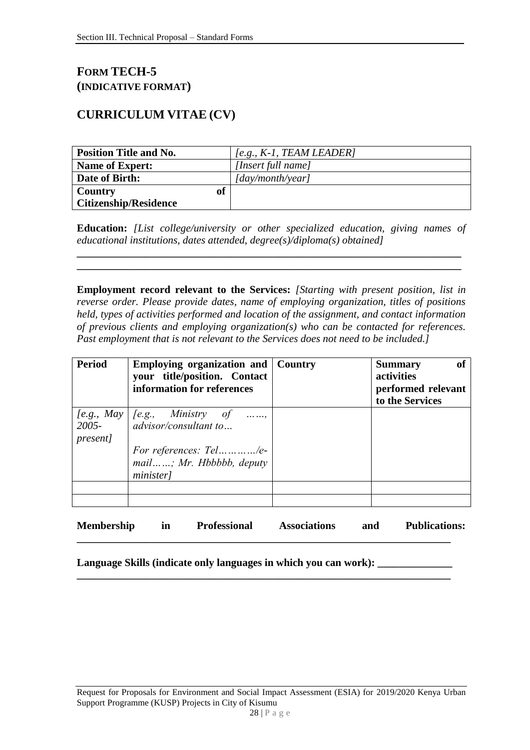## **FORM TECH-5 (INDICATIVE FORMAT)**

## **CURRICULUM VITAE (CV)**

| <b>Position Title and No.</b> | $[e.g., K-1, TEAM LEADER]$       |
|-------------------------------|----------------------------------|
| <b>Name of Expert:</b>        | [Insert full name]               |
| Date of Birth:                | $\lceil$ day/month/year $\rceil$ |
| <b>of</b><br>Country          |                                  |
| <b>Citizenship/Residence</b>  |                                  |

**Education:** *[List college/university or other specialized education, giving names of educational institutions, dates attended, degree(s)/diploma(s) obtained]*

**\_\_\_\_\_\_\_\_\_\_\_\_\_\_\_\_\_\_\_\_\_\_\_\_\_\_\_\_\_\_\_\_\_\_\_\_\_\_\_\_\_\_\_\_\_\_\_\_\_\_\_\_\_\_\_\_\_\_\_\_\_\_\_\_\_\_\_\_\_\_\_\_ \_\_\_\_\_\_\_\_\_\_\_\_\_\_\_\_\_\_\_\_\_\_\_\_\_\_\_\_\_\_\_\_\_\_\_\_\_\_\_\_\_\_\_\_\_\_\_\_\_\_\_\_\_\_\_\_\_\_\_\_\_\_\_\_\_\_\_\_\_\_\_\_**

**Employment record relevant to the Services:** *[Starting with present position, list in reverse order. Please provide dates, name of employing organization, titles of positions held, types of activities performed and location of the assignment, and contact information of previous clients and employing organization(s) who can be contacted for references. Past employment that is not relevant to the Services does not need to be included.]*

| <b>Period</b>               | <b>Employing organization and   Country</b><br>your title/position. Contact<br>information for references                   | of<br><b>Summary</b><br>activities<br>performed relevant<br>to the Services |
|-----------------------------|-----------------------------------------------------------------------------------------------------------------------------|-----------------------------------------------------------------------------|
| $2005 -$<br><i>present]</i> | [e.g., May   [e.g., Ministry of<br>advisor/consultant to<br>For references: Tel/e-<br>mail; Mr. Hbbbbb, deputy<br>minister] |                                                                             |
|                             |                                                                                                                             |                                                                             |

**Membership in Professional Associations and Publications:** 

**\_\_\_\_\_\_\_\_\_\_\_\_\_\_\_\_\_\_\_\_\_\_\_\_\_\_\_\_\_\_\_\_\_\_\_\_\_\_\_\_\_\_\_\_\_\_\_\_\_\_\_\_\_\_\_\_\_\_\_\_\_\_\_\_\_\_\_\_\_\_**

**\_\_\_\_\_\_\_\_\_\_\_\_\_\_\_\_\_\_\_\_\_\_\_\_\_\_\_\_\_\_\_\_\_\_\_\_\_\_\_\_\_\_\_\_\_\_\_\_\_\_\_\_\_\_\_\_\_\_\_\_\_\_\_\_\_\_\_\_\_\_**

Language Skills (indicate only languages in which you can work): \_\_\_\_\_\_\_\_\_\_\_\_\_\_\_

Request for Proposals for Environment and Social Impact Assessment (ESIA) for 2019/2020 Kenya Urban Support Programme (KUSP) Projects in City of Kisumu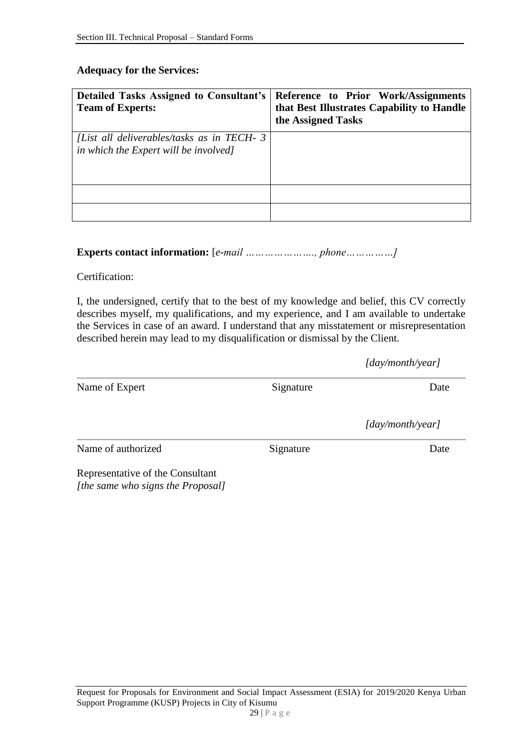#### **Adequacy for the Services:**

| <b>Detailed Tasks Assigned to Consultant's</b><br><b>Team of Experts:</b>           | Reference to Prior Work/Assignments<br>that Best Illustrates Capability to Handle<br>the Assigned Tasks |
|-------------------------------------------------------------------------------------|---------------------------------------------------------------------------------------------------------|
| [List all deliverables/tasks as in TECH-3]<br>in which the Expert will be involved] |                                                                                                         |
|                                                                                     |                                                                                                         |
|                                                                                     |                                                                                                         |

## **Experts contact information:** [*e-mail …………………., phone……………]*

Certification:

I, the undersigned, certify that to the best of my knowledge and belief, this CV correctly describes myself, my qualifications, and my experience, and I am available to undertake the Services in case of an award. I understand that any misstatement or misrepresentation described herein may lead to my disqualification or dismissal by the Client.

|                                                                       |           | [day/month/year] |
|-----------------------------------------------------------------------|-----------|------------------|
| Name of Expert                                                        | Signature | Date             |
|                                                                       |           | [day/month/year] |
| Name of authorized                                                    | Signature | Date             |
| Representative of the Consultant<br>[the same who signs the Proposal] |           |                  |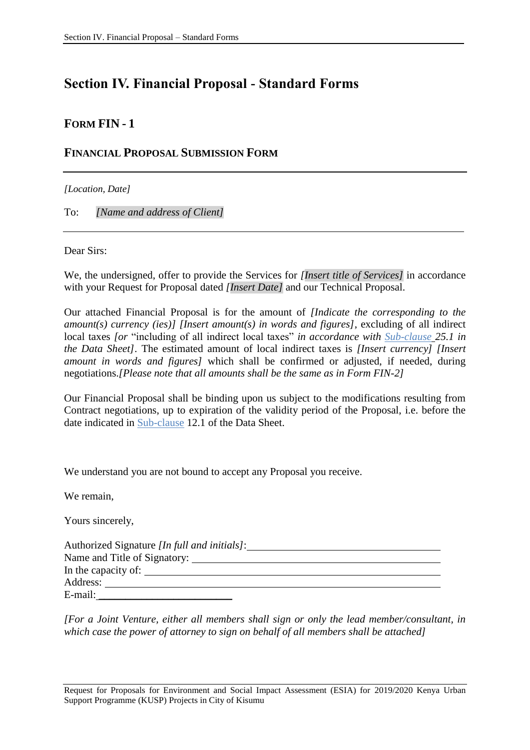# <span id="page-31-0"></span>**Section IV. Financial Proposal - Standard Forms**

## **FORM FIN - 1**

### **FINANCIAL PROPOSAL SUBMISSION FORM**

*[Location, Date]*

To: *[Name and address of Client]*

Dear Sirs:

We, the undersigned, offer to provide the Services for *[Insert title of Services]* in accordance with your Request for Proposal dated *[Insert Date]* and our Technical Proposal.

Our attached Financial Proposal is for the amount of *[Indicate the corresponding to the amount(s) currency (ies)] [Insert amount(s) in words and figures]*, excluding of all indirect local taxes *[or* "including of all indirect local taxes" *in accordance with Sub-clause 25.1 in the Data Sheet]*. The estimated amount of local indirect taxes is *[Insert currency] [Insert amount in words and figures]* which shall be confirmed or adjusted, if needed, during negotiations.*[Please note that all amounts shall be the same as in Form FIN-2]*

Our Financial Proposal shall be binding upon us subject to the modifications resulting from Contract negotiations, up to expiration of the validity period of the Proposal, i.e. before the date indicated in Sub-clause 12.1 of the Data Sheet.

We understand you are not bound to accept any Proposal you receive.

We remain,

Yours sincerely,

| Authorized Signature <i>[In full and initials]</i> : |
|------------------------------------------------------|
|                                                      |
| In the capacity of:                                  |
| Address:                                             |
| E-mail:                                              |

*[For a Joint Venture, either all members shall sign or only the lead member/consultant, in which case the power of attorney to sign on behalf of all members shall be attached]*

Request for Proposals for Environment and Social Impact Assessment (ESIA) for 2019/2020 Kenya Urban Support Programme (KUSP) Projects in City of Kisumu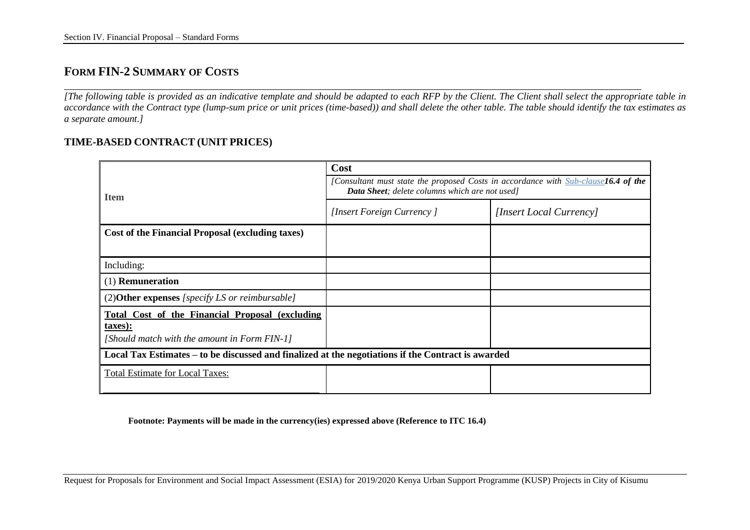### **FORM FIN-2 SUMMARY OF COSTS**

*[The following table is provided as an indicative template and should be adapted to each RFP by the Client. The Client shall select the appropriate table in accordance with the Contract type (lump-sum price or unit prices (time-based)) and shall delete the other table. The table should identify the tax estimates as a separate amount.]*

#### **TIME-BASED CONTRACT (UNIT PRICES)**

|                                                                                                            | Cost                                                                                                                                 |                         |  |  |  |  |  |  |
|------------------------------------------------------------------------------------------------------------|--------------------------------------------------------------------------------------------------------------------------------------|-------------------------|--|--|--|--|--|--|
| <b>Item</b>                                                                                                | [Consultant must state the proposed Costs in accordance with Sub-clause16.4 of the<br>Data Sheet; delete columns which are not used] |                         |  |  |  |  |  |  |
|                                                                                                            | [Insert Foreign Currency]                                                                                                            | [Insert Local Currency] |  |  |  |  |  |  |
| Cost of the Financial Proposal (excluding taxes)                                                           |                                                                                                                                      |                         |  |  |  |  |  |  |
|                                                                                                            |                                                                                                                                      |                         |  |  |  |  |  |  |
| Including:                                                                                                 |                                                                                                                                      |                         |  |  |  |  |  |  |
| (1) <b>Remuneration</b>                                                                                    |                                                                                                                                      |                         |  |  |  |  |  |  |
| $(2)$ <b>Other expenses</b> [specify LS or reimbursable]                                                   |                                                                                                                                      |                         |  |  |  |  |  |  |
| Total Cost of the Financial Proposal (excluding<br>taxes):<br>[Should match with the amount in Form FIN-1] |                                                                                                                                      |                         |  |  |  |  |  |  |
| Local Tax Estimates – to be discussed and finalized at the negotiations if the Contract is awarded         |                                                                                                                                      |                         |  |  |  |  |  |  |
| <b>Total Estimate for Local Taxes:</b>                                                                     |                                                                                                                                      |                         |  |  |  |  |  |  |

**Footnote: Payments will be made in the currency(ies) expressed above (Reference to ITC 16.4)**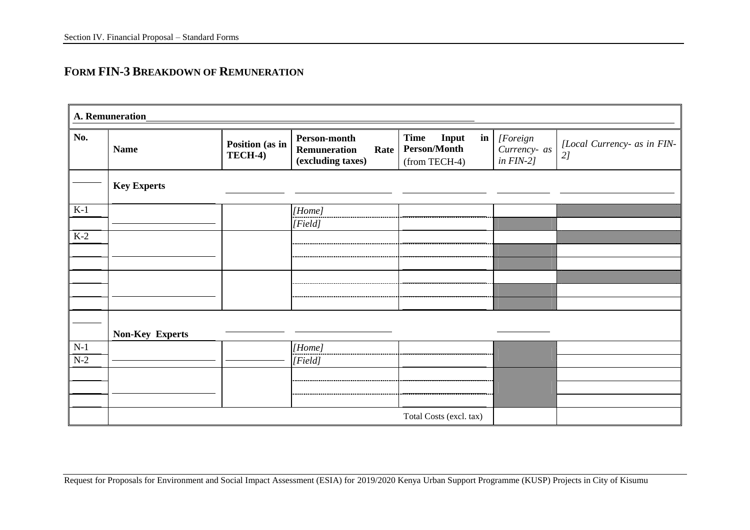## **FORM FIN-3 BREAKDOWN OF REMUNERATION**

|       | A. Remuneration        |                            |                                                           |                                                       |               |                                          |                                   |
|-------|------------------------|----------------------------|-----------------------------------------------------------|-------------------------------------------------------|---------------|------------------------------------------|-----------------------------------|
| No.   | <b>Name</b>            | Position (as in<br>TECH-4) | Person-month<br>Remuneration<br>Rate<br>(excluding taxes) | Time<br>Input<br><b>Person/Month</b><br>(from TECH-4) | $\mathbf{in}$ | [Foreign<br>Currency- as<br>in $FIN-2$ ] | [Local Currency- as in FIN-<br>2j |
|       | <b>Key Experts</b>     |                            |                                                           |                                                       |               |                                          |                                   |
| $K-1$ |                        |                            | [Home]                                                    |                                                       |               |                                          |                                   |
|       |                        |                            | [Field]                                                   |                                                       |               |                                          |                                   |
| $K-2$ |                        |                            |                                                           |                                                       |               |                                          |                                   |
|       |                        |                            |                                                           |                                                       |               |                                          |                                   |
|       |                        |                            |                                                           |                                                       |               |                                          |                                   |
|       |                        |                            |                                                           |                                                       |               |                                          |                                   |
|       |                        |                            |                                                           |                                                       |               |                                          |                                   |
|       |                        |                            |                                                           |                                                       |               |                                          |                                   |
|       |                        |                            |                                                           |                                                       |               |                                          |                                   |
|       | <b>Non-Key Experts</b> |                            |                                                           |                                                       |               |                                          |                                   |
| $N-1$ |                        |                            | [Home]                                                    |                                                       |               |                                          |                                   |
| $N-2$ |                        |                            | [Field]                                                   |                                                       |               |                                          |                                   |
|       |                        |                            |                                                           |                                                       |               |                                          |                                   |
|       |                        |                            |                                                           |                                                       |               |                                          |                                   |
|       |                        |                            |                                                           |                                                       |               |                                          |                                   |
|       |                        |                            |                                                           | Total Costs (excl. tax)                               |               |                                          |                                   |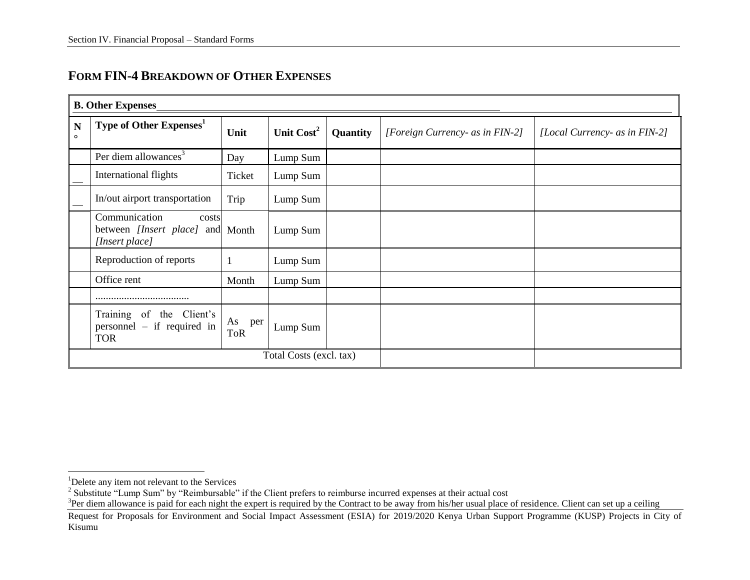| <b>FORM FIN-4 BREAKDOWN OF OTHER EXPENSES</b> |  |  |
|-----------------------------------------------|--|--|
|-----------------------------------------------|--|--|

|              | <b>B. Other Expenses</b>                                                     |                         |                         |          |                                 |                               |  |  |  |  |  |
|--------------|------------------------------------------------------------------------------|-------------------------|-------------------------|----------|---------------------------------|-------------------------------|--|--|--|--|--|
| N<br>$\circ$ | Type of Other Expenses <sup>1</sup>                                          | Unit                    | Unit Cost <sup>2</sup>  | Quantity | [Foreign Currency- as in FIN-2] | [Local Currency- as in FIN-2] |  |  |  |  |  |
|              | Per diem allowances <sup>3</sup>                                             | Day                     | Lump Sum                |          |                                 |                               |  |  |  |  |  |
|              | International flights                                                        | Ticket                  | Lump Sum                |          |                                 |                               |  |  |  |  |  |
|              | In/out airport transportation                                                | Trip                    | Lump Sum                |          |                                 |                               |  |  |  |  |  |
|              | Communication<br>costs<br>between [Insert place] and Month<br>[Insert place] |                         | Lump Sum                |          |                                 |                               |  |  |  |  |  |
|              | Reproduction of reports                                                      |                         | Lump Sum                |          |                                 |                               |  |  |  |  |  |
|              | Office rent                                                                  | Month                   | Lump Sum                |          |                                 |                               |  |  |  |  |  |
|              |                                                                              |                         |                         |          |                                 |                               |  |  |  |  |  |
|              | Training<br>of<br>the Client's<br>$personnel - if required in$<br><b>TOR</b> | As<br>per<br><b>ToR</b> | Lump Sum                |          |                                 |                               |  |  |  |  |  |
|              |                                                                              |                         | Total Costs (excl. tax) |          |                                 |                               |  |  |  |  |  |

 $\overline{a}$ 

 $3$ Per diem allowance is paid for each night the expert is required by the Contract to be away from his/her usual place of residence. Client can set up a ceiling

<sup>&</sup>lt;sup>1</sup>Delete any item not relevant to the Services<br><sup>2</sup> Substitute "Lump Sum" by "Reimbursable" if the Client prefers to reimburse incurred expenses at their actual cost

Request for Proposals for Environment and Social Impact Assessment (ESIA) for 2019/2020 Kenya Urban Support Programme (KUSP) Projects in City of Kisumu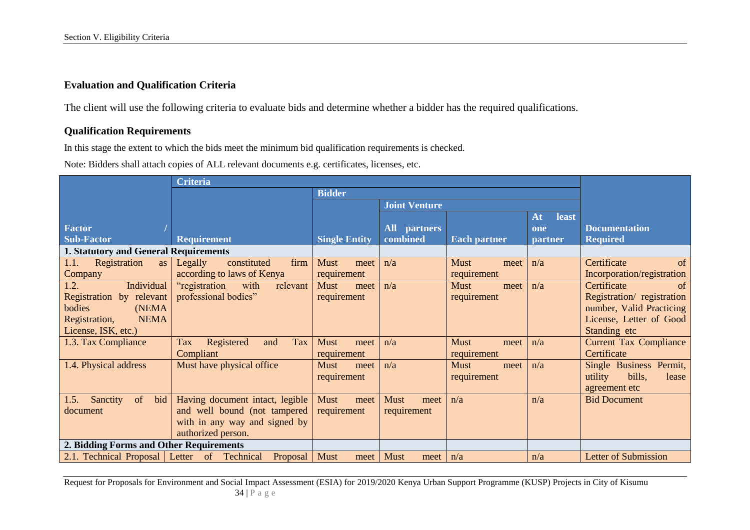### **Evaluation and Qualification Criteria**

The client will use the following criteria to evaluate bids and determine whether a bidder has the required qualifications.

### **Qualification Requirements**

In this stage the extent to which the bids meet the minimum bid qualification requirements is checked.

Note: Bidders shall attach copies of ALL relevant documents e.g. certificates, licenses, etc.

|                                             | <b>Criteria</b>                        |                      |                      |                     |                |                               |
|---------------------------------------------|----------------------------------------|----------------------|----------------------|---------------------|----------------|-------------------------------|
|                                             |                                        | <b>Bidder</b>        |                      |                     |                |                               |
|                                             |                                        |                      | <b>Joint Venture</b> |                     |                |                               |
|                                             |                                        |                      |                      |                     | least<br>At    |                               |
| <b>Factor</b>                               |                                        |                      | <b>All</b> partners  |                     | one            | <b>Documentation</b>          |
| <b>Sub-Factor</b>                           | <b>Requirement</b>                     | <b>Single Entity</b> | combined             | <b>Each partner</b> | <b>partner</b> | <b>Required</b>               |
| 1. Statutory and General Requirements       |                                        |                      |                      |                     |                |                               |
| Registration<br>1.1.<br>as                  | firm<br>Legally<br>constituted         | <b>Must</b><br>meet  | n/a                  | <b>Must</b><br>meet | n/a            | Certificate<br>of             |
| Company                                     | according to laws of Kenya             | requirement          |                      | requirement         |                | Incorporation/registration    |
| 1.2.<br>Individual                          | "registration<br>with<br>relevant      | <b>Must</b><br>meet  | n/a                  | <b>Must</b><br>meet | n/a            | Certificate<br>of             |
| Registration by relevant                    | professional bodies"                   | requirement          |                      | requirement         |                | Registration/ registration    |
| bodies<br>(NEMA)                            |                                        |                      |                      |                     |                | number, Valid Practicing      |
| <b>NEMA</b><br>Registration,                |                                        |                      |                      |                     |                | License, Letter of Good       |
| License, ISK, etc.)                         |                                        |                      |                      |                     |                | Standing etc                  |
| 1.3. Tax Compliance                         | Registered<br><b>Tax</b><br>Tax<br>and | <b>Must</b><br>meet  | n/a                  | <b>Must</b><br>meet | n/a            | <b>Current Tax Compliance</b> |
|                                             | Compliant                              | requirement          |                      | requirement         |                | Certificate                   |
| 1.4. Physical address                       | Must have physical office              | <b>Must</b><br>meet  | n/a                  | <b>Must</b><br>meet | n/a            | Single Business Permit,       |
|                                             |                                        | requirement          |                      | requirement         |                | utility<br>bills,<br>lease    |
|                                             |                                        |                      |                      |                     |                | agreement etc                 |
| <sub>of</sub><br>Sanctity<br>bid<br>1.5.    | Having document intact, legible        | <b>Must</b><br>meet  | <b>Must</b><br>meet  | n/a                 | n/a            | <b>Bid Document</b>           |
| document                                    | and well bound (not tampered           | requirement          | requirement          |                     |                |                               |
|                                             | with in any way and signed by          |                      |                      |                     |                |                               |
|                                             | authorized person.                     |                      |                      |                     |                |                               |
| 2. Bidding Forms and Other Requirements     |                                        |                      |                      |                     |                |                               |
| 2.1. Technical Proposal Letter of Technical | Proposal                               | <b>Must</b><br>meet  | <b>Must</b><br>meet  | n/a                 | n/a            | <b>Letter of Submission</b>   |

Request for Proposals for Environment and Social Impact Assessment (ESIA) for 2019/2020 Kenya Urban Support Programme (KUSP) Projects in City of Kisumu 34 | P a g e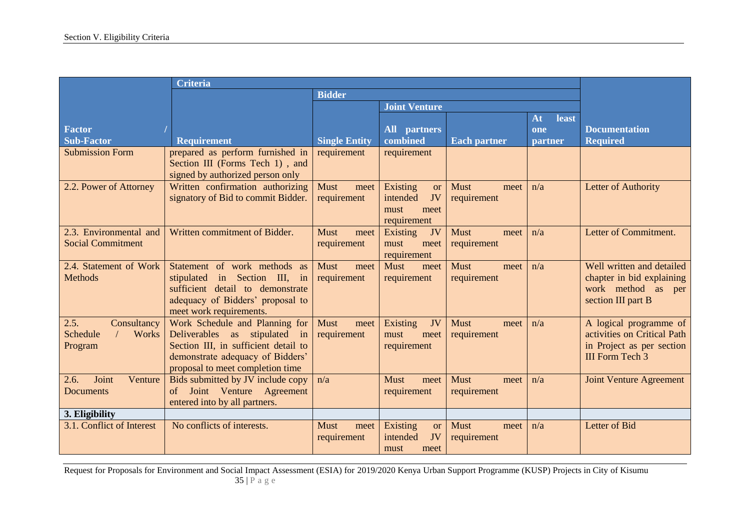|                           | <b>Criteria</b>                      |                      |                            |                     |             |                                |
|---------------------------|--------------------------------------|----------------------|----------------------------|---------------------|-------------|--------------------------------|
|                           |                                      | <b>Bidder</b>        |                            |                     |             |                                |
|                           |                                      |                      | <b>Joint Venture</b>       |                     |             |                                |
|                           |                                      |                      |                            |                     | At<br>least |                                |
| <b>Factor</b>             |                                      |                      | <b>All</b> partners        |                     | one         | <b>Documentation</b>           |
| <b>Sub-Factor</b>         | <b>Requirement</b>                   | <b>Single Entity</b> | combined                   | <b>Each partner</b> | partner     | <b>Required</b>                |
| <b>Submission Form</b>    | prepared as perform furnished in     | requirement          | requirement                |                     |             |                                |
|                           | Section III (Forms Tech 1), and      |                      |                            |                     |             |                                |
|                           | signed by authorized person only     |                      |                            |                     |             |                                |
| 2.2. Power of Attorney    | Written confirmation authorizing     | <b>Must</b><br>meet  | Existing<br><b>or</b>      | <b>Must</b><br>meet | n/a         | Letter of Authority            |
|                           | signatory of Bid to commit Bidder.   | requirement          | JV<br>intended             | requirement         |             |                                |
|                           |                                      |                      | must<br>meet               |                     |             |                                |
|                           |                                      |                      | requirement                |                     |             |                                |
| 2.3. Environmental and    | Written commitment of Bidder.        | <b>Must</b><br>meet  | Existing<br>JV             | <b>Must</b><br>meet | n/a         | Letter of Commitment.          |
| <b>Social Commitment</b>  |                                      | requirement          | must<br>meet               | requirement         |             |                                |
| 2.4. Statement of Work    | Statement of work methods as         | <b>Must</b><br>meet  | requirement<br><b>Must</b> | <b>Must</b>         | n/a         | Well written and detailed      |
| <b>Methods</b>            | in Section III, in<br>stipulated     | requirement          | meet<br>requirement        | meet<br>requirement |             | chapter in bid explaining      |
|                           | sufficient detail to demonstrate     |                      |                            |                     |             | work method as per             |
|                           | adequacy of Bidders' proposal to     |                      |                            |                     |             | section III part B             |
|                           | meet work requirements.              |                      |                            |                     |             |                                |
| 2.5.<br>Consultancy       | Work Schedule and Planning for       | <b>Must</b><br>meet  | Existing<br>JV             | <b>Must</b><br>meet | n/a         | A logical programme of         |
| Schedule<br>Works         | Deliverables as stipulated in        | requirement          | must<br>meet               | requirement         |             | activities on Critical Path    |
| Program                   | Section III, in sufficient detail to |                      | requirement                |                     |             | in Project as per section      |
|                           | demonstrate adequacy of Bidders'     |                      |                            |                     |             | III Form Tech 3                |
|                           | proposal to meet completion time     |                      |                            |                     |             |                                |
| Joint<br>Venture<br>2.6.  | Bids submitted by JV include copy    | n/a                  | Must<br>meet               | <b>Must</b><br>meet | n/a         | <b>Joint Venture Agreement</b> |
| <b>Documents</b>          | Joint Venture Agreement<br>$\sigma$  |                      | requirement                | requirement         |             |                                |
|                           | entered into by all partners.        |                      |                            |                     |             |                                |
| 3. Eligibility            |                                      |                      |                            |                     |             |                                |
| 3.1. Conflict of Interest | No conflicts of interests.           | <b>Must</b><br>meet  | Existing<br><b>or</b>      | <b>Must</b><br>meet | n/a         | Letter of Bid                  |
|                           |                                      | requirement          | intended<br>JV             | requirement         |             |                                |
|                           |                                      |                      | meet<br>must               |                     |             |                                |

Request for Proposals for Environment and Social Impact Assessment (ESIA) for 2019/2020 Kenya Urban Support Programme (KUSP) Projects in City of Kisumu 35 | P a g e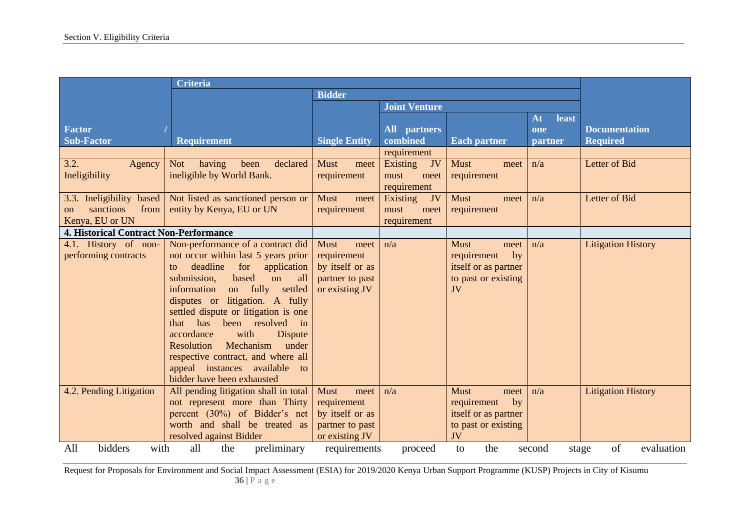| <b>Criteria</b>                                                                                                                    |                                                 |                      |                      |                      |             |                           |
|------------------------------------------------------------------------------------------------------------------------------------|-------------------------------------------------|----------------------|----------------------|----------------------|-------------|---------------------------|
|                                                                                                                                    |                                                 | <b>Bidder</b>        |                      |                      |             |                           |
|                                                                                                                                    |                                                 |                      | <b>Joint Venture</b> |                      |             |                           |
|                                                                                                                                    |                                                 |                      |                      |                      | At<br>least |                           |
| <b>Factor</b>                                                                                                                      |                                                 |                      | <b>All</b> partners  |                      | one         | <b>Documentation</b>      |
| <b>Sub-Factor</b>                                                                                                                  | <b>Requirement</b>                              | <b>Single Entity</b> | combined             | <b>Each partner</b>  | partner     | <b>Required</b>           |
|                                                                                                                                    |                                                 |                      | requirement          |                      |             |                           |
| 3.2.<br>Agency                                                                                                                     | <b>Not</b><br>having<br>declared<br>been        | <b>Must</b><br>meet  | Existing<br>JV       | <b>Must</b><br>meet  | n/a         | Letter of Bid             |
| Ineligibility                                                                                                                      | ineligible by World Bank.                       | requirement          | must<br>meet         | requirement          |             |                           |
|                                                                                                                                    |                                                 |                      | requirement          |                      |             |                           |
| 3.3. Ineligibility based                                                                                                           | Not listed as sanctioned person or              | <b>Must</b><br>meet  | Existing<br>JV       | <b>Must</b><br>meet  | n/a         | Letter of Bid             |
| sanctions<br>from<br>$_{\rm on}$                                                                                                   | entity by Kenya, EU or UN                       | requirement          | must<br>meet         | requirement          |             |                           |
| Kenya, EU or UN                                                                                                                    |                                                 |                      | requirement          |                      |             |                           |
| <b>4. Historical Contract Non-Performance</b>                                                                                      |                                                 |                      |                      |                      |             |                           |
| 4.1. History of non-                                                                                                               | Non-performance of a contract did               | <b>Must</b><br>meet  | n/a                  | <b>Must</b><br>meet  | n/a         | <b>Litigation History</b> |
| performing contracts                                                                                                               | not occur within last 5 years prior             | requirement          |                      | requirement<br>by    |             |                           |
|                                                                                                                                    | deadline<br>for<br>application<br>$\mathsf{to}$ | by itself or as      |                      | itself or as partner |             |                           |
|                                                                                                                                    | based<br>submission,<br>on<br>all               | partner to past      |                      | to past or existing  |             |                           |
|                                                                                                                                    | on fully<br>information<br>settled              | or existing JV       |                      | JV                   |             |                           |
|                                                                                                                                    | disputes or litigation. A fully                 |                      |                      |                      |             |                           |
|                                                                                                                                    | settled dispute or litigation is one            |                      |                      |                      |             |                           |
|                                                                                                                                    | that has been resolved in                       |                      |                      |                      |             |                           |
|                                                                                                                                    | with<br>accordance<br>Dispute                   |                      |                      |                      |             |                           |
|                                                                                                                                    | Mechanism<br>under<br>Resolution                |                      |                      |                      |             |                           |
|                                                                                                                                    | respective contract, and where all              |                      |                      |                      |             |                           |
|                                                                                                                                    | appeal instances available to                   |                      |                      |                      |             |                           |
|                                                                                                                                    | bidder have been exhausted                      |                      |                      |                      |             |                           |
| 4.2. Pending Litigation                                                                                                            | All pending litigation shall in total           | <b>Must</b><br>meet  | n/a                  | <b>Must</b><br>meet  | n/a         | <b>Litigation History</b> |
|                                                                                                                                    | not represent more than Thirty                  | requirement          |                      | by<br>requirement    |             |                           |
|                                                                                                                                    | percent (30%) of Bidder's net                   | by itself or as      |                      | itself or as partner |             |                           |
|                                                                                                                                    | worth and shall be treated as                   | partner to past      |                      | to past or existing  |             |                           |
|                                                                                                                                    | resolved against Bidder                         | or existing JV       |                      | JV                   |             |                           |
| bidders<br>preliminary<br>of<br>All<br>all<br>with<br>the<br>the<br>evaluation<br>requirements<br>second<br>proceed<br>to<br>stage |                                                 |                      |                      |                      |             |                           |

Request for Proposals for Environment and Social Impact Assessment (ESIA) for 2019/2020 Kenya Urban Support Programme (KUSP) Projects in City of Kisumu 36 | P a g e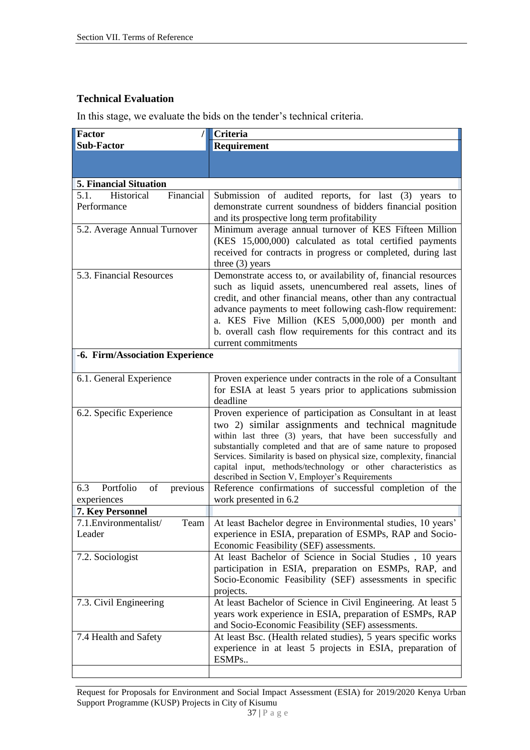#### **Technical Evaluation**

In this stage, we evaluate the bids on the tender's technical criteria.

| Factor                                             | Criteria                                                                                                                        |
|----------------------------------------------------|---------------------------------------------------------------------------------------------------------------------------------|
| <b>Sub-Factor</b>                                  | Requirement                                                                                                                     |
|                                                    |                                                                                                                                 |
|                                                    |                                                                                                                                 |
| <b>5. Financial Situation</b>                      |                                                                                                                                 |
| Financial<br>5.1.<br>Historical                    | Submission of audited reports, for last (3) years to                                                                            |
| Performance                                        | demonstrate current soundness of bidders financial position                                                                     |
|                                                    | and its prospective long term profitability                                                                                     |
| 5.2. Average Annual Turnover                       | Minimum average annual turnover of KES Fifteen Million<br>(KES 15,000,000) calculated as total certified payments               |
|                                                    | received for contracts in progress or completed, during last                                                                    |
|                                                    | three $(3)$ years                                                                                                               |
| $\overline{5.3}$ . Financial Resources             | Demonstrate access to, or availability of, financial resources                                                                  |
|                                                    | such as liquid assets, unencumbered real assets, lines of                                                                       |
|                                                    | credit, and other financial means, other than any contractual                                                                   |
|                                                    | advance payments to meet following cash-flow requirement:                                                                       |
|                                                    | a. KES Five Million (KES 5,000,000) per month and                                                                               |
|                                                    | b. overall cash flow requirements for this contract and its                                                                     |
|                                                    | current commitments                                                                                                             |
| -6. Firm/Association Experience                    |                                                                                                                                 |
| 6.1. General Experience                            | Proven experience under contracts in the role of a Consultant                                                                   |
|                                                    | for ESIA at least 5 years prior to applications submission                                                                      |
|                                                    | deadline                                                                                                                        |
| 6.2. Specific Experience                           | Proven experience of participation as Consultant in at least                                                                    |
|                                                    | two 2) similar assignments and technical magnitude                                                                              |
|                                                    | within last three (3) years, that have been successfully and<br>substantially completed and that are of same nature to proposed |
|                                                    | Services. Similarity is based on physical size, complexity, financial                                                           |
|                                                    | capital input, methods/technology or other characteristics as                                                                   |
|                                                    | described in Section V, Employer's Requirements                                                                                 |
| Portfolio<br>6.3<br>of<br>previous                 | Reference confirmations of successful completion of the                                                                         |
| experiences                                        | work presented in 6.2                                                                                                           |
| 7. Key Personnel<br>7.1. Environmentalist/<br>Team | At least Bachelor degree in Environmental studies, 10 years'                                                                    |
| Leader                                             | experience in ESIA, preparation of ESMPs, RAP and Socio-                                                                        |
|                                                    | Economic Feasibility (SEF) assessments.                                                                                         |
| 7.2. Sociologist                                   | At least Bachelor of Science in Social Studies, 10 years                                                                        |
|                                                    | participation in ESIA, preparation on ESMPs, RAP, and                                                                           |
|                                                    | Socio-Economic Feasibility (SEF) assessments in specific                                                                        |
|                                                    | projects.                                                                                                                       |
| 7.3. Civil Engineering                             | At least Bachelor of Science in Civil Engineering. At least 5                                                                   |
|                                                    | years work experience in ESIA, preparation of ESMPs, RAP                                                                        |
|                                                    | and Socio-Economic Feasibility (SEF) assessments.                                                                               |
| 7.4 Health and Safety                              | At least Bsc. (Health related studies), 5 years specific works                                                                  |
|                                                    | experience in at least 5 projects in ESIA, preparation of                                                                       |
|                                                    | ESMPs                                                                                                                           |
|                                                    |                                                                                                                                 |

Request for Proposals for Environment and Social Impact Assessment (ESIA) for 2019/2020 Kenya Urban Support Programme (KUSP) Projects in City of Kisumu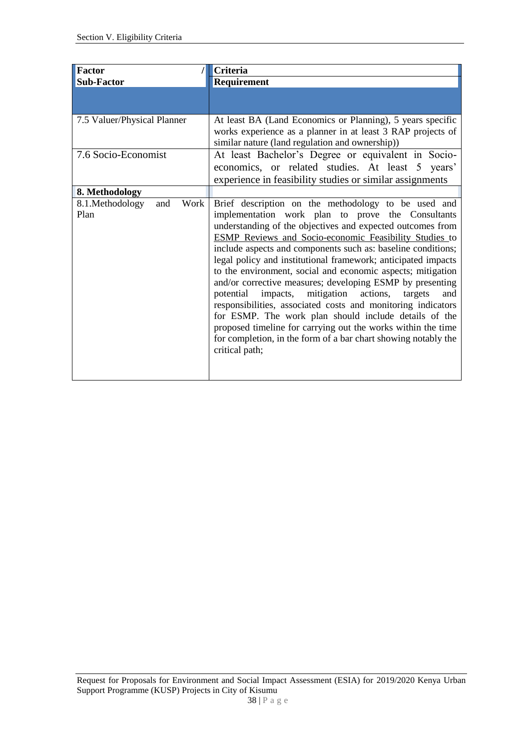| <b>Factor</b>                          | Criteria                                                                                                                                                                                                                                                                                                                                                                                                                                                                                                                                                                                                                                                                                                                                                                                                                               |
|----------------------------------------|----------------------------------------------------------------------------------------------------------------------------------------------------------------------------------------------------------------------------------------------------------------------------------------------------------------------------------------------------------------------------------------------------------------------------------------------------------------------------------------------------------------------------------------------------------------------------------------------------------------------------------------------------------------------------------------------------------------------------------------------------------------------------------------------------------------------------------------|
| <b>Sub-Factor</b>                      | Requirement                                                                                                                                                                                                                                                                                                                                                                                                                                                                                                                                                                                                                                                                                                                                                                                                                            |
|                                        |                                                                                                                                                                                                                                                                                                                                                                                                                                                                                                                                                                                                                                                                                                                                                                                                                                        |
| 7.5 Valuer/Physical Planner            | At least BA (Land Economics or Planning), 5 years specific<br>works experience as a planner in at least 3 RAP projects of<br>similar nature (land regulation and ownership))                                                                                                                                                                                                                                                                                                                                                                                                                                                                                                                                                                                                                                                           |
| 7.6 Socio-Economist                    | At least Bachelor's Degree or equivalent in Socio-<br>economics, or related studies. At least 5 years'<br>experience in feasibility studies or similar assignments                                                                                                                                                                                                                                                                                                                                                                                                                                                                                                                                                                                                                                                                     |
| 8. Methodology                         |                                                                                                                                                                                                                                                                                                                                                                                                                                                                                                                                                                                                                                                                                                                                                                                                                                        |
| 8.1.Methodology<br>Work<br>and<br>Plan | Brief description on the methodology to be used and<br>implementation work plan to prove the Consultants<br>understanding of the objectives and expected outcomes from<br>ESMP Reviews and Socio-economic Feasibility Studies to<br>include aspects and components such as: baseline conditions;<br>legal policy and institutional framework; anticipated impacts<br>to the environment, social and economic aspects; mitigation<br>and/or corrective measures; developing ESMP by presenting<br>potential impacts, mitigation actions,<br>targets<br>and<br>responsibilities, associated costs and monitoring indicators<br>for ESMP. The work plan should include details of the<br>proposed timeline for carrying out the works within the time<br>for completion, in the form of a bar chart showing notably the<br>critical path; |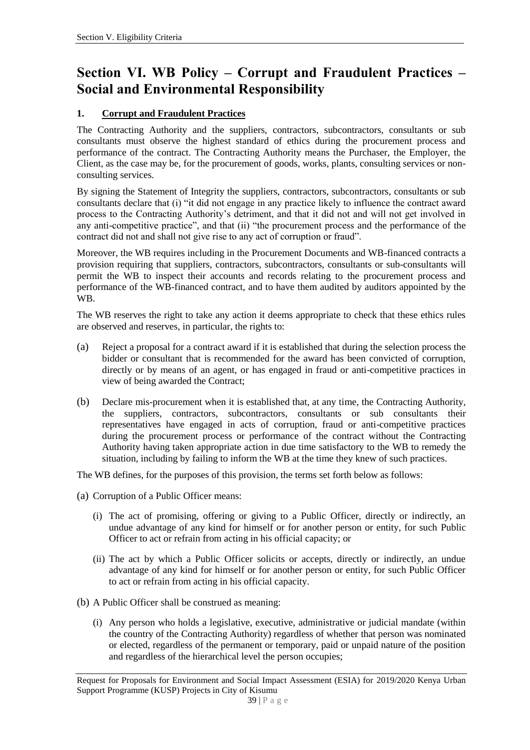# **Section VI. WB Policy – Corrupt and Fraudulent Practices – Social and Environmental Responsibility**

#### **1. Corrupt and Fraudulent Practices**

The Contracting Authority and the suppliers, contractors, subcontractors, consultants or sub consultants must observe the highest standard of ethics during the procurement process and performance of the contract. The Contracting Authority means the Purchaser, the Employer, the Client, as the case may be, for the procurement of goods, works, plants, consulting services or nonconsulting services.

By signing the Statement of Integrity the suppliers, contractors, subcontractors, consultants or sub consultants declare that (i) "it did not engage in any practice likely to influence the contract award process to the Contracting Authority's detriment, and that it did not and will not get involved in any anti-competitive practice", and that (ii) "the procurement process and the performance of the contract did not and shall not give rise to any act of corruption or fraud".

Moreover, the WB requires including in the Procurement Documents and WB-financed contracts a provision requiring that suppliers, contractors, subcontractors, consultants or sub-consultants will permit the WB to inspect their accounts and records relating to the procurement process and performance of the WB-financed contract, and to have them audited by auditors appointed by the WB.

The WB reserves the right to take any action it deems appropriate to check that these ethics rules are observed and reserves, in particular, the rights to:

- (a) Reject a proposal for a contract award if it is established that during the selection process the bidder or consultant that is recommended for the award has been convicted of corruption, directly or by means of an agent, or has engaged in fraud or anti-competitive practices in view of being awarded the Contract;
- (b) Declare mis-procurement when it is established that, at any time, the Contracting Authority, the suppliers, contractors, subcontractors, consultants or sub consultants their representatives have engaged in acts of corruption, fraud or anti-competitive practices during the procurement process or performance of the contract without the Contracting Authority having taken appropriate action in due time satisfactory to the WB to remedy the situation, including by failing to inform the WB at the time they knew of such practices.

The WB defines, for the purposes of this provision, the terms set forth below as follows:

- (a) Corruption of a Public Officer means:
	- (i) The act of promising, offering or giving to a Public Officer, directly or indirectly, an undue advantage of any kind for himself or for another person or entity, for such Public Officer to act or refrain from acting in his official capacity; or
	- (ii) The act by which a Public Officer solicits or accepts, directly or indirectly, an undue advantage of any kind for himself or for another person or entity, for such Public Officer to act or refrain from acting in his official capacity.
- (b) A Public Officer shall be construed as meaning:
	- (i) Any person who holds a legislative, executive, administrative or judicial mandate (within the country of the Contracting Authority) regardless of whether that person was nominated or elected, regardless of the permanent or temporary, paid or unpaid nature of the position and regardless of the hierarchical level the person occupies;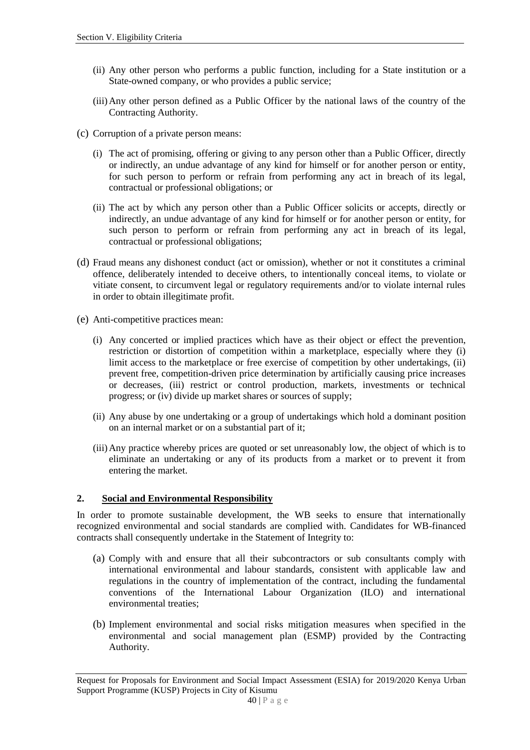- (ii) Any other person who performs a public function, including for a State institution or a State-owned company, or who provides a public service;
- (iii)Any other person defined as a Public Officer by the national laws of the country of the Contracting Authority.
- (c) Corruption of a private person means:
	- (i) The act of promising, offering or giving to any person other than a Public Officer, directly or indirectly, an undue advantage of any kind for himself or for another person or entity, for such person to perform or refrain from performing any act in breach of its legal, contractual or professional obligations; or
	- (ii) The act by which any person other than a Public Officer solicits or accepts, directly or indirectly, an undue advantage of any kind for himself or for another person or entity, for such person to perform or refrain from performing any act in breach of its legal, contractual or professional obligations;
- (d) Fraud means any dishonest conduct (act or omission), whether or not it constitutes a criminal offence, deliberately intended to deceive others, to intentionally conceal items, to violate or vitiate consent, to circumvent legal or regulatory requirements and/or to violate internal rules in order to obtain illegitimate profit.
- (e) Anti-competitive practices mean:
	- (i) Any concerted or implied practices which have as their object or effect the prevention, restriction or distortion of competition within a marketplace, especially where they (i) limit access to the marketplace or free exercise of competition by other undertakings, (ii) prevent free, competition-driven price determination by artificially causing price increases or decreases, (iii) restrict or control production, markets, investments or technical progress; or (iv) divide up market shares or sources of supply;
	- (ii) Any abuse by one undertaking or a group of undertakings which hold a dominant position on an internal market or on a substantial part of it;
	- (iii)Any practice whereby prices are quoted or set unreasonably low, the object of which is to eliminate an undertaking or any of its products from a market or to prevent it from entering the market.

#### **2. Social and Environmental Responsibility**

In order to promote sustainable development, the WB seeks to ensure that internationally recognized environmental and social standards are complied with. Candidates for WB-financed contracts shall consequently undertake in the Statement of Integrity to:

- (a) Comply with and ensure that all their subcontractors or sub consultants comply with international environmental and labour standards, consistent with applicable law and regulations in the country of implementation of the contract, including the fundamental conventions of the International Labour Organization (ILO) and international environmental treaties;
- (b) Implement environmental and social risks mitigation measures when specified in the environmental and social management plan (ESMP) provided by the Contracting Authority.

Request for Proposals for Environment and Social Impact Assessment (ESIA) for 2019/2020 Kenya Urban Support Programme (KUSP) Projects in City of Kisumu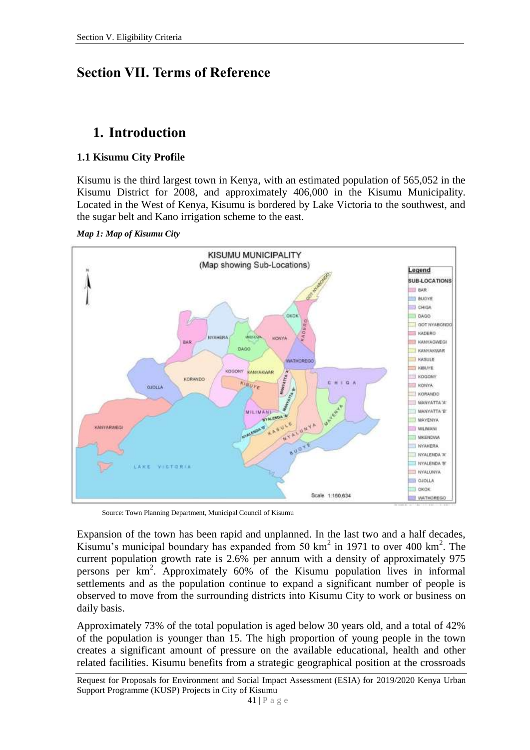# **Section VII. Terms of Reference**

# **1. Introduction**

#### **1.1 Kisumu City Profile**

Kisumu is the third largest town in Kenya, with an estimated population of 565,052 in the Kisumu District for 2008, and approximately 406,000 in the Kisumu Municipality. Located in the West of Kenya, Kisumu is bordered by Lake Victoria to the southwest, and the sugar belt and Kano irrigation scheme to the east.

*Map 1: Map of Kisumu City*



Source: Town Planning Department, Municipal Council of Kisumu

Expansion of the town has been rapid and unplanned. In the last two and a half decades, Kisumu's municipal boundary has expanded from 50  $\text{km}^2$  in 1971 to over 400  $\text{km}^2$ . The current population growth rate is 2.6% per annum with a density of approximately 975 persons per km<sup>2</sup> . Approximately 60% of the Kisumu population lives in informal settlements and as the population continue to expand a significant number of people is observed to move from the surrounding districts into Kisumu City to work or business on daily basis.

Approximately 73% of the total population is aged below 30 years old, and a total of 42% of the population is younger than 15. The high proportion of young people in the town creates a significant amount of pressure on the available educational, health and other related facilities. Kisumu benefits from a strategic geographical position at the crossroads

Request for Proposals for Environment and Social Impact Assessment (ESIA) for 2019/2020 Kenya Urban Support Programme (KUSP) Projects in City of Kisumu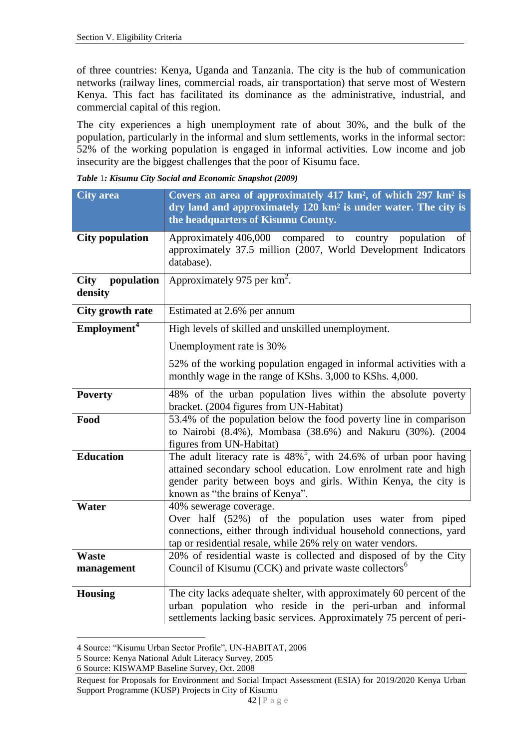of three countries: Kenya, Uganda and Tanzania. The city is the hub of communication networks (railway lines, commercial roads, air transportation) that serve most of Western Kenya. This fact has facilitated its dominance as the administrative, industrial, and commercial capital of this region.

The city experiences a high unemployment rate of about 30%, and the bulk of the population, particularly in the informal and slum settlements, works in the informal sector: 52% of the working population is engaged in informal activities. Low income and job insecurity are the biggest challenges that the poor of Kisumu face.

|  |  |  | Table 1: Kisumu City Social and Economic Snapshot (2009) |  |  |
|--|--|--|----------------------------------------------------------|--|--|
|  |  |  |                                                          |  |  |

| <b>City area</b>                     | Covers an area of approximately 417 km <sup>2</sup> , of which 297 km <sup>2</sup> is<br>dry land and approximately 120 km <sup>2</sup> is under water. The city is<br>the headquarters of Kisumu County.                                                  |
|--------------------------------------|------------------------------------------------------------------------------------------------------------------------------------------------------------------------------------------------------------------------------------------------------------|
| <b>City population</b>               | Approximately 406,000 compared to country<br>population<br>of<br>approximately 37.5 million (2007, World Development Indicators<br>database).                                                                                                              |
| population<br><b>City</b><br>density | Approximately 975 per km <sup>2</sup> .                                                                                                                                                                                                                    |
| City growth rate                     | Estimated at 2.6% per annum                                                                                                                                                                                                                                |
| Employment <sup>4</sup>              | High levels of skilled and unskilled unemployment.                                                                                                                                                                                                         |
|                                      | Unemployment rate is 30%                                                                                                                                                                                                                                   |
|                                      | 52% of the working population engaged in informal activities with a<br>monthly wage in the range of KShs. 3,000 to KShs. 4,000.                                                                                                                            |
| <b>Poverty</b>                       | 48% of the urban population lives within the absolute poverty<br>bracket. (2004 figures from UN-Habitat)                                                                                                                                                   |
| Food                                 | 53.4% of the population below the food poverty line in comparison<br>to Nairobi (8.4%), Mombasa (38.6%) and Nakuru (30%). (2004<br>figures from UN-Habitat)                                                                                                |
| <b>Education</b>                     | The adult literacy rate is $48\%$ <sup>5</sup> , with 24.6% of urban poor having<br>attained secondary school education. Low enrolment rate and high<br>gender parity between boys and girls. Within Kenya, the city is<br>known as "the brains of Kenya". |
| Water                                | 40% sewerage coverage.<br>Over half (52%) of the population uses water from piped<br>connections, either through individual household connections, yard<br>tap or residential resale, while 26% rely on water vendors.                                     |
| <b>Waste</b><br>management           | 20% of residential waste is collected and disposed of by the City<br>Council of Kisumu (CCK) and private waste collectors <sup>6</sup>                                                                                                                     |
| <b>Housing</b>                       | The city lacks adequate shelter, with approximately 60 percent of the<br>urban population who reside in the peri-urban and informal<br>settlements lacking basic services. Approximately 75 percent of peri-                                               |

<sup>4</sup> Source: "Kisumu Urban Sector Profile", UN-HABITAT, 2006

 $\overline{a}$ 

<sup>5</sup> Source: Kenya National Adult Literacy Survey, 2005

<sup>6</sup> Source: KISWAMP Baseline Survey, Oct. 2008

Request for Proposals for Environment and Social Impact Assessment (ESIA) for 2019/2020 Kenya Urban Support Programme (KUSP) Projects in City of Kisumu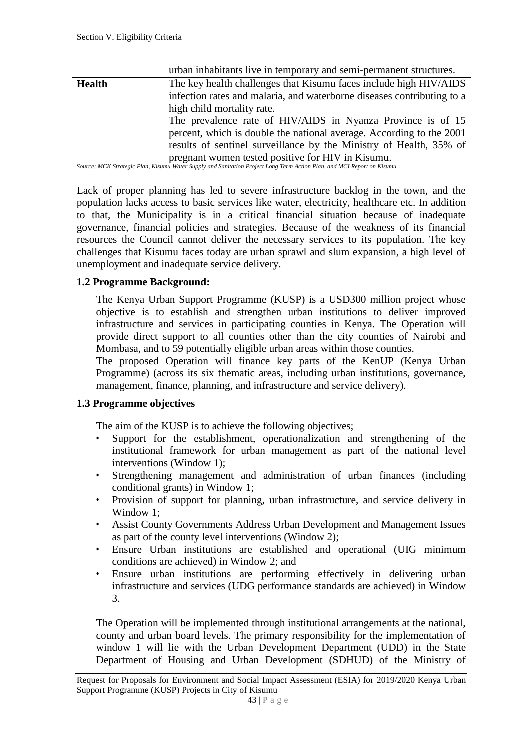|               | urban inhabitants live in temporary and semi-permanent structures.                                                     |  |  |  |  |
|---------------|------------------------------------------------------------------------------------------------------------------------|--|--|--|--|
| <b>Health</b> | The key health challenges that Kisumu faces include high HIV/AIDS                                                      |  |  |  |  |
|               | infection rates and malaria, and waterborne diseases contributing to a                                                 |  |  |  |  |
|               | high child mortality rate.                                                                                             |  |  |  |  |
|               | The prevalence rate of HIV/AIDS in Nyanza Province is of 15                                                            |  |  |  |  |
|               | percent, which is double the national average. According to the 2001                                                   |  |  |  |  |
|               | results of sentinel surveillance by the Ministry of Health, 35% of                                                     |  |  |  |  |
|               | pregnant women tested positive for HIV in Kisumu.                                                                      |  |  |  |  |
|               | Source: MCK Strategic Plan, Kisumu Water Supply and Sanitation Project Long Term Action Plan, and MCI Report on Kisumu |  |  |  |  |

*Source: MCK Strategic Plan, Kisumu Water Supply and Sanitation Project Long Term Action Plan, and MCI Report on Kisumu*

Lack of proper planning has led to severe infrastructure backlog in the town, and the population lacks access to basic services like water, electricity, healthcare etc. In addition to that, the Municipality is in a critical financial situation because of inadequate governance, financial policies and strategies. Because of the weakness of its financial resources the Council cannot deliver the necessary services to its population. The key challenges that Kisumu faces today are urban sprawl and slum expansion, a high level of unemployment and inadequate service delivery.

#### **1.2 Programme Background:**

The Kenya Urban Support Programme (KUSP) is a USD300 million project whose objective is to establish and strengthen urban institutions to deliver improved infrastructure and services in participating counties in Kenya. The Operation will provide direct support to all counties other than the city counties of Nairobi and Mombasa, and to 59 potentially eligible urban areas within those counties.

The proposed Operation will finance key parts of the KenUP (Kenya Urban Programme) (across its six thematic areas, including urban institutions, governance, management, finance, planning, and infrastructure and service delivery).

#### **1.3 Programme objectives**

The aim of the KUSP is to achieve the following objectives;

- Support for the establishment, operationalization and strengthening of the institutional framework for urban management as part of the national level interventions (Window 1);
- Strengthening management and administration of urban finances (including conditional grants) in Window 1;
- Provision of support for planning, urban infrastructure, and service delivery in Window 1;
- Assist County Governments Address Urban Development and Management Issues as part of the county level interventions (Window 2);
- Ensure Urban institutions are established and operational (UIG minimum conditions are achieved) in Window 2; and
- Ensure urban institutions are performing effectively in delivering urban infrastructure and services (UDG performance standards are achieved) in Window 3.

The Operation will be implemented through institutional arrangements at the national, county and urban board levels. The primary responsibility for the implementation of window 1 will lie with the Urban Development Department (UDD) in the State Department of Housing and Urban Development (SDHUD) of the Ministry of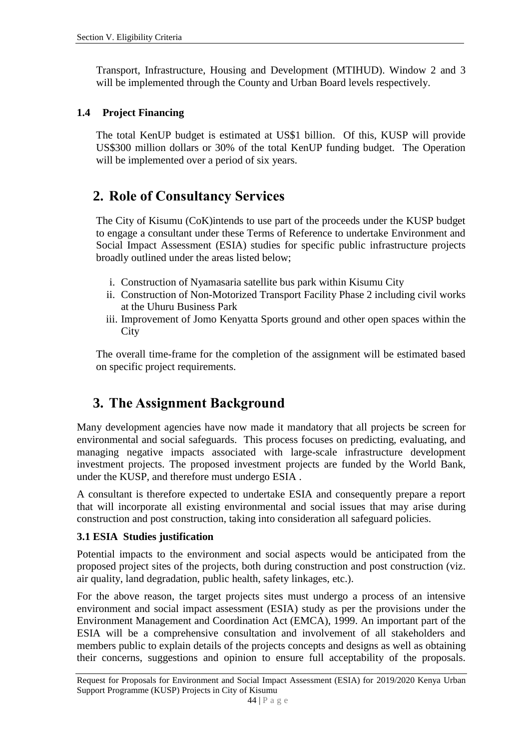Transport, Infrastructure, Housing and Development (MTIHUD). Window 2 and 3 will be implemented through the County and Urban Board levels respectively.

#### **1.4 Project Financing**

The total KenUP budget is estimated at US\$1 billion. Of this, KUSP will provide US\$300 million dollars or 30% of the total KenUP funding budget. The Operation will be implemented over a period of six years.

## **2. Role of Consultancy Services**

The City of Kisumu (CoK)intends to use part of the proceeds under the KUSP budget to engage a consultant under these Terms of Reference to undertake Environment and Social Impact Assessment (ESIA) studies for specific public infrastructure projects broadly outlined under the areas listed below;

- i. Construction of Nyamasaria satellite bus park within Kisumu City
- ii. Construction of Non-Motorized Transport Facility Phase 2 including civil works at the Uhuru Business Park
- iii. Improvement of Jomo Kenyatta Sports ground and other open spaces within the **City**

The overall time-frame for the completion of the assignment will be estimated based on specific project requirements.

# **3. The Assignment Background**

Many development agencies have now made it mandatory that all projects be screen for environmental and social safeguards. This process focuses on predicting, evaluating, and managing negative impacts associated with large-scale infrastructure development investment projects. The proposed investment projects are funded by the World Bank, under the KUSP, and therefore must undergo ESIA .

A consultant is therefore expected to undertake ESIA and consequently prepare a report that will incorporate all existing environmental and social issues that may arise during construction and post construction, taking into consideration all safeguard policies.

#### **3.1 ESIA Studies justification**

Potential impacts to the environment and social aspects would be anticipated from the proposed project sites of the projects, both during construction and post construction (viz. air quality, land degradation, public health, safety linkages, etc.).

For the above reason, the target projects sites must undergo a process of an intensive environment and social impact assessment (ESIA) study as per the provisions under the Environment Management and Coordination Act (EMCA), 1999. An important part of the ESIA will be a comprehensive consultation and involvement of all stakeholders and members public to explain details of the projects concepts and designs as well as obtaining their concerns, suggestions and opinion to ensure full acceptability of the proposals.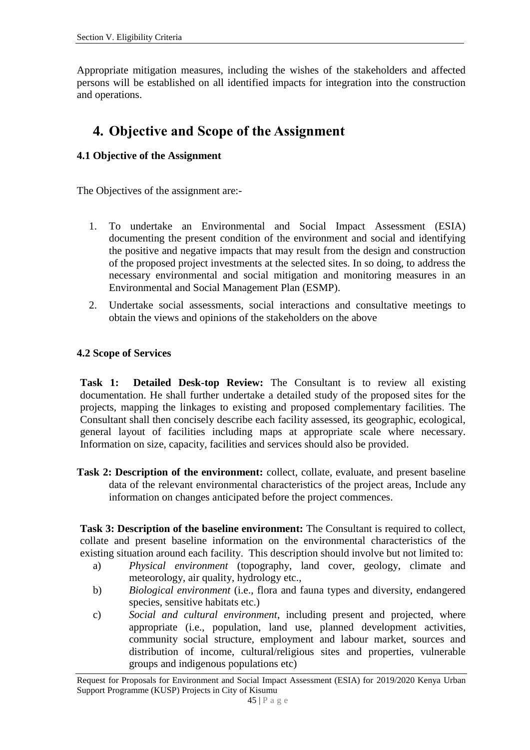Appropriate mitigation measures, including the wishes of the stakeholders and affected persons will be established on all identified impacts for integration into the construction and operations.

# **4. Objective and Scope of the Assignment**

#### **4.1 Objective of the Assignment**

The Objectives of the assignment are:-

- 1. To undertake an Environmental and Social Impact Assessment (ESIA) documenting the present condition of the environment and social and identifying the positive and negative impacts that may result from the design and construction of the proposed project investments at the selected sites. In so doing, to address the necessary environmental and social mitigation and monitoring measures in an Environmental and Social Management Plan (ESMP).
- 2. Undertake social assessments, social interactions and consultative meetings to obtain the views and opinions of the stakeholders on the above

#### **4.2 Scope of Services**

**Task 1: Detailed Desk-top Review:** The Consultant is to review all existing documentation. He shall further undertake a detailed study of the proposed sites for the projects, mapping the linkages to existing and proposed complementary facilities. The Consultant shall then concisely describe each facility assessed, its geographic, ecological, general layout of facilities including maps at appropriate scale where necessary. Information on size, capacity, facilities and services should also be provided.

**Task 2: Description of the environment:** collect, collate, evaluate, and present baseline data of the relevant environmental characteristics of the project areas, Include any information on changes anticipated before the project commences.

**Task 3: Description of the baseline environment:** The Consultant is required to collect, collate and present baseline information on the environmental characteristics of the existing situation around each facility. This description should involve but not limited to:

- a) *Physical environment* (topography, land cover, geology, climate and meteorology, air quality, hydrology etc.,
- b) *Biological environment* (i.e., flora and fauna types and diversity, endangered species, sensitive habitats etc.)
- c) *Social and cultural environment*, including present and projected, where appropriate (i.e., population, land use, planned development activities, community social structure, employment and labour market, sources and distribution of income, cultural/religious sites and properties, vulnerable groups and indigenous populations etc)

Request for Proposals for Environment and Social Impact Assessment (ESIA) for 2019/2020 Kenya Urban Support Programme (KUSP) Projects in City of Kisumu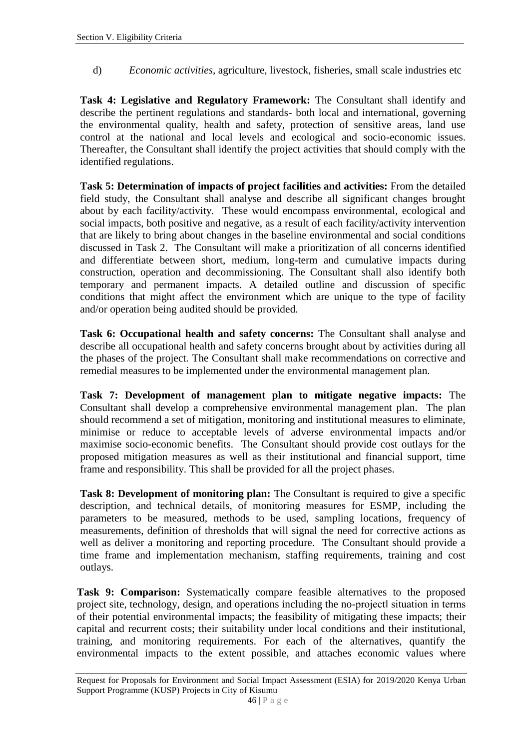d) *Economic activities,* agriculture, livestock, fisheries, small scale industries etc

**Task 4: Legislative and Regulatory Framework:** The Consultant shall identify and describe the pertinent regulations and standards- both local and international, governing the environmental quality, health and safety, protection of sensitive areas, land use control at the national and local levels and ecological and socio-economic issues. Thereafter, the Consultant shall identify the project activities that should comply with the identified regulations.

**Task 5: Determination of impacts of project facilities and activities:** From the detailed field study, the Consultant shall analyse and describe all significant changes brought about by each facility/activity. These would encompass environmental, ecological and social impacts, both positive and negative, as a result of each facility/activity intervention that are likely to bring about changes in the baseline environmental and social conditions discussed in Task 2. The Consultant will make a prioritization of all concerns identified and differentiate between short, medium, long-term and cumulative impacts during construction, operation and decommissioning. The Consultant shall also identify both temporary and permanent impacts. A detailed outline and discussion of specific conditions that might affect the environment which are unique to the type of facility and/or operation being audited should be provided.

**Task 6: Occupational health and safety concerns:** The Consultant shall analyse and describe all occupational health and safety concerns brought about by activities during all the phases of the project. The Consultant shall make recommendations on corrective and remedial measures to be implemented under the environmental management plan.

**Task 7: Development of management plan to mitigate negative impacts:** The Consultant shall develop a comprehensive environmental management plan. The plan should recommend a set of mitigation, monitoring and institutional measures to eliminate, minimise or reduce to acceptable levels of adverse environmental impacts and/or maximise socio-economic benefits. The Consultant should provide cost outlays for the proposed mitigation measures as well as their institutional and financial support, time frame and responsibility. This shall be provided for all the project phases.

**Task 8: Development of monitoring plan:** The Consultant is required to give a specific description, and technical details, of monitoring measures for ESMP, including the parameters to be measured, methods to be used, sampling locations, frequency of measurements, definition of thresholds that will signal the need for corrective actions as well as deliver a monitoring and reporting procedure. The Consultant should provide a time frame and implementation mechanism, staffing requirements, training and cost outlays.

**Task 9: Comparison:** Systematically compare feasible alternatives to the proposed project site, technology, design, and operations including the no-project‖ situation in terms of their potential environmental impacts; the feasibility of mitigating these impacts; their capital and recurrent costs; their suitability under local conditions and their institutional, training, and monitoring requirements. For each of the alternatives, quantify the environmental impacts to the extent possible, and attaches economic values where

Request for Proposals for Environment and Social Impact Assessment (ESIA) for 2019/2020 Kenya Urban Support Programme (KUSP) Projects in City of Kisumu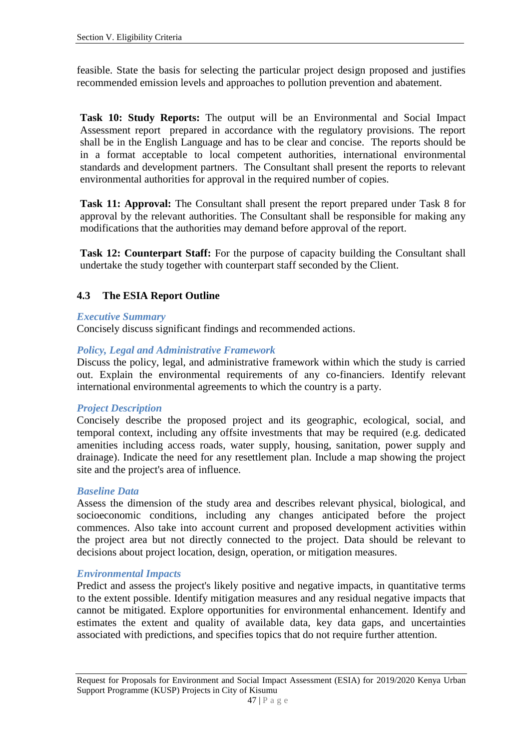feasible. State the basis for selecting the particular project design proposed and justifies recommended emission levels and approaches to pollution prevention and abatement.

**Task 10: Study Reports:** The output will be an Environmental and Social Impact Assessment report prepared in accordance with the regulatory provisions. The report shall be in the English Language and has to be clear and concise. The reports should be in a format acceptable to local competent authorities, international environmental standards and development partners. The Consultant shall present the reports to relevant environmental authorities for approval in the required number of copies.

Task 11: Approval: The Consultant shall present the report prepared under Task 8 for approval by the relevant authorities. The Consultant shall be responsible for making any modifications that the authorities may demand before approval of the report.

**Task 12: Counterpart Staff:** For the purpose of capacity building the Consultant shall undertake the study together with counterpart staff seconded by the Client.

#### **4.3 The ESIA Report Outline**

#### *Executive Summary*

Concisely discuss significant findings and recommended actions.

#### *Policy, Legal and Administrative Framework*

Discuss the policy, legal, and administrative framework within which the study is carried out. Explain the environmental requirements of any co-financiers. Identify relevant international environmental agreements to which the country is a party.

#### *Project Description*

Concisely describe the proposed project and its geographic, ecological, social, and temporal context, including any offsite investments that may be required (e.g. dedicated amenities including access roads, water supply, housing, sanitation, power supply and drainage). Indicate the need for any resettlement plan. Include a map showing the project site and the project's area of influence.

#### *Baseline Data*

Assess the dimension of the study area and describes relevant physical, biological, and socioeconomic conditions, including any changes anticipated before the project commences. Also take into account current and proposed development activities within the project area but not directly connected to the project. Data should be relevant to decisions about project location, design, operation, or mitigation measures.

#### *Environmental Impacts*

Predict and assess the project's likely positive and negative impacts, in quantitative terms to the extent possible. Identify mitigation measures and any residual negative impacts that cannot be mitigated. Explore opportunities for environmental enhancement. Identify and estimates the extent and quality of available data, key data gaps, and uncertainties associated with predictions, and specifies topics that do not require further attention.

Request for Proposals for Environment and Social Impact Assessment (ESIA) for 2019/2020 Kenya Urban Support Programme (KUSP) Projects in City of Kisumu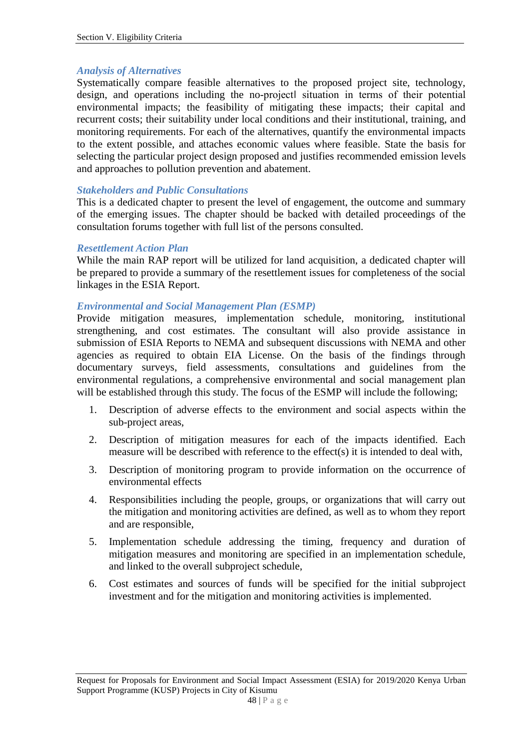#### *Analysis of Alternatives*

Systematically compare feasible alternatives to the proposed project site, technology, design, and operations including the no-project‖ situation in terms of their potential environmental impacts; the feasibility of mitigating these impacts; their capital and recurrent costs; their suitability under local conditions and their institutional, training, and monitoring requirements. For each of the alternatives, quantify the environmental impacts to the extent possible, and attaches economic values where feasible. State the basis for selecting the particular project design proposed and justifies recommended emission levels and approaches to pollution prevention and abatement.

#### *Stakeholders and Public Consultations*

This is a dedicated chapter to present the level of engagement, the outcome and summary of the emerging issues. The chapter should be backed with detailed proceedings of the consultation forums together with full list of the persons consulted.

#### *Resettlement Action Plan*

While the main RAP report will be utilized for land acquisition, a dedicated chapter will be prepared to provide a summary of the resettlement issues for completeness of the social linkages in the ESIA Report.

#### *Environmental and Social Management Plan (ESMP)*

Provide mitigation measures, implementation schedule, monitoring, institutional strengthening, and cost estimates. The consultant will also provide assistance in submission of ESIA Reports to NEMA and subsequent discussions with NEMA and other agencies as required to obtain EIA License. On the basis of the findings through documentary surveys, field assessments, consultations and guidelines from the environmental regulations, a comprehensive environmental and social management plan will be established through this study. The focus of the ESMP will include the following;

- 1. Description of adverse effects to the environment and social aspects within the sub-project areas,
- 2. Description of mitigation measures for each of the impacts identified. Each measure will be described with reference to the effect(s) it is intended to deal with,
- 3. Description of monitoring program to provide information on the occurrence of environmental effects
- 4. Responsibilities including the people, groups, or organizations that will carry out the mitigation and monitoring activities are defined, as well as to whom they report and are responsible,
- 5. Implementation schedule addressing the timing, frequency and duration of mitigation measures and monitoring are specified in an implementation schedule, and linked to the overall subproject schedule,
- 6. Cost estimates and sources of funds will be specified for the initial subproject investment and for the mitigation and monitoring activities is implemented.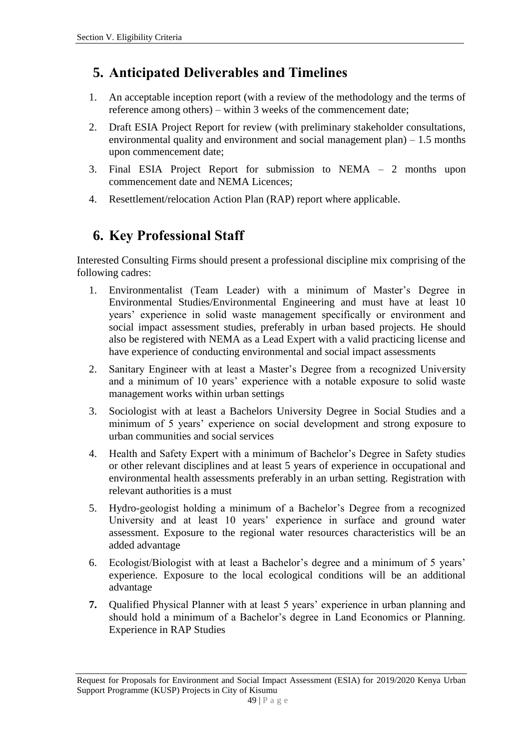# **5. Anticipated Deliverables and Timelines**

- 1. An acceptable inception report (with a review of the methodology and the terms of reference among others) – within 3 weeks of the commencement date;
- 2. Draft ESIA Project Report for review (with preliminary stakeholder consultations, environmental quality and environment and social management plan) – 1.5 months upon commencement date;
- 3. Final ESIA Project Report for submission to NEMA 2 months upon commencement date and NEMA Licences;
- 4. Resettlement/relocation Action Plan (RAP) report where applicable.

# **6. Key Professional Staff**

Interested Consulting Firms should present a professional discipline mix comprising of the following cadres:

- 1. Environmentalist (Team Leader) with a minimum of Master's Degree in Environmental Studies/Environmental Engineering and must have at least 10 years' experience in solid waste management specifically or environment and social impact assessment studies, preferably in urban based projects. He should also be registered with NEMA as a Lead Expert with a valid practicing license and have experience of conducting environmental and social impact assessments
- 2. Sanitary Engineer with at least a Master's Degree from a recognized University and a minimum of 10 years' experience with a notable exposure to solid waste management works within urban settings
- 3. Sociologist with at least a Bachelors University Degree in Social Studies and a minimum of 5 years' experience on social development and strong exposure to urban communities and social services
- 4. Health and Safety Expert with a minimum of Bachelor's Degree in Safety studies or other relevant disciplines and at least 5 years of experience in occupational and environmental health assessments preferably in an urban setting. Registration with relevant authorities is a must
- 5. Hydro-geologist holding a minimum of a Bachelor's Degree from a recognized University and at least 10 years' experience in surface and ground water assessment. Exposure to the regional water resources characteristics will be an added advantage
- 6. Ecologist/Biologist with at least a Bachelor's degree and a minimum of 5 years' experience. Exposure to the local ecological conditions will be an additional advantage
- **7.** Qualified Physical Planner with at least 5 years' experience in urban planning and should hold a minimum of a Bachelor's degree in Land Economics or Planning. Experience in RAP Studies

Request for Proposals for Environment and Social Impact Assessment (ESIA) for 2019/2020 Kenya Urban Support Programme (KUSP) Projects in City of Kisumu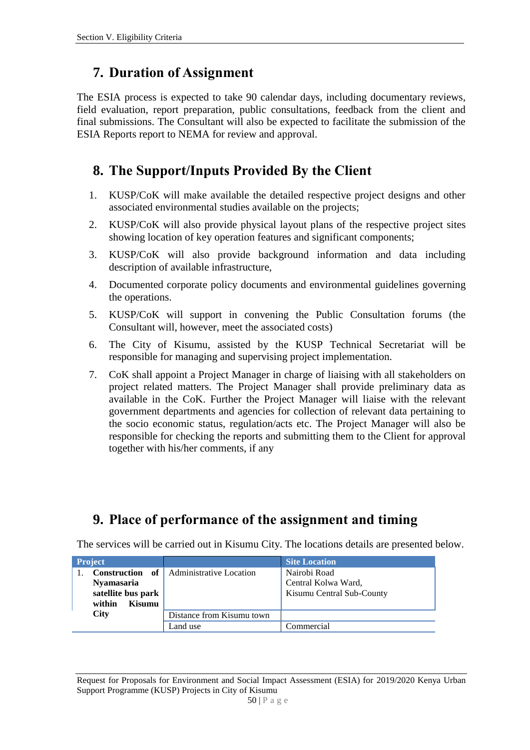### **7. Duration of Assignment**

The ESIA process is expected to take 90 calendar days, including documentary reviews, field evaluation, report preparation, public consultations, feedback from the client and final submissions. The Consultant will also be expected to facilitate the submission of the ESIA Reports report to NEMA for review and approval.

# **8. The Support/Inputs Provided By the Client**

- 1. KUSP/CoK will make available the detailed respective project designs and other associated environmental studies available on the projects;
- 2. KUSP/CoK will also provide physical layout plans of the respective project sites showing location of key operation features and significant components;
- 3. KUSP/CoK will also provide background information and data including description of available infrastructure,
- 4. Documented corporate policy documents and environmental guidelines governing the operations.
- 5. KUSP/CoK will support in convening the Public Consultation forums (the Consultant will, however, meet the associated costs)
- 6. The City of Kisumu, assisted by the KUSP Technical Secretariat will be responsible for managing and supervising project implementation.
- 7. CoK shall appoint a Project Manager in charge of liaising with all stakeholders on project related matters. The Project Manager shall provide preliminary data as available in the CoK. Further the Project Manager will liaise with the relevant government departments and agencies for collection of relevant data pertaining to the socio economic status, regulation/acts etc. The Project Manager will also be responsible for checking the reports and submitting them to the Client for approval together with his/her comments, if any

# **9. Place of performance of the assignment and timing**

The services will be carried out in Kisumu City. The locations details are presented below.

| <b>Project</b>                                                                     |                            | <b>Site Location</b>                                             |  |
|------------------------------------------------------------------------------------|----------------------------|------------------------------------------------------------------|--|
| <b>Construction</b><br>Nyamasaria<br>satellite bus park<br><b>Kisumu</b><br>within | of Administrative Location | Nairobi Road<br>Central Kolwa Ward,<br>Kisumu Central Sub-County |  |
| <b>City</b>                                                                        | Distance from Kisumu town  |                                                                  |  |
|                                                                                    | Land use                   | Commercial                                                       |  |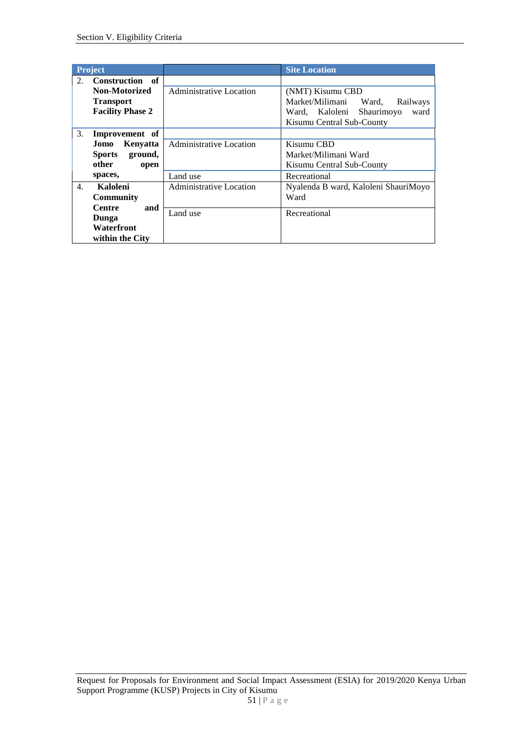| <b>Project</b>                      |                         | <b>Site Location</b>                 |
|-------------------------------------|-------------------------|--------------------------------------|
| Construction of<br>2.               |                         |                                      |
| <b>Non-Motorized</b>                | Administrative Location | (NMT) Kisumu CBD                     |
| <b>Transport</b>                    |                         | Market/Milimani Ward,<br>Railways    |
| <b>Facility Phase 2</b>             |                         | ward<br>Ward, Kaloleni Shaurimoyo    |
|                                     |                         | Kisumu Central Sub-County            |
| 3.<br>Improvement of                |                         |                                      |
| Kenyatta<br>Jomo                    | Administrative Location | Kisumu CBD                           |
| Sports ground,                      |                         | Market/Milimani Ward                 |
| other<br>open                       |                         | Kisumu Central Sub-County            |
| spaces,                             | Land use                | Recreational                         |
| $\overline{4}$ .<br><b>Kaloleni</b> | Administrative Location | Nyalenda B ward, Kaloleni ShauriMoyo |
| <b>Community</b>                    |                         | Ward                                 |
| <b>Centre</b><br>and                | Land use                | Recreational                         |
| Dunga                               |                         |                                      |
| Waterfront                          |                         |                                      |
| within the City                     |                         |                                      |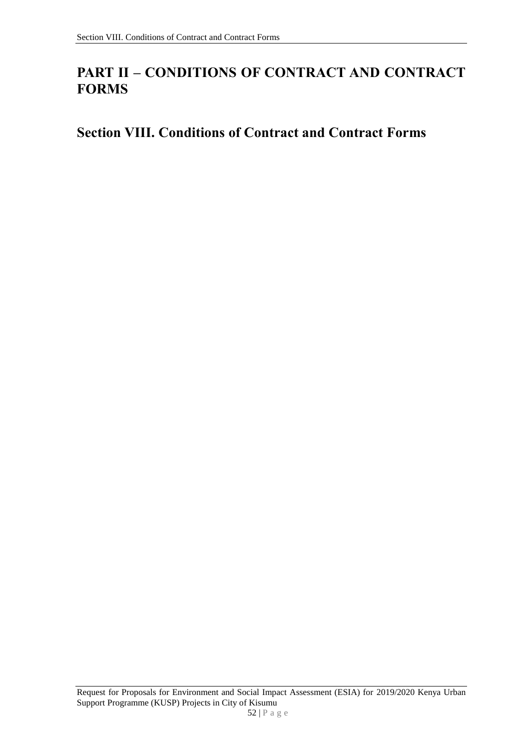# **PART II – CONDITIONS OF CONTRACT AND CONTRACT FORMS**

# **Section VIII. Conditions of Contract and Contract Forms**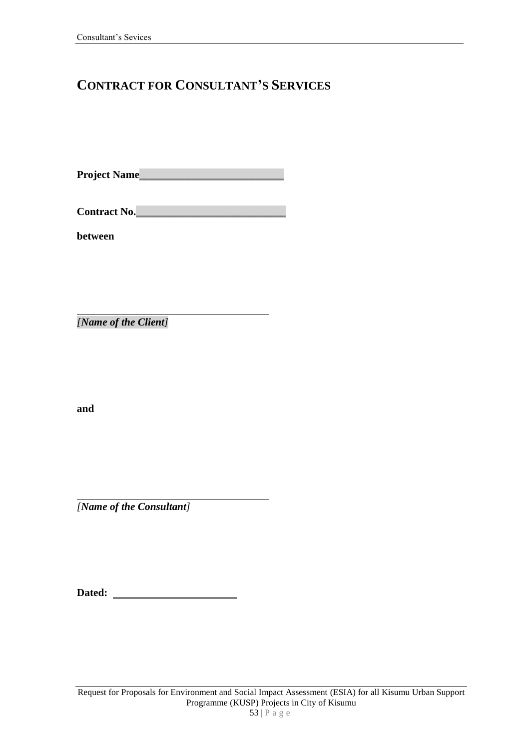# **CONTRACT FOR CONSULTANT'S SERVICES**

**Project Name**\_\_\_\_\_\_\_\_\_\_\_\_\_\_\_\_\_\_\_\_\_\_\_\_\_\_\_

**Contract No.**\_\_\_\_\_\_\_\_\_\_\_\_\_\_\_\_\_\_\_\_\_\_\_\_\_\_\_\_

**between**

*[Name of the Client]*

**and**

*[Name of the Consultant]*

| Dated: |  |
|--------|--|
|        |  |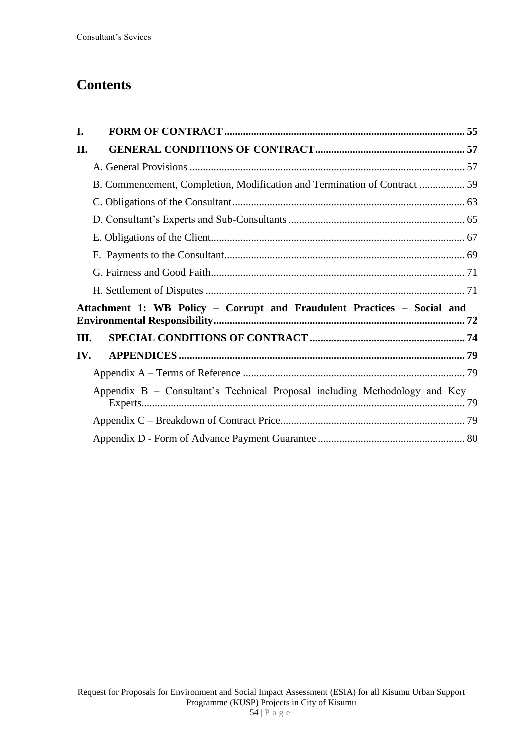# **Contents**

| I.         |                                                                            |  |
|------------|----------------------------------------------------------------------------|--|
| <b>II.</b> |                                                                            |  |
|            |                                                                            |  |
|            | B. Commencement, Completion, Modification and Termination of Contract  59  |  |
|            |                                                                            |  |
|            |                                                                            |  |
|            |                                                                            |  |
|            |                                                                            |  |
|            |                                                                            |  |
|            |                                                                            |  |
|            | Attachment 1: WB Policy - Corrupt and Fraudulent Practices - Social and    |  |
| Ш.         |                                                                            |  |
| IV.        |                                                                            |  |
|            |                                                                            |  |
|            | Appendix B – Consultant's Technical Proposal including Methodology and Key |  |
|            |                                                                            |  |
|            |                                                                            |  |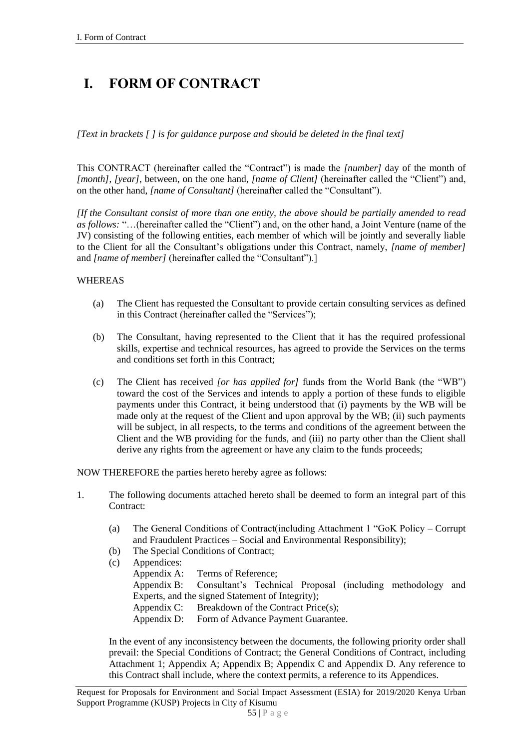# **I. FORM OF CONTRACT**

*[Text in brackets [ ] is for guidance purpose and should be deleted in the final text]*

This CONTRACT (hereinafter called the "Contract") is made the *[number]* day of the month of *[month]*, *[year]*, between, on the one hand, *[name of Client]* (hereinafter called the "Client") and, on the other hand, *[name of Consultant]* (hereinafter called the "Consultant").

*[If the Consultant consist of more than one entity, the above should be partially amended to read as follows:* "…(hereinafter called the "Client") and, on the other hand, a Joint Venture (name of the JV) consisting of the following entities, each member of which will be jointly and severally liable to the Client for all the Consultant's obligations under this Contract, namely, *[name of member]* and *[name of member]* (hereinafter called the "Consultant").]

#### WHEREAS

- (a) The Client has requested the Consultant to provide certain consulting services as defined in this Contract (hereinafter called the "Services");
- (b) The Consultant, having represented to the Client that it has the required professional skills, expertise and technical resources, has agreed to provide the Services on the terms and conditions set forth in this Contract;
- (c) The Client has received *[or has applied for]* funds from the World Bank (the "WB") toward the cost of the Services and intends to apply a portion of these funds to eligible payments under this Contract, it being understood that (i) payments by the WB will be made only at the request of the Client and upon approval by the WB; (ii) such payments will be subject, in all respects, to the terms and conditions of the agreement between the Client and the WB providing for the funds, and (iii) no party other than the Client shall derive any rights from the agreement or have any claim to the funds proceeds:

NOW THEREFORE the parties hereto hereby agree as follows:

- 1. The following documents attached hereto shall be deemed to form an integral part of this Contract:
	- (a) The General Conditions of Contract(including Attachment 1 "GoK Policy Corrupt and Fraudulent Practices – Social and Environmental Responsibility);
	- (b) The Special Conditions of Contract;
	- (c) Appendices: Appendix A: Terms of Reference; Appendix B: Consultant's Technical Proposal (including methodology and Experts, and the signed Statement of Integrity); Appendix C: Breakdown of the Contract Price(s); Appendix D: Form of Advance Payment Guarantee.

In the event of any inconsistency between the documents, the following priority order shall prevail: the Special Conditions of Contract; the General Conditions of Contract, including Attachment 1; Appendix A; Appendix B; Appendix C and Appendix D. Any reference to this Contract shall include, where the context permits, a reference to its Appendices.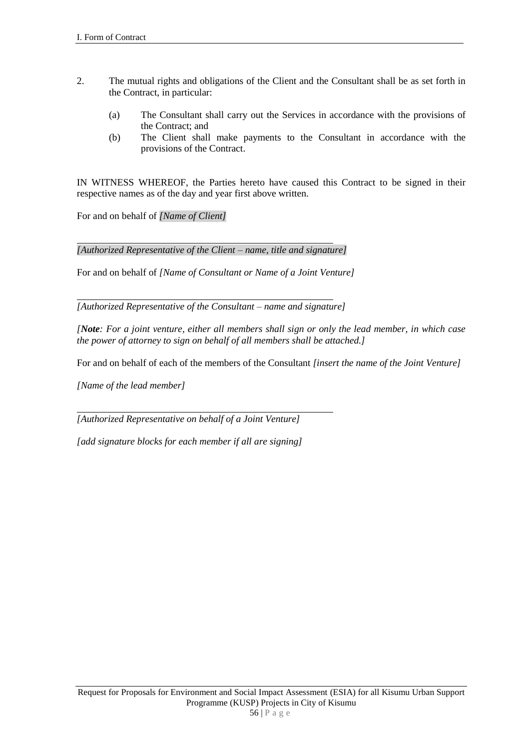- 2. The mutual rights and obligations of the Client and the Consultant shall be as set forth in the Contract, in particular:
	- (a) The Consultant shall carry out the Services in accordance with the provisions of the Contract; and
	- (b) The Client shall make payments to the Consultant in accordance with the provisions of the Contract.

IN WITNESS WHEREOF, the Parties hereto have caused this Contract to be signed in their respective names as of the day and year first above written.

For and on behalf of *[Name of Client]*

*[Authorized Representative of the Client – name, title and signature]*

For and on behalf of *[Name of Consultant or Name of a Joint Venture]*

*[Authorized Representative of the Consultant – name and signature]*

*[Note: For a joint venture, either all members shall sign or only the lead member, in which case the power of attorney to sign on behalf of all members shall be attached.]* 

For and on behalf of each of the members of the Consultant *[insert the name of the Joint Venture]*

*[Name of the lead member]*

*[Authorized Representative on behalf of a Joint Venture]*

*[add signature blocks for each member if all are signing]*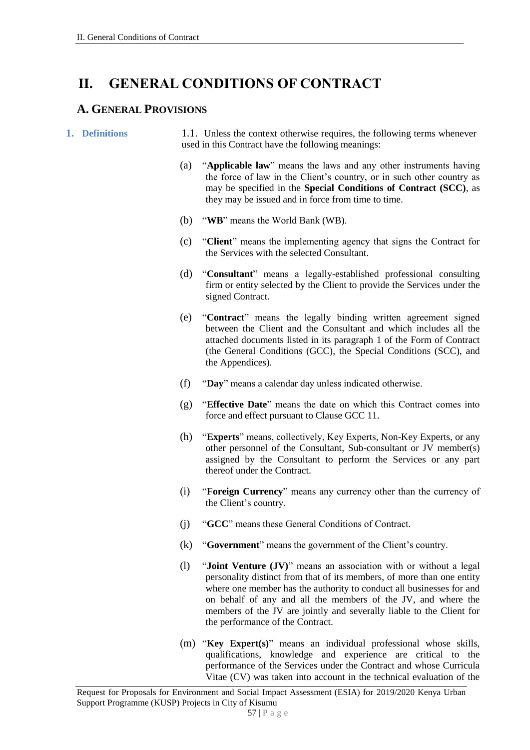# **II. GENERAL CONDITIONS OF CONTRACT**

### **A. GENERAL PROVISIONS**

**1. Definitions** 1.1. Unless the context otherwise requires, the following terms whenever used in this Contract have the following meanings:

- (a) "**Applicable law**" means the laws and any other instruments having the force of law in the Client's country, or in such other country as may be specified in the **Special Conditions of Contract (SCC)**, as they may be issued and in force from time to time.
- (b) "**WB**" means the World Bank (WB).
- (c) "**Client**" means the implementing agency that signs the Contract for the Services with the selected Consultant.
- (d) "**Consultant**" means a legally-established professional consulting firm or entity selected by the Client to provide the Services under the signed Contract.
- (e) "**Contract**" means the legally binding written agreement signed between the Client and the Consultant and which includes all the attached documents listed in its paragraph 1 of the Form of Contract (the General Conditions (GCC), the Special Conditions (SCC), and the Appendices).
- (f) "**Day**" means a calendar day unless indicated otherwise.
- (g) "**Effective Date**" means the date on which this Contract comes into force and effect pursuant to Clause GCC 11.
- (h) "**Experts**" means, collectively, Key Experts, Non-Key Experts, or any other personnel of the Consultant, Sub-consultant or JV member(s) assigned by the Consultant to perform the Services or any part thereof under the Contract.
- (i) "**Foreign Currency**" means any currency other than the currency of the Client's country.
- (j) "**GCC**" means these General Conditions of Contract.
- (k) "**Government**" means the government of the Client's country.
- (l) "**Joint Venture (JV)**" means an association with or without a legal personality distinct from that of its members, of more than one entity where one member has the authority to conduct all businesses for and on behalf of any and all the members of the JV, and where the members of the JV are jointly and severally liable to the Client for the performance of the Contract.
- (m) "**Key Expert(s)**" means an individual professional whose skills, qualifications, knowledge and experience are critical to the performance of the Services under the Contract and whose Curricula Vitae (CV) was taken into account in the technical evaluation of the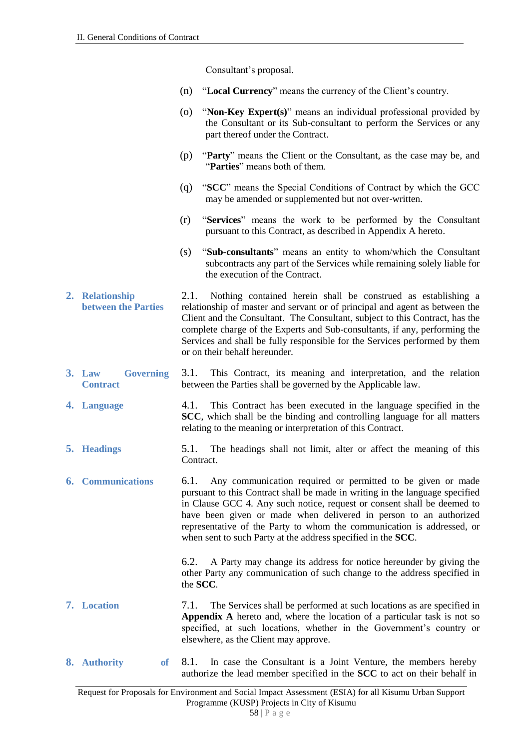Consultant's proposal.

- (n) "**Local Currency**" means the currency of the Client's country.
- (o) "**Non-Key Expert(s)**" means an individual professional provided by the Consultant or its Sub-consultant to perform the Services or any part thereof under the Contract.
- (p) "**Party**" means the Client or the Consultant, as the case may be, and "**Parties**" means both of them.
- (q) "**SCC**" means the Special Conditions of Contract by which the GCC may be amended or supplemented but not over-written.
- (r) "**Services**" means the work to be performed by the Consultant pursuant to this Contract, as described in Appendix A hereto.
- (s) "**Sub-consultants**" means an entity to whom/which the Consultant subcontracts any part of the Services while remaining solely liable for the execution of the Contract.
- **2. Relationship between the Parties** 2.1. Nothing contained herein shall be construed as establishing a relationship of master and servant or of principal and agent as between the Client and the Consultant. The Consultant, subject to this Contract, has the complete charge of the Experts and Sub-consultants, if any, performing the Services and shall be fully responsible for the Services performed by them or on their behalf hereunder.
- **3. Law Governing Contract** 3.1. This Contract, its meaning and interpretation, and the relation between the Parties shall be governed by the Applicable law.
- **4. Language** 4.1. This Contract has been executed in the language specified in the **SCC**, which shall be the binding and controlling language for all matters relating to the meaning or interpretation of this Contract.
- **5. Headings** 5.1. The headings shall not limit, alter or affect the meaning of this Contract.
- **6. Communications** 6.1. Any communication required or permitted to be given or made pursuant to this Contract shall be made in writing in the language specified in Clause GCC 4. Any such notice, request or consent shall be deemed to have been given or made when delivered in person to an authorized representative of the Party to whom the communication is addressed, or when sent to such Party at the address specified in the **SCC**.

6.2. A Party may change its address for notice hereunder by giving the other Party any communication of such change to the address specified in the **SCC**.

- **7. Location** 7.1. The Services shall be performed at such locations as are specified in **Appendix A** hereto and, where the location of a particular task is not so specified, at such locations, whether in the Government's country or elsewhere, as the Client may approve.
- **8. Authority of** 8.1. In case the Consultant is a Joint Venture, the members hereby authorize the lead member specified in the **SCC** to act on their behalf in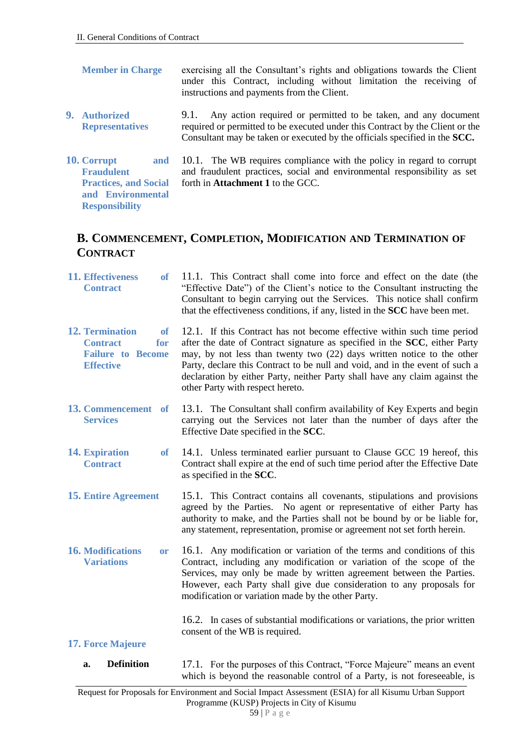**Responsibility**

- **Member in Charge** exercising all the Consultant's rights and obligations towards the Client under this Contract, including without limitation the receiving of instructions and payments from the Client.
- **9. Authorized Representatives** 9.1. Any action required or permitted to be taken, and any document required or permitted to be executed under this Contract by the Client or the Consultant may be taken or executed by the officials specified in the **SCC.**
- **10. Corrupt and Fraudulent Practices, and Social and Environmental**  10.1. The WB requires compliance with the policy in regard to corrupt and fraudulent practices, social and environmental responsibility as set forth in **Attachment 1** to the GCC.

### **B. COMMENCEMENT, COMPLETION, MODIFICATION AND TERMINATION OF CONTRACT**

**11. Effectiveness of Contract** 11.1. This Contract shall come into force and effect on the date (the "Effective Date") of the Client's notice to the Consultant instructing the Consultant to begin carrying out the Services. This notice shall confirm that the effectiveness conditions, if any, listed in the **SCC** have been met. **12. Termination of Contract for Failure to Become Effective** 12.1. If this Contract has not become effective within such time period after the date of Contract signature as specified in the **SCC**, either Party may, by not less than twenty two (22) days written notice to the other Party, declare this Contract to be null and void, and in the event of such a declaration by either Party, neither Party shall have any claim against the other Party with respect hereto. **13. Commencement of Services** 13.1. The Consultant shall confirm availability of Key Experts and begin carrying out the Services not later than the number of days after the Effective Date specified in the **SCC**. **14. Expiration of Contract** 14.1. Unless terminated earlier pursuant to Clause GCC 19 hereof, this Contract shall expire at the end of such time period after the Effective Date as specified in the **SCC**. **15. Entire Agreement** 15.1. This Contract contains all covenants, stipulations and provisions agreed by the Parties. No agent or representative of either Party has authority to make, and the Parties shall not be bound by or be liable for, any statement, representation, promise or agreement not set forth herein. **16. Modifications or Variations** 16.1. Any modification or variation of the terms and conditions of this Contract, including any modification or variation of the scope of the Services, may only be made by written agreement between the Parties. However, each Party shall give due consideration to any proposals for modification or variation made by the other Party. 16.2. In cases of substantial modifications or variations, the prior written consent of the WB is required. **17. Force Majeure a. Definition** 17.1. For the purposes of this Contract, "Force Majeure" means an event which is beyond the reasonable control of a Party, is not foreseeable, is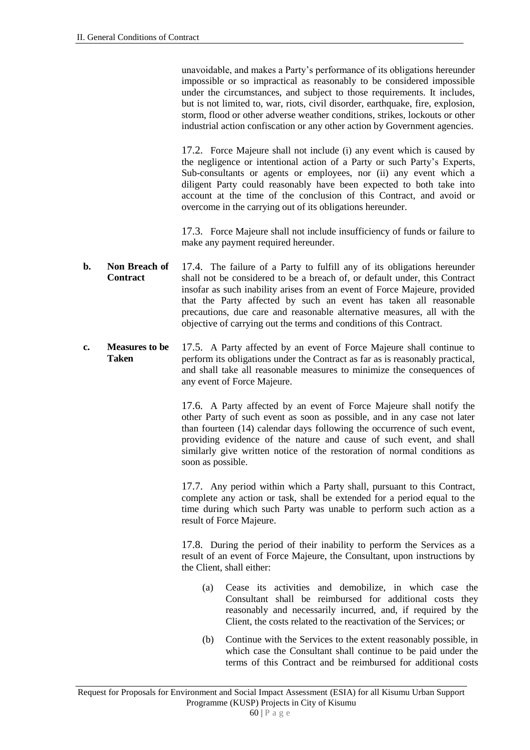unavoidable, and makes a Party's performance of its obligations hereunder impossible or so impractical as reasonably to be considered impossible under the circumstances, and subject to those requirements. It includes, but is not limited to, war, riots, civil disorder, earthquake, fire, explosion, storm, flood or other adverse weather conditions, strikes, lockouts or other industrial action confiscation or any other action by Government agencies.

17.2. Force Majeure shall not include (i) any event which is caused by the negligence or intentional action of a Party or such Party's Experts, Sub-consultants or agents or employees, nor (ii) any event which a diligent Party could reasonably have been expected to both take into account at the time of the conclusion of this Contract, and avoid or overcome in the carrying out of its obligations hereunder.

17.3. Force Majeure shall not include insufficiency of funds or failure to make any payment required hereunder.

- **b. Non Breach of Contract** 17.4. The failure of a Party to fulfill any of its obligations hereunder shall not be considered to be a breach of, or default under, this Contract insofar as such inability arises from an event of Force Majeure, provided that the Party affected by such an event has taken all reasonable precautions, due care and reasonable alternative measures, all with the objective of carrying out the terms and conditions of this Contract.
- **c. Measures to be Taken** 17.5. A Party affected by an event of Force Majeure shall continue to perform its obligations under the Contract as far as is reasonably practical, and shall take all reasonable measures to minimize the consequences of any event of Force Majeure.

17.6. A Party affected by an event of Force Majeure shall notify the other Party of such event as soon as possible, and in any case not later than fourteen (14) calendar days following the occurrence of such event, providing evidence of the nature and cause of such event, and shall similarly give written notice of the restoration of normal conditions as soon as possible.

17.7. Any period within which a Party shall, pursuant to this Contract, complete any action or task, shall be extended for a period equal to the time during which such Party was unable to perform such action as a result of Force Majeure.

17.8. During the period of their inability to perform the Services as a result of an event of Force Majeure, the Consultant, upon instructions by the Client, shall either:

- (a) Cease its activities and demobilize, in which case the Consultant shall be reimbursed for additional costs they reasonably and necessarily incurred, and, if required by the Client, the costs related to the reactivation of the Services; or
- (b) Continue with the Services to the extent reasonably possible, in which case the Consultant shall continue to be paid under the terms of this Contract and be reimbursed for additional costs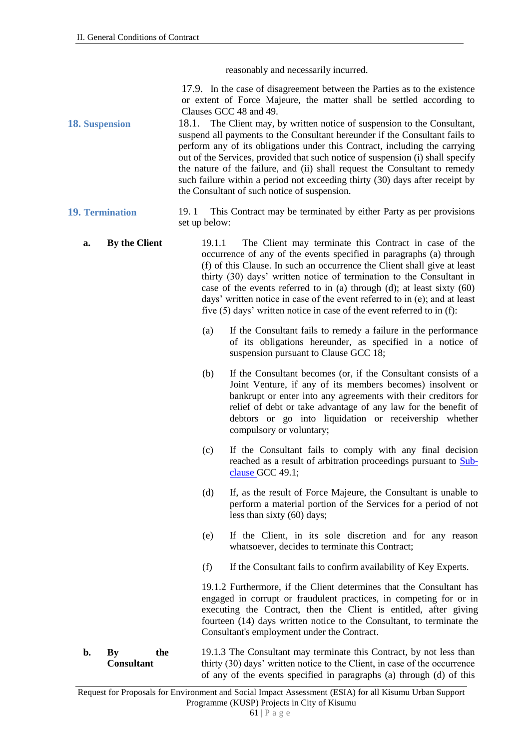reasonably and necessarily incurred.

17.9. In the case of disagreement between the Parties as to the existence or extent of Force Majeure, the matter shall be settled according to Clauses GCC 48 and 49.

**18. Suspension** 18.1. The Client may, by written notice of suspension to the Consultant, suspend all payments to the Consultant hereunder if the Consultant fails to perform any of its obligations under this Contract, including the carrying out of the Services, provided that such notice of suspension (i) shall specify the nature of the failure, and (ii) shall request the Consultant to remedy such failure within a period not exceeding thirty (30) days after receipt by the Consultant of such notice of suspension.

#### **19. Termination** 19. 1 This Contract may be terminated by either Party as per provisions set up below:

**a. By the Client** 19.1.1 The Client may terminate this Contract in case of the occurrence of any of the events specified in paragraphs (a) through (f) of this Clause. In such an occurrence the Client shall give at least thirty (30) days' written notice of termination to the Consultant in case of the events referred to in (a) through (d); at least sixty  $(60)$ days' written notice in case of the event referred to in (e); and at least five (5) days' written notice in case of the event referred to in (f):

- (a) If the Consultant fails to remedy a failure in the performance of its obligations hereunder, as specified in a notice of suspension pursuant to Clause GCC 18;
- (b) If the Consultant becomes (or, if the Consultant consists of a Joint Venture, if any of its members becomes) insolvent or bankrupt or enter into any agreements with their creditors for relief of debt or take advantage of any law for the benefit of debtors or go into liquidation or receivership whether compulsory or voluntary;
- (c) If the Consultant fails to comply with any final decision reached as a result of arbitration proceedings pursuant to Subclause GCC 49.1;
- (d) If, as the result of Force Majeure, the Consultant is unable to perform a material portion of the Services for a period of not less than sixty (60) days;
- (e) If the Client, in its sole discretion and for any reason whatsoever, decides to terminate this Contract;
- (f) If the Consultant fails to confirm availability of Key Experts.

19.1.2 Furthermore, if the Client determines that the Consultant has engaged in corrupt or fraudulent practices, in competing for or in executing the Contract, then the Client is entitled, after giving fourteen (14) days written notice to the Consultant, to terminate the Consultant's employment under the Contract.

**b. By the Consultant** 19.1.3 The Consultant may terminate this Contract, by not less than thirty (30) days' written notice to the Client, in case of the occurrence of any of the events specified in paragraphs (a) through (d) of this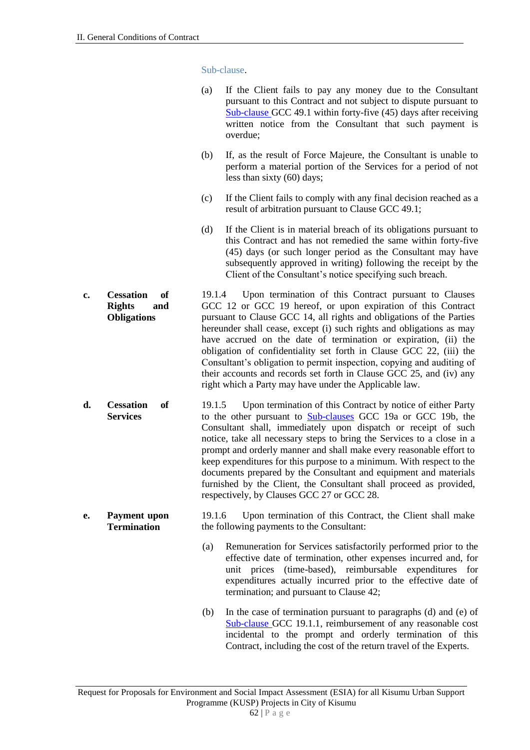Sub-clause.

|    |                                                                      | (a)    | If the Client fails to pay any money due to the Consultant<br>pursuant to this Contract and not subject to dispute pursuant to<br>$Sub$ -clause GCC 49.1 within forty-five (45) days after receiving<br>written notice from the Consultant that such payment is<br>overdue;                                                                                                                                                                                                                                                                                                                                               |
|----|----------------------------------------------------------------------|--------|---------------------------------------------------------------------------------------------------------------------------------------------------------------------------------------------------------------------------------------------------------------------------------------------------------------------------------------------------------------------------------------------------------------------------------------------------------------------------------------------------------------------------------------------------------------------------------------------------------------------------|
|    |                                                                      | (b)    | If, as the result of Force Majeure, the Consultant is unable to<br>perform a material portion of the Services for a period of not<br>less than sixty (60) days;                                                                                                                                                                                                                                                                                                                                                                                                                                                           |
|    |                                                                      | (c)    | If the Client fails to comply with any final decision reached as a<br>result of arbitration pursuant to Clause GCC 49.1;                                                                                                                                                                                                                                                                                                                                                                                                                                                                                                  |
|    |                                                                      | (d)    | If the Client is in material breach of its obligations pursuant to<br>this Contract and has not remedied the same within forty-five<br>(45) days (or such longer period as the Consultant may have<br>subsequently approved in writing) following the receipt by the<br>Client of the Consultant's notice specifying such breach.                                                                                                                                                                                                                                                                                         |
| c. | <b>Cessation</b><br>of<br><b>Rights</b><br>and<br><b>Obligations</b> | 19.1.4 | Upon termination of this Contract pursuant to Clauses<br>GCC 12 or GCC 19 hereof, or upon expiration of this Contract<br>pursuant to Clause GCC 14, all rights and obligations of the Parties<br>hereunder shall cease, except (i) such rights and obligations as may<br>have accrued on the date of termination or expiration, (ii) the<br>obligation of confidentiality set forth in Clause GCC 22, (iii) the<br>Consultant's obligation to permit inspection, copying and auditing of<br>their accounts and records set forth in Clause GCC 25, and (iv) any<br>right which a Party may have under the Applicable law. |
| d. | <b>Cessation</b><br>of<br><b>Services</b>                            | 19.1.5 | Upon termination of this Contract by notice of either Party<br>to the other pursuant to <b>Sub-clauses</b> GCC 19a or GCC 19b, the<br>Consultant shall, immediately upon dispatch or receipt of such<br>notice, take all necessary steps to bring the Services to a close in a<br>prompt and orderly manner and shall make every reasonable effort to<br>keep expenditures for this purpose to a minimum. With respect to the<br>documents prepared by the Consultant and equipment and materials<br>furnished by the Client, the Consultant shall proceed as provided,<br>respectively, by Clauses GCC 27 or GCC 28.     |
| e. | <b>Payment</b> upon<br><b>Termination</b>                            | 19.1.6 | Upon termination of this Contract, the Client shall make<br>the following payments to the Consultant:                                                                                                                                                                                                                                                                                                                                                                                                                                                                                                                     |
|    |                                                                      | (a)    | Remuneration for Services satisfactorily performed prior to the<br>effective date of termination, other expenses incurred and, for<br>unit prices (time-based), reimbursable expenditures for<br>expenditures actually incurred prior to the effective date of<br>termination; and pursuant to Clause 42;                                                                                                                                                                                                                                                                                                                 |
|    |                                                                      | (b)    | In the case of termination pursuant to paragraphs (d) and (e) of<br>Sub-clause GCC 19.1.1, reimbursement of any reasonable cost<br>incidental to the prompt and orderly termination of this<br>Contract, including the cost of the return travel of the Experts.                                                                                                                                                                                                                                                                                                                                                          |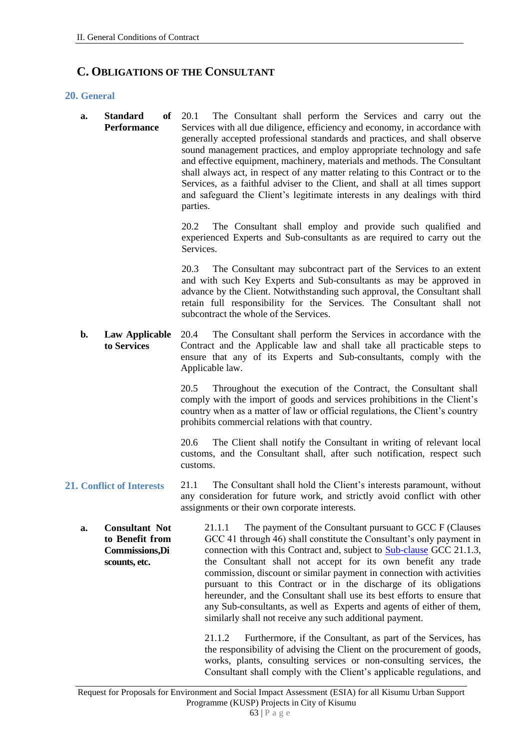### **C. OBLIGATIONS OF THE CONSULTANT**

#### **20. General**

**a. Standard of Performance** 20.1 The Consultant shall perform the Services and carry out the Services with all due diligence, efficiency and economy, in accordance with generally accepted professional standards and practices, and shall observe sound management practices, and employ appropriate technology and safe and effective equipment, machinery, materials and methods. The Consultant shall always act, in respect of any matter relating to this Contract or to the Services, as a faithful adviser to the Client, and shall at all times support and safeguard the Client's legitimate interests in any dealings with third parties.

> 20.2 The Consultant shall employ and provide such qualified and experienced Experts and Sub-consultants as are required to carry out the Services.

> 20.3 The Consultant may subcontract part of the Services to an extent and with such Key Experts and Sub-consultants as may be approved in advance by the Client. Notwithstanding such approval, the Consultant shall retain full responsibility for the Services. The Consultant shall not subcontract the whole of the Services.

**b. Law Applicable to Services** 20.4 The Consultant shall perform the Services in accordance with the Contract and the Applicable law and shall take all practicable steps to ensure that any of its Experts and Sub-consultants, comply with the Applicable law.

> 20.5 Throughout the execution of the Contract, the Consultant shall comply with the import of goods and services prohibitions in the Client's country when as a matter of law or official regulations, the Client's country prohibits commercial relations with that country.

> 20.6 The Client shall notify the Consultant in writing of relevant local customs, and the Consultant shall, after such notification, respect such customs.

- **21. Conflict of Interests** 21.1 The Consultant shall hold the Client's interests paramount, without any consideration for future work, and strictly avoid conflict with other assignments or their own corporate interests.
	- **a. Consultant Not to Benefit from Commissions,Di scounts, etc.** 21.1.1 The payment of the Consultant pursuant to GCC F (Clauses GCC 41 through 46) shall constitute the Consultant's only payment in connection with this Contract and, subject to **Sub-clause GCC 21.1.3**, the Consultant shall not accept for its own benefit any trade commission, discount or similar payment in connection with activities pursuant to this Contract or in the discharge of its obligations hereunder, and the Consultant shall use its best efforts to ensure that any Sub-consultants, as well as Experts and agents of either of them, similarly shall not receive any such additional payment.

21.1.2 Furthermore, if the Consultant, as part of the Services, has the responsibility of advising the Client on the procurement of goods, works, plants, consulting services or non-consulting services, the Consultant shall comply with the Client's applicable regulations, and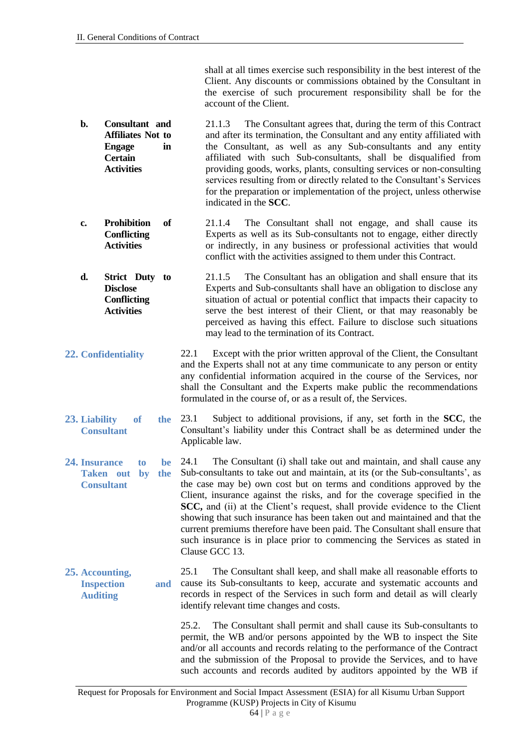shall at all times exercise such responsibility in the best interest of the Client. Any discounts or commissions obtained by the Consultant in the exercise of such procurement responsibility shall be for the account of the Client.

- **b. Consultant and Affiliates Not to Engage in Certain Activities** 21.1.3 The Consultant agrees that, during the term of this Contract and after its termination, the Consultant and any entity affiliated with the Consultant, as well as any Sub-consultants and any entity affiliated with such Sub-consultants, shall be disqualified from providing goods, works, plants, consulting services or non-consulting services resulting from or directly related to the Consultant's Services for the preparation or implementation of the project, unless otherwise indicated in the **SCC**.
- **c. Prohibition of Conflicting Activities** 21.1.4 The Consultant shall not engage, and shall cause its Experts as well as its Sub-consultants not to engage, either directly or indirectly, in any business or professional activities that would conflict with the activities assigned to them under this Contract.
- **d. Strict Duty to Disclose Conflicting Activities** 21.1.5 The Consultant has an obligation and shall ensure that its Experts and Sub-consultants shall have an obligation to disclose any situation of actual or potential conflict that impacts their capacity to serve the best interest of their Client, or that may reasonably be perceived as having this effect. Failure to disclose such situations may lead to the termination of its Contract.
- **22. Confidentiality** 22.1 Except with the prior written approval of the Client, the Consultant and the Experts shall not at any time communicate to any person or entity any confidential information acquired in the course of the Services, nor shall the Consultant and the Experts make public the recommendations formulated in the course of, or as a result of, the Services.
- **23. Liability of the Consultant** 23.1 Subject to additional provisions, if any, set forth in the **SCC**, the Consultant's liability under this Contract shall be as determined under the Applicable law.
- **24. Insurance to be Taken out by the Consultant** 24.1 The Consultant (i) shall take out and maintain, and shall cause any Sub-consultants to take out and maintain, at its (or the Sub-consultants', as the case may be) own cost but on terms and conditions approved by the Client, insurance against the risks, and for the coverage specified in the **SCC,** and (ii) at the Client's request, shall provide evidence to the Client showing that such insurance has been taken out and maintained and that the current premiums therefore have been paid. The Consultant shall ensure that such insurance is in place prior to commencing the Services as stated in Clause GCC 13.
- **25. Accounting, Inspection and Auditing** 25.1 The Consultant shall keep, and shall make all reasonable efforts to cause its Sub-consultants to keep, accurate and systematic accounts and records in respect of the Services in such form and detail as will clearly identify relevant time changes and costs.

25.2. The Consultant shall permit and shall cause its Sub-consultants to permit, the WB and/or persons appointed by the WB to inspect the Site and/or all accounts and records relating to the performance of the Contract and the submission of the Proposal to provide the Services, and to have such accounts and records audited by auditors appointed by the WB if

Request for Proposals for Environment and Social Impact Assessment (ESIA) for all Kisumu Urban Support Programme (KUSP) Projects in City of Kisumu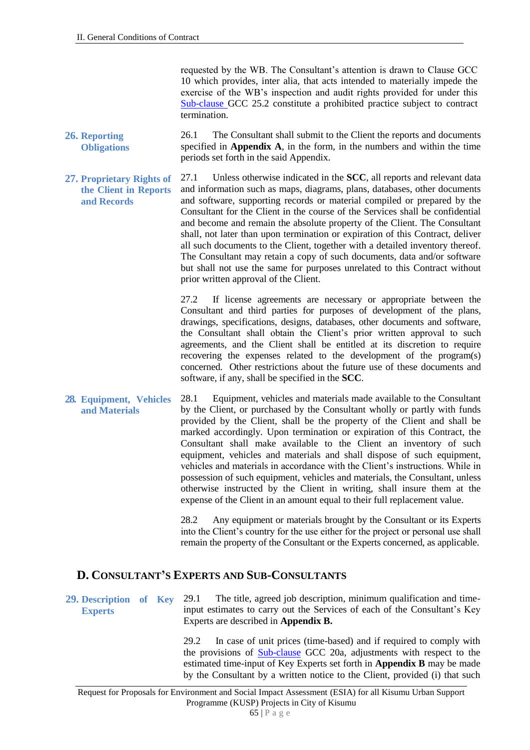requested by the WB. The Consultant's attention is drawn to Clause GCC 10 which provides, inter alia, that acts intended to materially impede the exercise of the WB's inspection and audit rights provided for under this Sub-clause GCC 25.2 constitute a prohibited practice subject to contract termination.

- **26. Reporting Obligations** 26.1 The Consultant shall submit to the Client the reports and documents specified in **Appendix A**, in the form, in the numbers and within the time periods set forth in the said Appendix.
- **27. Proprietary Rights of the Client in Reports and Records** 27.1 Unless otherwise indicated in the **SCC**, all reports and relevant data and information such as maps, diagrams, plans, databases, other documents and software, supporting records or material compiled or prepared by the Consultant for the Client in the course of the Services shall be confidential and become and remain the absolute property of the Client. The Consultant shall, not later than upon termination or expiration of this Contract, deliver all such documents to the Client, together with a detailed inventory thereof. The Consultant may retain a copy of such documents, data and/or software but shall not use the same for purposes unrelated to this Contract without prior written approval of the Client.

27.2 If license agreements are necessary or appropriate between the Consultant and third parties for purposes of development of the plans, drawings, specifications, designs, databases, other documents and software, the Consultant shall obtain the Client's prior written approval to such agreements, and the Client shall be entitled at its discretion to require recovering the expenses related to the development of the program(s) concerned. Other restrictions about the future use of these documents and software, if any, shall be specified in the **SCC**.

**28. Equipment, Vehicles and Materials** 28.1 Equipment, vehicles and materials made available to the Consultant by the Client, or purchased by the Consultant wholly or partly with funds provided by the Client, shall be the property of the Client and shall be marked accordingly. Upon termination or expiration of this Contract, the Consultant shall make available to the Client an inventory of such equipment, vehicles and materials and shall dispose of such equipment, vehicles and materials in accordance with the Client's instructions. While in possession of such equipment, vehicles and materials, the Consultant, unless otherwise instructed by the Client in writing, shall insure them at the expense of the Client in an amount equal to their full replacement value.

> 28.2 Any equipment or materials brought by the Consultant or its Experts into the Client's country for the use either for the project or personal use shall remain the property of the Consultant or the Experts concerned, as applicable.

#### **D. CONSULTANT'S EXPERTS AND SUB-CONSULTANTS**

**29. Description of Key Experts** 29.1 The title, agreed job description, minimum qualification and timeinput estimates to carry out the Services of each of the Consultant's Key Experts are described in **Appendix B.** 

> 29.2 In case of unit prices (time-based) and if required to comply with the provisions of **Sub-clause** GCC 20a, adjustments with respect to the estimated time-input of Key Experts set forth in **Appendix B** may be made by the Consultant by a written notice to the Client, provided (i) that such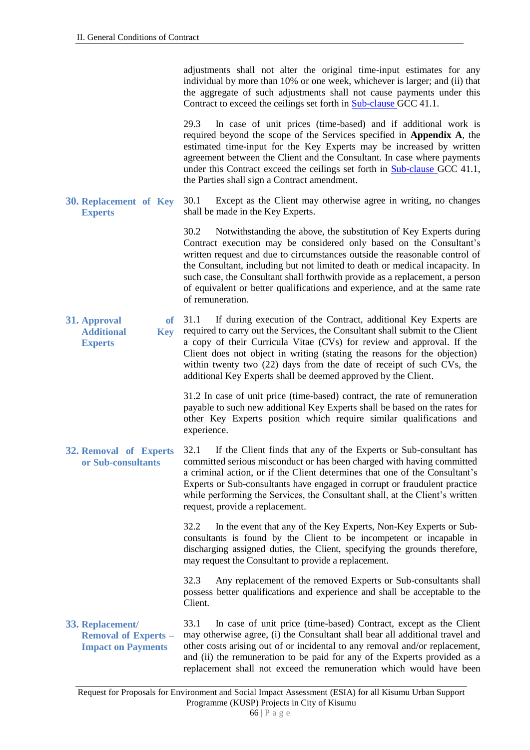adjustments shall not alter the original time-input estimates for any individual by more than 10% or one week, whichever is larger; and (ii) that the aggregate of such adjustments shall not cause payments under this Contract to exceed the ceilings set forth in Sub-clause GCC 41.1.

29.3 In case of unit prices (time-based) and if additional work is required beyond the scope of the Services specified in **Appendix A**, the estimated time-input for the Key Experts may be increased by written agreement between the Client and the Consultant. In case where payments under this Contract exceed the ceilings set forth in **Sub-clause GCC 41.1**, the Parties shall sign a Contract amendment.

**30. Replacement of Key Experts** 30.1 Except as the Client may otherwise agree in writing, no changes shall be made in the Key Experts.

> 30.2 Notwithstanding the above, the substitution of Key Experts during Contract execution may be considered only based on the Consultant's written request and due to circumstances outside the reasonable control of the Consultant, including but not limited to death or medical incapacity. In such case, the Consultant shall forthwith provide as a replacement, a person of equivalent or better qualifications and experience, and at the same rate of remuneration.

**31. Approval of Additional Key Experts** 31.1 If during execution of the Contract, additional Key Experts are required to carry out the Services, the Consultant shall submit to the Client a copy of their Curricula Vitae (CVs) for review and approval. If the Client does not object in writing (stating the reasons for the objection) within twenty two (22) days from the date of receipt of such CVs, the additional Key Experts shall be deemed approved by the Client.

> 31.2 In case of unit price (time-based) contract, the rate of remuneration payable to such new additional Key Experts shall be based on the rates for other Key Experts position which require similar qualifications and experience.

**32. Removal of Experts or Sub-consultants** 32.1 If the Client finds that any of the Experts or Sub-consultant has committed serious misconduct or has been charged with having committed a criminal action, or if the Client determines that one of the Consultant's Experts or Sub-consultants have engaged in corrupt or fraudulent practice while performing the Services, the Consultant shall, at the Client's written request, provide a replacement.

> 32.2 In the event that any of the Key Experts, Non-Key Experts or Subconsultants is found by the Client to be incompetent or incapable in discharging assigned duties, the Client, specifying the grounds therefore, may request the Consultant to provide a replacement.

> 32.3 Any replacement of the removed Experts or Sub-consultants shall possess better qualifications and experience and shall be acceptable to the Client.

**33. Replacement/ Removal of Experts – Impact on Payments** 33.1 In case of unit price (time-based) Contract, except as the Client may otherwise agree, (i) the Consultant shall bear all additional travel and other costs arising out of or incidental to any removal and/or replacement, and (ii) the remuneration to be paid for any of the Experts provided as a replacement shall not exceed the remuneration which would have been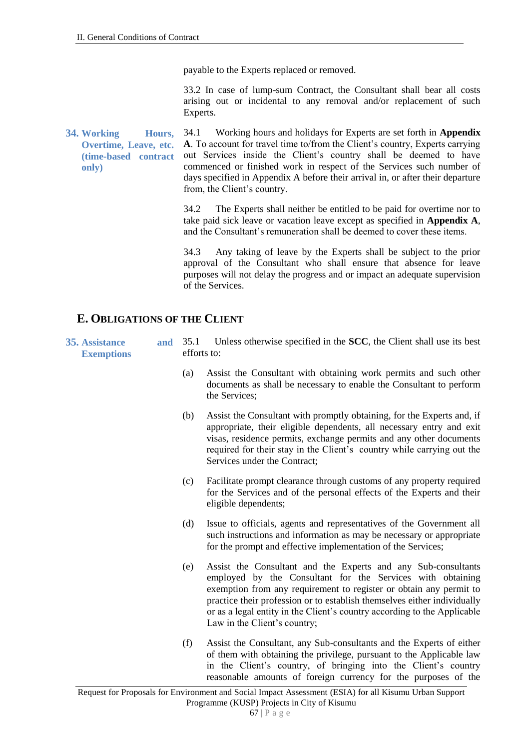payable to the Experts replaced or removed.

33.2 In case of lump-sum Contract, the Consultant shall bear all costs arising out or incidental to any removal and/or replacement of such Experts.

**34. Working Hours, Overtime, Leave, etc. (time-based contract only)** 34.1 Working hours and holidays for Experts are set forth in **Appendix A**. To account for travel time to/from the Client's country, Experts carrying out Services inside the Client's country shall be deemed to have commenced or finished work in respect of the Services such number of days specified in Appendix A before their arrival in, or after their departure from, the Client's country.

> 34.2 The Experts shall neither be entitled to be paid for overtime nor to take paid sick leave or vacation leave except as specified in **Appendix A**, and the Consultant's remuneration shall be deemed to cover these items.

> 34.3 Any taking of leave by the Experts shall be subject to the prior approval of the Consultant who shall ensure that absence for leave purposes will not delay the progress and or impact an adequate supervision of the Services.

#### **E. OBLIGATIONS OF THE CLIENT**

**35. Assistance and Exemptions**

- Unless otherwise specified in the **SCC**, the Client shall use its best efforts to:
	- (a) Assist the Consultant with obtaining work permits and such other documents as shall be necessary to enable the Consultant to perform the Services;
	- (b) Assist the Consultant with promptly obtaining, for the Experts and, if appropriate, their eligible dependents, all necessary entry and exit visas, residence permits, exchange permits and any other documents required for their stay in the Client's country while carrying out the Services under the Contract;
	- (c) Facilitate prompt clearance through customs of any property required for the Services and of the personal effects of the Experts and their eligible dependents;
	- (d) Issue to officials, agents and representatives of the Government all such instructions and information as may be necessary or appropriate for the prompt and effective implementation of the Services;
	- (e) Assist the Consultant and the Experts and any Sub-consultants employed by the Consultant for the Services with obtaining exemption from any requirement to register or obtain any permit to practice their profession or to establish themselves either individually or as a legal entity in the Client's country according to the Applicable Law in the Client's country;
	- (f) Assist the Consultant, any Sub-consultants and the Experts of either of them with obtaining the privilege, pursuant to the Applicable law in the Client's country, of bringing into the Client's country reasonable amounts of foreign currency for the purposes of the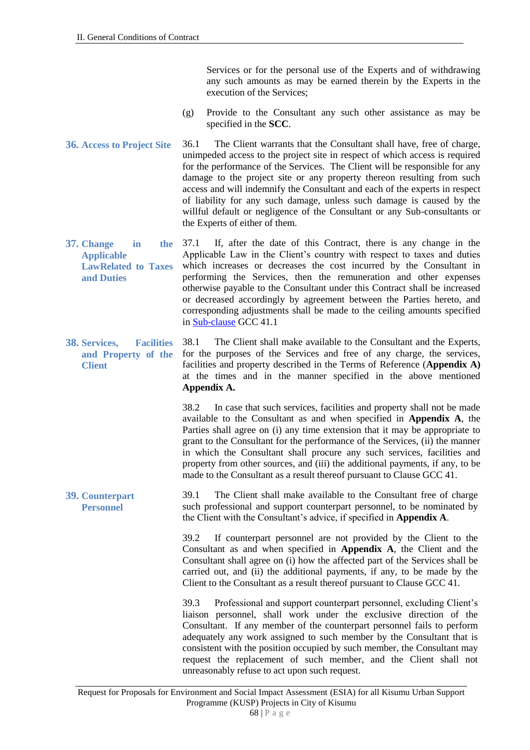Services or for the personal use of the Experts and of withdrawing any such amounts as may be earned therein by the Experts in the execution of the Services;

- (g) Provide to the Consultant any such other assistance as may be specified in the **SCC**.
- **36. Access to Project Site** 36.1 The Client warrants that the Consultant shall have, free of charge, unimpeded access to the project site in respect of which access is required for the performance of the Services. The Client will be responsible for any damage to the project site or any property thereon resulting from such access and will indemnify the Consultant and each of the experts in respect of liability for any such damage, unless such damage is caused by the willful default or negligence of the Consultant or any Sub-consultants or the Experts of either of them.
- **37. Change in the Applicable LawRelated to Taxes and Duties** 37.1 If, after the date of this Contract, there is any change in the Applicable Law in the Client's country with respect to taxes and duties which increases or decreases the cost incurred by the Consultant in performing the Services, then the remuneration and other expenses otherwise payable to the Consultant under this Contract shall be increased or decreased accordingly by agreement between the Parties hereto, and corresponding adjustments shall be made to the ceiling amounts specified in Sub-clause GCC 41.1
- **38. Services, Facilities and Property of the Client** 38.1 The Client shall make available to the Consultant and the Experts, for the purposes of the Services and free of any charge, the services, facilities and property described in the Terms of Reference (**Appendix A)** at the times and in the manner specified in the above mentioned **Appendix A.**

38.2 In case that such services, facilities and property shall not be made available to the Consultant as and when specified in **Appendix A**, the Parties shall agree on (i) any time extension that it may be appropriate to grant to the Consultant for the performance of the Services, (ii) the manner in which the Consultant shall procure any such services, facilities and property from other sources, and (iii) the additional payments, if any, to be made to the Consultant as a result thereof pursuant to Clause GCC 41.

**39. Counterpart Personnel** 39.1 The Client shall make available to the Consultant free of charge such professional and support counterpart personnel, to be nominated by the Client with the Consultant's advice, if specified in **Appendix A**.

> 39.2 If counterpart personnel are not provided by the Client to the Consultant as and when specified in **Appendix A**, the Client and the Consultant shall agree on (i) how the affected part of the Services shall be carried out, and (ii) the additional payments, if any, to be made by the Client to the Consultant as a result thereof pursuant to Clause GCC 41.

> 39.3 Professional and support counterpart personnel, excluding Client's liaison personnel, shall work under the exclusive direction of the Consultant. If any member of the counterpart personnel fails to perform adequately any work assigned to such member by the Consultant that is consistent with the position occupied by such member, the Consultant may request the replacement of such member, and the Client shall not unreasonably refuse to act upon such request.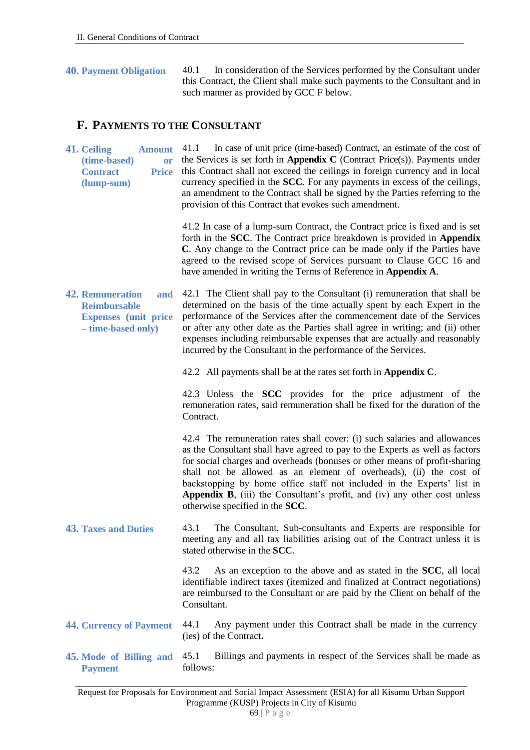**40. Payment Obligation** 40.1 In consideration of the Services performed by the Consultant under this Contract, the Client shall make such payments to the Consultant and in such manner as provided by GCC F below.

#### **F. PAYMENTS TO THE CONSULTANT**

**41. Ceiling Amount**  (time-based) **Contract (lump-sum)** In case of unit price (time-based) Contract, an estimate of the cost of the Services is set forth in **Appendix C** (Contract Price(s)). Payments under **Price** this Contract shall not exceed the ceilings in foreign currency and in local currency specified in the **SCC**. For any payments in excess of the ceilings, an amendment to the Contract shall be signed by the Parties referring to the provision of this Contract that evokes such amendment. 41.2 In case of a lump-sum Contract, the Contract price is fixed and is set forth in the **SCC**. The Contract price breakdown is provided in **Appendix C**. Any change to the Contract price can be made only if the Parties have agreed to the revised scope of Services pursuant to Clause GCC 16 and have amended in writing the Terms of Reference in **Appendix A**. **42. Remuneration and Reimbursable Expenses (unit price – time-based only)** 42.1 The Client shall pay to the Consultant (i) remuneration that shall be determined on the basis of the time actually spent by each Expert in the performance of the Services after the commencement date of the Services or after any other date as the Parties shall agree in writing; and (ii) other expenses including reimbursable expenses that are actually and reasonably incurred by the Consultant in the performance of the Services. 42.2 All payments shall be at the rates set forth in **Appendix C**. 42.3 Unless the **SCC** provides for the price adjustment of the remuneration rates, said remuneration shall be fixed for the duration of the **Contract** 42.4 The remuneration rates shall cover: (i) such salaries and allowances as the Consultant shall have agreed to pay to the Experts as well as factors for social charges and overheads (bonuses or other means of profit-sharing shall not be allowed as an element of overheads), (ii) the cost of backstopping by home office staff not included in the Experts' list in Appendix B, (iii) the Consultant's profit, and (iv) any other cost unless otherwise specified in the **SCC**. **43. Taxes and Duties** 43.1 The Consultant, Sub-consultants and Experts are responsible for meeting any and all tax liabilities arising out of the Contract unless it is stated otherwise in the **SCC**. 43.2 As an exception to the above and as stated in the **SCC**, all local identifiable indirect taxes (itemized and finalized at Contract negotiations) are reimbursed to the Consultant or are paid by the Client on behalf of the Consultant. **44. Currency of Payment** 44.1 Any payment under this Contract shall be made in the currency (ies) of the Contract**. 45. Mode of Billing and Payment** 45.1 Billings and payments in respect of the Services shall be made as follows: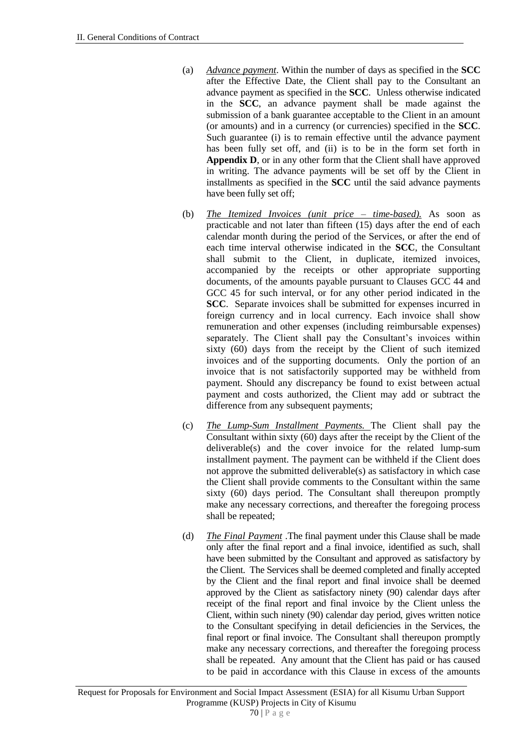- (a) *Advance payment*. Within the number of days as specified in the **SCC** after the Effective Date, the Client shall pay to the Consultant an advance payment as specified in the **SCC**. Unless otherwise indicated in the **SCC**, an advance payment shall be made against the submission of a bank guarantee acceptable to the Client in an amount (or amounts) and in a currency (or currencies) specified in the **SCC**. Such guarantee (i) is to remain effective until the advance payment has been fully set off, and (ii) is to be in the form set forth in **Appendix D**, or in any other form that the Client shall have approved in writing. The advance payments will be set off by the Client in installments as specified in the **SCC** until the said advance payments have been fully set off;
- (b) *The Itemized Invoices (unit price – time-based).* As soon as practicable and not later than fifteen (15) days after the end of each calendar month during the period of the Services, or after the end of each time interval otherwise indicated in the **SCC**, the Consultant shall submit to the Client, in duplicate, itemized invoices, accompanied by the receipts or other appropriate supporting documents, of the amounts payable pursuant to Clauses GCC 44 and GCC 45 for such interval, or for any other period indicated in the **SCC**. Separate invoices shall be submitted for expenses incurred in foreign currency and in local currency. Each invoice shall show remuneration and other expenses (including reimbursable expenses) separately. The Client shall pay the Consultant's invoices within sixty (60) days from the receipt by the Client of such itemized invoices and of the supporting documents. Only the portion of an invoice that is not satisfactorily supported may be withheld from payment. Should any discrepancy be found to exist between actual payment and costs authorized, the Client may add or subtract the difference from any subsequent payments;
- (c) *The Lump-Sum Installment Payments.* The Client shall pay the Consultant within sixty (60) days after the receipt by the Client of the deliverable(s) and the cover invoice for the related lump-sum installment payment. The payment can be withheld if the Client does not approve the submitted deliverable(s) as satisfactory in which case the Client shall provide comments to the Consultant within the same sixty (60) days period. The Consultant shall thereupon promptly make any necessary corrections, and thereafter the foregoing process shall be repeated;
- (d) *The Final Payment* .The final payment under this Clause shall be made only after the final report and a final invoice, identified as such, shall have been submitted by the Consultant and approved as satisfactory by the Client. The Services shall be deemed completed and finally accepted by the Client and the final report and final invoice shall be deemed approved by the Client as satisfactory ninety (90) calendar days after receipt of the final report and final invoice by the Client unless the Client, within such ninety (90) calendar day period, gives written notice to the Consultant specifying in detail deficiencies in the Services, the final report or final invoice. The Consultant shall thereupon promptly make any necessary corrections, and thereafter the foregoing process shall be repeated. Any amount that the Client has paid or has caused to be paid in accordance with this Clause in excess of the amounts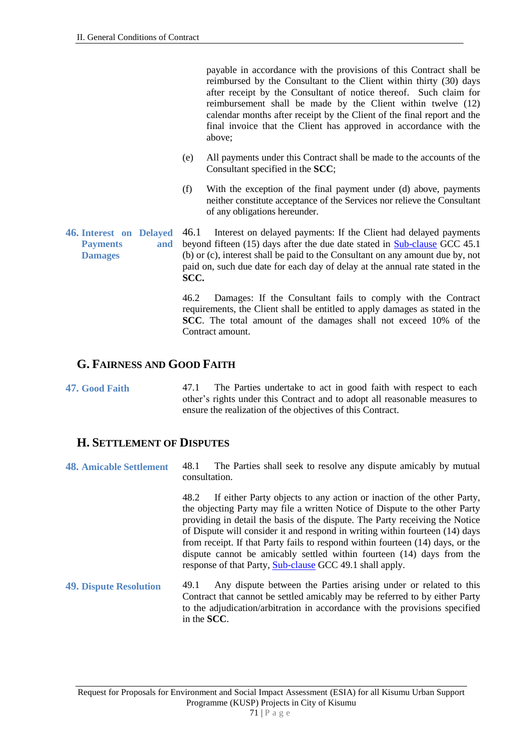payable in accordance with the provisions of this Contract shall be reimbursed by the Consultant to the Client within thirty (30) days after receipt by the Consultant of notice thereof. Such claim for reimbursement shall be made by the Client within twelve (12) calendar months after receipt by the Client of the final report and the final invoice that the Client has approved in accordance with the above;

- (e) All payments under this Contract shall be made to the accounts of the Consultant specified in the **SCC**;
- (f) With the exception of the final payment under (d) above, payments neither constitute acceptance of the Services nor relieve the Consultant of any obligations hereunder.
- **46. Interest on Delayed Payments and Damages** 46.1 Interest on delayed payments: If the Client had delayed payments beyond fifteen (15) days after the due date stated in Sub-clause GCC 45.1 (b) or (c), interest shall be paid to the Consultant on any amount due by, not paid on, such due date for each day of delay at the annual rate stated in the **SCC.**

46.2 Damages: If the Consultant fails to comply with the Contract requirements, the Client shall be entitled to apply damages as stated in the **SCC**. The total amount of the damages shall not exceed 10% of the Contract amount.

### **G. FAIRNESS AND GOOD FAITH**

**47. Good Faith** 47.1 The Parties undertake to act in good faith with respect to each other's rights under this Contract and to adopt all reasonable measures to ensure the realization of the objectives of this Contract.

### **H. SETTLEMENT OF DISPUTES**

**48. Amicable Settlement** 48.1 The Parties shall seek to resolve any dispute amicably by mutual consultation.

> 48.2 If either Party objects to any action or inaction of the other Party, the objecting Party may file a written Notice of Dispute to the other Party providing in detail the basis of the dispute. The Party receiving the Notice of Dispute will consider it and respond in writing within fourteen (14) days from receipt. If that Party fails to respond within fourteen (14) days, or the dispute cannot be amicably settled within fourteen (14) days from the response of that Party, Sub-clause GCC 49.1 shall apply.

**49. Dispute Resolution** 49.1 Any dispute between the Parties arising under or related to this Contract that cannot be settled amicably may be referred to by either Party to the adjudication/arbitration in accordance with the provisions specified in the **SCC**.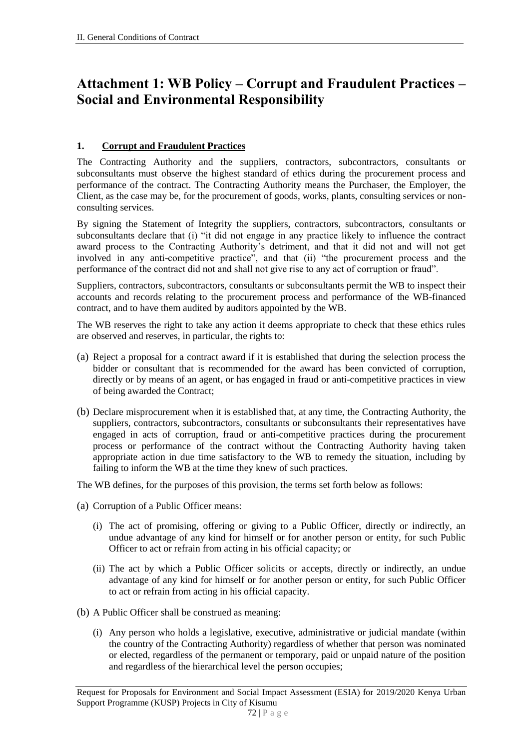## **Attachment 1: WB Policy – Corrupt and Fraudulent Practices – Social and Environmental Responsibility**

### **1. Corrupt and Fraudulent Practices**

The Contracting Authority and the suppliers, contractors, subcontractors, consultants or subconsultants must observe the highest standard of ethics during the procurement process and performance of the contract. The Contracting Authority means the Purchaser, the Employer, the Client, as the case may be, for the procurement of goods, works, plants, consulting services or nonconsulting services.

By signing the Statement of Integrity the suppliers, contractors, subcontractors, consultants or subconsultants declare that (i) "it did not engage in any practice likely to influence the contract award process to the Contracting Authority's detriment, and that it did not and will not get involved in any anti-competitive practice", and that (ii) "the procurement process and the performance of the contract did not and shall not give rise to any act of corruption or fraud".

Suppliers, contractors, subcontractors, consultants or subconsultants permit the WB to inspect their accounts and records relating to the procurement process and performance of the WB-financed contract, and to have them audited by auditors appointed by the WB.

The WB reserves the right to take any action it deems appropriate to check that these ethics rules are observed and reserves, in particular, the rights to:

- (a) Reject a proposal for a contract award if it is established that during the selection process the bidder or consultant that is recommended for the award has been convicted of corruption, directly or by means of an agent, or has engaged in fraud or anti-competitive practices in view of being awarded the Contract;
- (b) Declare misprocurement when it is established that, at any time, the Contracting Authority, the suppliers, contractors, subcontractors, consultants or subconsultants their representatives have engaged in acts of corruption, fraud or anti-competitive practices during the procurement process or performance of the contract without the Contracting Authority having taken appropriate action in due time satisfactory to the WB to remedy the situation, including by failing to inform the WB at the time they knew of such practices.

The WB defines, for the purposes of this provision, the terms set forth below as follows:

- (a) Corruption of a Public Officer means:
	- (i) The act of promising, offering or giving to a Public Officer, directly or indirectly, an undue advantage of any kind for himself or for another person or entity, for such Public Officer to act or refrain from acting in his official capacity; or
	- (ii) The act by which a Public Officer solicits or accepts, directly or indirectly, an undue advantage of any kind for himself or for another person or entity, for such Public Officer to act or refrain from acting in his official capacity.
- (b) A Public Officer shall be construed as meaning:
	- (i) Any person who holds a legislative, executive, administrative or judicial mandate (within the country of the Contracting Authority) regardless of whether that person was nominated or elected, regardless of the permanent or temporary, paid or unpaid nature of the position and regardless of the hierarchical level the person occupies;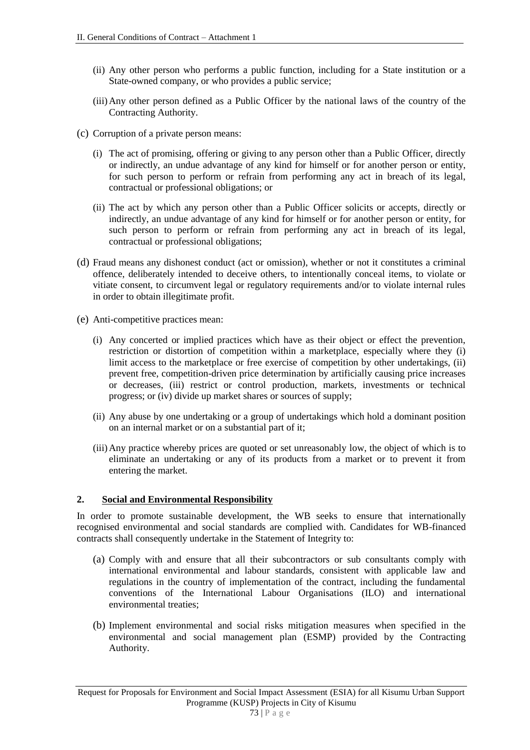- (ii) Any other person who performs a public function, including for a State institution or a State-owned company, or who provides a public service;
- (iii)Any other person defined as a Public Officer by the national laws of the country of the Contracting Authority.
- (c) Corruption of a private person means:
	- (i) The act of promising, offering or giving to any person other than a Public Officer, directly or indirectly, an undue advantage of any kind for himself or for another person or entity, for such person to perform or refrain from performing any act in breach of its legal, contractual or professional obligations; or
	- (ii) The act by which any person other than a Public Officer solicits or accepts, directly or indirectly, an undue advantage of any kind for himself or for another person or entity, for such person to perform or refrain from performing any act in breach of its legal, contractual or professional obligations;
- (d) Fraud means any dishonest conduct (act or omission), whether or not it constitutes a criminal offence, deliberately intended to deceive others, to intentionally conceal items, to violate or vitiate consent, to circumvent legal or regulatory requirements and/or to violate internal rules in order to obtain illegitimate profit.
- (e) Anti-competitive practices mean:
	- (i) Any concerted or implied practices which have as their object or effect the prevention, restriction or distortion of competition within a marketplace, especially where they (i) limit access to the marketplace or free exercise of competition by other undertakings, (ii) prevent free, competition-driven price determination by artificially causing price increases or decreases, (iii) restrict or control production, markets, investments or technical progress; or (iv) divide up market shares or sources of supply;
	- (ii) Any abuse by one undertaking or a group of undertakings which hold a dominant position on an internal market or on a substantial part of it;
	- (iii)Any practice whereby prices are quoted or set unreasonably low, the object of which is to eliminate an undertaking or any of its products from a market or to prevent it from entering the market.

#### **2. Social and Environmental Responsibility**

In order to promote sustainable development, the WB seeks to ensure that internationally recognised environmental and social standards are complied with. Candidates for WB-financed contracts shall consequently undertake in the Statement of Integrity to:

- (a) Comply with and ensure that all their subcontractors or sub consultants comply with international environmental and labour standards, consistent with applicable law and regulations in the country of implementation of the contract, including the fundamental conventions of the International Labour Organisations (ILO) and international environmental treaties;
- (b) Implement environmental and social risks mitigation measures when specified in the environmental and social management plan (ESMP) provided by the Contracting Authority.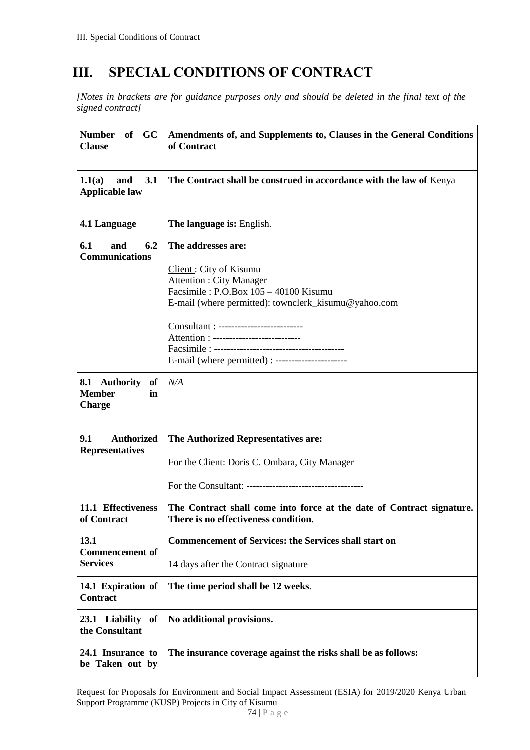# **III. SPECIAL CONDITIONS OF CONTRACT**

*[Notes in brackets are for guidance purposes only and should be deleted in the final text of the signed contract]*

| of GC<br><b>Number</b><br><b>Clause</b>                               | Amendments of, and Supplements to, Clauses in the General Conditions<br>of Contract                                                                                                                                                                                                                                       |  |  |  |  |
|-----------------------------------------------------------------------|---------------------------------------------------------------------------------------------------------------------------------------------------------------------------------------------------------------------------------------------------------------------------------------------------------------------------|--|--|--|--|
| 3.1<br>1.1(a)<br>and<br><b>Applicable law</b>                         | The Contract shall be construed in accordance with the law of Kenya                                                                                                                                                                                                                                                       |  |  |  |  |
| 4.1 Language                                                          | The language is: English.                                                                                                                                                                                                                                                                                                 |  |  |  |  |
| 6.2<br>6.1<br>and<br><b>Communications</b>                            | The addresses are:<br>Client: City of Kisumu<br><b>Attention: City Manager</b><br>Facsimile: P.O.Box 105 - 40100 Kisumu<br>E-mail (where permitted): townclerk_kisumu@yahoo.com<br>Consultant : --------------------------<br>Attention : ---------------------------<br>E-mail (where permitted) : --------------------- |  |  |  |  |
| <b>Authority</b><br>8.1<br>of<br><b>Member</b><br>in<br><b>Charge</b> | N/A                                                                                                                                                                                                                                                                                                                       |  |  |  |  |
| 9.1<br><b>Authorized</b><br><b>Representatives</b>                    | The Authorized Representatives are:<br>For the Client: Doris C. Ombara, City Manager                                                                                                                                                                                                                                      |  |  |  |  |
| 11.1 Effectiveness<br>of Contract                                     | The Contract shall come into force at the date of Contract signature.<br>There is no effectiveness condition.                                                                                                                                                                                                             |  |  |  |  |
| 13.1<br><b>Commencement of</b><br><b>Services</b>                     | <b>Commencement of Services: the Services shall start on</b><br>14 days after the Contract signature                                                                                                                                                                                                                      |  |  |  |  |
| 14.1 Expiration of<br><b>Contract</b>                                 | The time period shall be 12 weeks.                                                                                                                                                                                                                                                                                        |  |  |  |  |
| 23.1 Liability of<br>the Consultant                                   | No additional provisions.                                                                                                                                                                                                                                                                                                 |  |  |  |  |
| 24.1 Insurance to<br>be Taken out by                                  | The insurance coverage against the risks shall be as follows:                                                                                                                                                                                                                                                             |  |  |  |  |

Request for Proposals for Environment and Social Impact Assessment (ESIA) for 2019/2020 Kenya Urban Support Programme (KUSP) Projects in City of Kisumu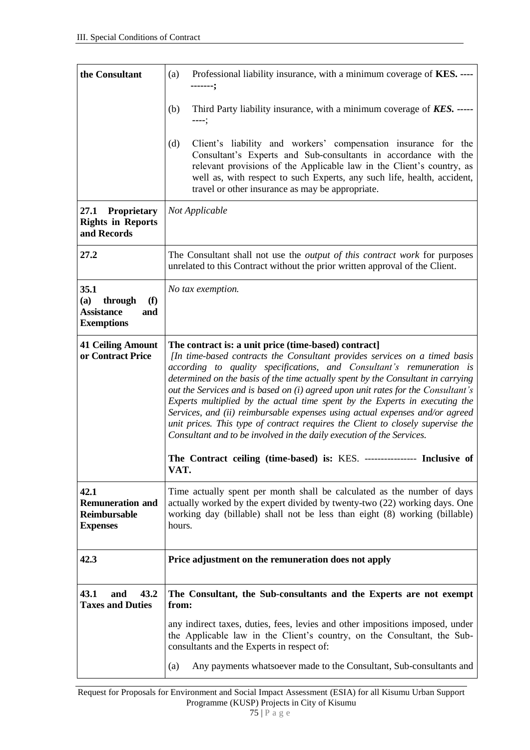| the Consultant                                                                 | (a)<br>Professional liability insurance, with a minimum coverage of KES. ----<br>-------:                                                                                                                                                                                                                                                                                                                                                                                                                                                                                                                                                                                                                                                                                                  |  |  |  |  |
|--------------------------------------------------------------------------------|--------------------------------------------------------------------------------------------------------------------------------------------------------------------------------------------------------------------------------------------------------------------------------------------------------------------------------------------------------------------------------------------------------------------------------------------------------------------------------------------------------------------------------------------------------------------------------------------------------------------------------------------------------------------------------------------------------------------------------------------------------------------------------------------|--|--|--|--|
|                                                                                | (b)<br>Third Party liability insurance, with a minimum coverage of <b>KES.</b> -----<br>----;                                                                                                                                                                                                                                                                                                                                                                                                                                                                                                                                                                                                                                                                                              |  |  |  |  |
|                                                                                | Client's liability and workers' compensation insurance for the<br>(d)<br>Consultant's Experts and Sub-consultants in accordance with the<br>relevant provisions of the Applicable law in the Client's country, as<br>well as, with respect to such Experts, any such life, health, accident,<br>travel or other insurance as may be appropriate.                                                                                                                                                                                                                                                                                                                                                                                                                                           |  |  |  |  |
| <b>Proprietary</b><br>27.1<br><b>Rights in Reports</b><br>and Records          | Not Applicable                                                                                                                                                                                                                                                                                                                                                                                                                                                                                                                                                                                                                                                                                                                                                                             |  |  |  |  |
| 27.2                                                                           | The Consultant shall not use the <i>output of this contract work</i> for purposes<br>unrelated to this Contract without the prior written approval of the Client.                                                                                                                                                                                                                                                                                                                                                                                                                                                                                                                                                                                                                          |  |  |  |  |
| 35.1<br>(a)<br>through<br>(f)<br><b>Assistance</b><br>and<br><b>Exemptions</b> | No tax exemption.                                                                                                                                                                                                                                                                                                                                                                                                                                                                                                                                                                                                                                                                                                                                                                          |  |  |  |  |
| <b>41 Ceiling Amount</b><br>or Contract Price                                  | The contract is: a unit price (time-based) contract]<br>[In time-based contracts the Consultant provides services on a timed basis<br>according to quality specifications, and Consultant's remuneration is<br>determined on the basis of the time actually spent by the Consultant in carrying<br>out the Services and is based on (i) agreed upon unit rates for the Consultant's<br>Experts multiplied by the actual time spent by the Experts in executing the<br>Services, and (ii) reimbursable expenses using actual expenses and/or agreed<br>unit prices. This type of contract requires the Client to closely supervise the<br>Consultant and to be involved in the daily execution of the Services.<br>The Contract ceiling (time-based) is: KES. ---------------- Inclusive of |  |  |  |  |
|                                                                                | VAT.                                                                                                                                                                                                                                                                                                                                                                                                                                                                                                                                                                                                                                                                                                                                                                                       |  |  |  |  |
| 42.1<br><b>Remuneration and</b><br><b>Reimbursable</b><br><b>Expenses</b>      | Time actually spent per month shall be calculated as the number of days<br>actually worked by the expert divided by twenty-two (22) working days. One<br>working day (billable) shall not be less than eight (8) working (billable)<br>hours.                                                                                                                                                                                                                                                                                                                                                                                                                                                                                                                                              |  |  |  |  |
| 42.3                                                                           | Price adjustment on the remuneration does not apply                                                                                                                                                                                                                                                                                                                                                                                                                                                                                                                                                                                                                                                                                                                                        |  |  |  |  |
| 43.1<br>43.2<br>and<br><b>Taxes and Duties</b>                                 | The Consultant, the Sub-consultants and the Experts are not exempt<br>from:                                                                                                                                                                                                                                                                                                                                                                                                                                                                                                                                                                                                                                                                                                                |  |  |  |  |
|                                                                                | any indirect taxes, duties, fees, levies and other impositions imposed, under<br>the Applicable law in the Client's country, on the Consultant, the Sub-<br>consultants and the Experts in respect of:                                                                                                                                                                                                                                                                                                                                                                                                                                                                                                                                                                                     |  |  |  |  |
|                                                                                | Any payments whatsoever made to the Consultant, Sub-consultants and<br>(a)                                                                                                                                                                                                                                                                                                                                                                                                                                                                                                                                                                                                                                                                                                                 |  |  |  |  |

Request for Proposals for Environment and Social Impact Assessment (ESIA) for all Kisumu Urban Support Programme (KUSP) Projects in City of Kisumu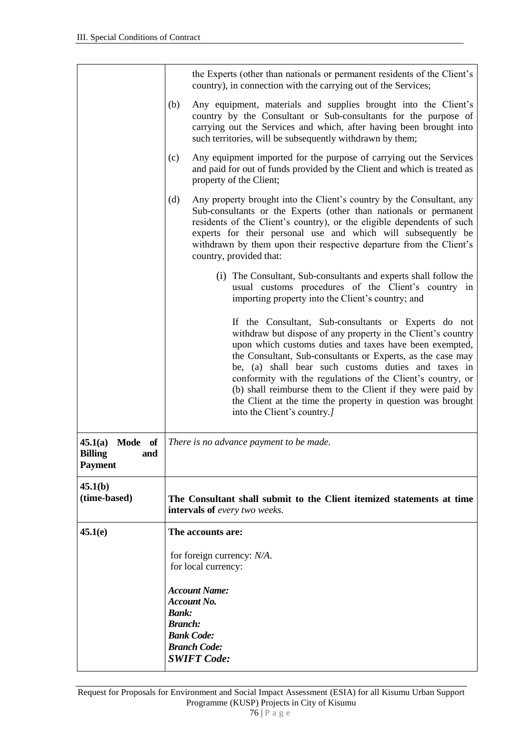|                                                               | the Experts (other than nationals or permanent residents of the Client's<br>country), in connection with the carrying out of the Services;                                                                                                                                                                                                                                                                                                                                                                                       |  |  |  |  |
|---------------------------------------------------------------|----------------------------------------------------------------------------------------------------------------------------------------------------------------------------------------------------------------------------------------------------------------------------------------------------------------------------------------------------------------------------------------------------------------------------------------------------------------------------------------------------------------------------------|--|--|--|--|
|                                                               | (b)<br>Any equipment, materials and supplies brought into the Client's<br>country by the Consultant or Sub-consultants for the purpose of<br>carrying out the Services and which, after having been brought into<br>such territories, will be subsequently withdrawn by them;                                                                                                                                                                                                                                                    |  |  |  |  |
|                                                               | Any equipment imported for the purpose of carrying out the Services<br>(c)<br>and paid for out of funds provided by the Client and which is treated as<br>property of the Client;                                                                                                                                                                                                                                                                                                                                                |  |  |  |  |
|                                                               | (d)<br>Any property brought into the Client's country by the Consultant, any<br>Sub-consultants or the Experts (other than nationals or permanent<br>residents of the Client's country), or the eligible dependents of such<br>experts for their personal use and which will subsequently be<br>withdrawn by them upon their respective departure from the Client's<br>country, provided that:                                                                                                                                   |  |  |  |  |
|                                                               | (i) The Consultant, Sub-consultants and experts shall follow the<br>usual customs procedures of the Client's country in<br>importing property into the Client's country; and                                                                                                                                                                                                                                                                                                                                                     |  |  |  |  |
|                                                               | If the Consultant, Sub-consultants or Experts do not<br>withdraw but dispose of any property in the Client's country<br>upon which customs duties and taxes have been exempted,<br>the Consultant, Sub-consultants or Experts, as the case may<br>be, (a) shall bear such customs duties and taxes in<br>conformity with the regulations of the Client's country, or<br>(b) shall reimburse them to the Client if they were paid by<br>the Client at the time the property in question was brought<br>into the Client's country. |  |  |  |  |
| 45.1(a)<br>Mode of<br><b>Billing</b><br>and<br><b>Payment</b> | There is no advance payment to be made.                                                                                                                                                                                                                                                                                                                                                                                                                                                                                          |  |  |  |  |
| 45.1(b)<br>(time-based)                                       | The Consultant shall submit to the Client itemized statements at time<br>intervals of every two weeks.                                                                                                                                                                                                                                                                                                                                                                                                                           |  |  |  |  |
| 45.1(e)                                                       | The accounts are:                                                                                                                                                                                                                                                                                                                                                                                                                                                                                                                |  |  |  |  |
|                                                               | for foreign currency: $N/A$ .<br>for local currency:<br><b>Account Name:</b><br><b>Account No.</b><br><b>Bank:</b><br><b>Branch:</b><br><b>Bank Code:</b>                                                                                                                                                                                                                                                                                                                                                                        |  |  |  |  |
|                                                               |                                                                                                                                                                                                                                                                                                                                                                                                                                                                                                                                  |  |  |  |  |
|                                                               |                                                                                                                                                                                                                                                                                                                                                                                                                                                                                                                                  |  |  |  |  |
|                                                               |                                                                                                                                                                                                                                                                                                                                                                                                                                                                                                                                  |  |  |  |  |
|                                                               | <b>Branch Code:</b>                                                                                                                                                                                                                                                                                                                                                                                                                                                                                                              |  |  |  |  |
|                                                               | <b>SWIFT Code:</b>                                                                                                                                                                                                                                                                                                                                                                                                                                                                                                               |  |  |  |  |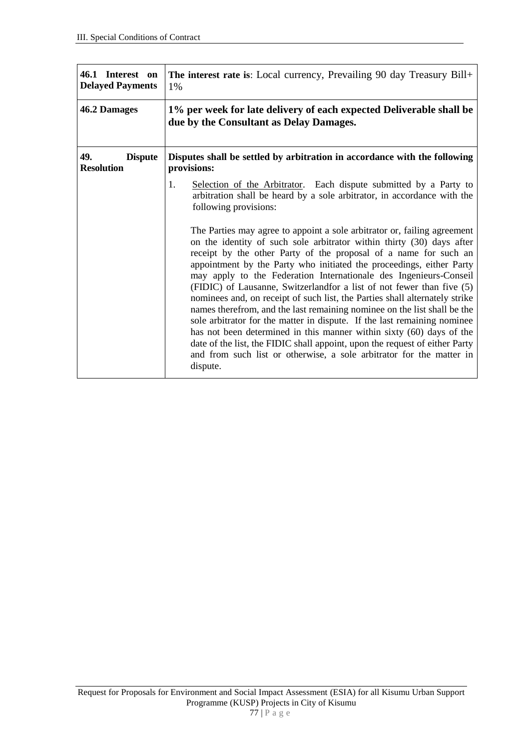| 46.1 Interest on<br><b>Delayed Payments</b> | The interest rate is: Local currency, Prevailing 90 day Treasury Bill+<br>1%                                                                                                                                                                                                                                                                                                                                                                                                                                                                                                                                                 |  |  |  |  |
|---------------------------------------------|------------------------------------------------------------------------------------------------------------------------------------------------------------------------------------------------------------------------------------------------------------------------------------------------------------------------------------------------------------------------------------------------------------------------------------------------------------------------------------------------------------------------------------------------------------------------------------------------------------------------------|--|--|--|--|
| 46.2 Damages                                | 1% per week for late delivery of each expected Deliverable shall be<br>due by the Consultant as Delay Damages.                                                                                                                                                                                                                                                                                                                                                                                                                                                                                                               |  |  |  |  |
| 49.<br><b>Dispute</b><br><b>Resolution</b>  | Disputes shall be settled by arbitration in accordance with the following<br>provisions:                                                                                                                                                                                                                                                                                                                                                                                                                                                                                                                                     |  |  |  |  |
|                                             | 1.<br>Selection of the Arbitrator. Each dispute submitted by a Party to<br>arbitration shall be heard by a sole arbitrator, in accordance with the<br>following provisions:<br>The Parties may agree to appoint a sole arbitrator or, failing agreement<br>on the identity of such sole arbitrator within thirty (30) days after<br>receipt by the other Party of the proposal of a name for such an<br>appointment by the Party who initiated the proceedings, either Party                                                                                                                                                 |  |  |  |  |
|                                             | may apply to the Federation Internationale des Ingenieurs-Conseil<br>(FIDIC) of Lausanne, Switzerlandfor a list of not fewer than five (5)<br>nominees and, on receipt of such list, the Parties shall alternately strike<br>names therefrom, and the last remaining nominee on the list shall be the<br>sole arbitrator for the matter in dispute. If the last remaining nominee<br>has not been determined in this manner within sixty (60) days of the<br>date of the list, the FIDIC shall appoint, upon the request of either Party<br>and from such list or otherwise, a sole arbitrator for the matter in<br>dispute. |  |  |  |  |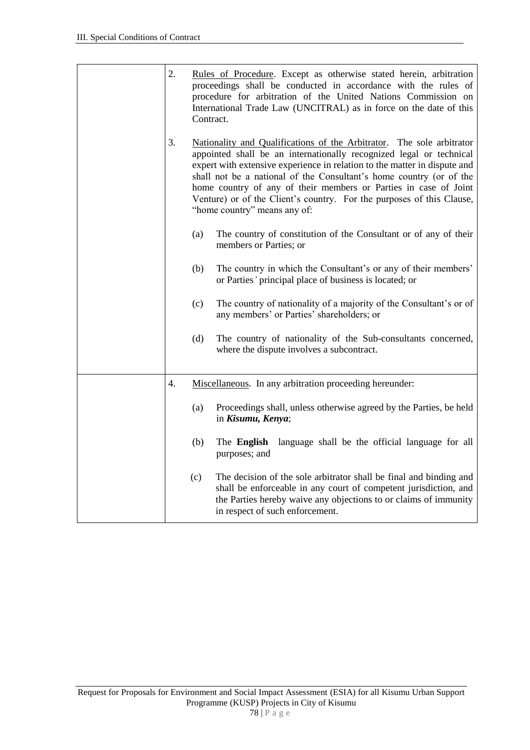| 2. | Contract.                                                                                                                                                                                                                                                                                                                                                                                                                                                                     | Rules of Procedure. Except as otherwise stated herein, arbitration<br>proceedings shall be conducted in accordance with the rules of<br>procedure for arbitration of the United Nations Commission on<br>International Trade Law (UNCITRAL) as in force on the date of this |  |  |
|----|-------------------------------------------------------------------------------------------------------------------------------------------------------------------------------------------------------------------------------------------------------------------------------------------------------------------------------------------------------------------------------------------------------------------------------------------------------------------------------|-----------------------------------------------------------------------------------------------------------------------------------------------------------------------------------------------------------------------------------------------------------------------------|--|--|
| 3. | Nationality and Qualifications of the Arbitrator. The sole arbitrator<br>appointed shall be an internationally recognized legal or technical<br>expert with extensive experience in relation to the matter in dispute and<br>shall not be a national of the Consultant's home country (or of the<br>home country of any of their members or Parties in case of Joint<br>Venture) or of the Client's country. For the purposes of this Clause,<br>"home country" means any of: |                                                                                                                                                                                                                                                                             |  |  |
|    | (a)                                                                                                                                                                                                                                                                                                                                                                                                                                                                           | The country of constitution of the Consultant or of any of their<br>members or Parties; or                                                                                                                                                                                  |  |  |
|    | (b)                                                                                                                                                                                                                                                                                                                                                                                                                                                                           | The country in which the Consultant's or any of their members'<br>or Parties' principal place of business is located; or                                                                                                                                                    |  |  |
|    | (c)                                                                                                                                                                                                                                                                                                                                                                                                                                                                           | The country of nationality of a majority of the Consultant's or of<br>any members' or Parties' shareholders; or                                                                                                                                                             |  |  |
|    | (d)                                                                                                                                                                                                                                                                                                                                                                                                                                                                           | The country of nationality of the Sub-consultants concerned,<br>where the dispute involves a subcontract.                                                                                                                                                                   |  |  |
| 4. |                                                                                                                                                                                                                                                                                                                                                                                                                                                                               | Miscellaneous. In any arbitration proceeding hereunder:                                                                                                                                                                                                                     |  |  |
|    | (a)                                                                                                                                                                                                                                                                                                                                                                                                                                                                           | Proceedings shall, unless otherwise agreed by the Parties, be held<br>in Kisumu, Kenya;                                                                                                                                                                                     |  |  |
|    | (b)                                                                                                                                                                                                                                                                                                                                                                                                                                                                           | The <b>English</b><br>language shall be the official language for all<br>purposes; and                                                                                                                                                                                      |  |  |
|    | (c)                                                                                                                                                                                                                                                                                                                                                                                                                                                                           | The decision of the sole arbitrator shall be final and binding and<br>shall be enforceable in any court of competent jurisdiction, and<br>the Parties hereby waive any objections to or claims of immunity<br>in respect of such enforcement.                               |  |  |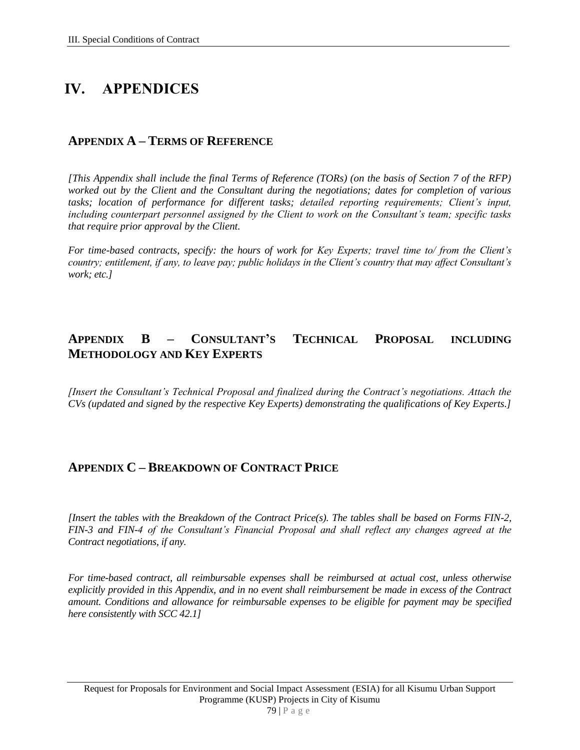# **IV. APPENDICES**

### **APPENDIX A – TERMS OF REFERENCE**

*[This Appendix shall include the final Terms of Reference (TORs) (on the basis of Section 7 of the RFP) worked out by the Client and the Consultant during the negotiations; dates for completion of various tasks; location of performance for different tasks; detailed reporting requirements; Client's input, including counterpart personnel assigned by the Client to work on the Consultant's team; specific tasks that require prior approval by the Client.* 

*For time-based contracts, specify: the hours of work for Key Experts; travel time to/ from the Client's country; entitlement, if any, to leave pay; public holidays in the Client's country that may affect Consultant's work; etc.]*

### **APPENDIX B – CONSULTANT'S TECHNICAL PROPOSAL INCLUDING METHODOLOGY AND KEY EXPERTS**

*[Insert the Consultant's Technical Proposal and finalized during the Contract's negotiations. Attach the CVs (updated and signed by the respective Key Experts) demonstrating the qualifications of Key Experts.]*

### **APPENDIX C – BREAKDOWN OF CONTRACT PRICE**

*[Insert the tables with the Breakdown of the Contract Price(s). The tables shall be based on Forms FIN-2, FIN-3 and FIN-4 of the Consultant's Financial Proposal and shall reflect any changes agreed at the Contract negotiations, if any.*

*For time-based contract, all reimbursable expenses shall be reimbursed at actual cost, unless otherwise explicitly provided in this Appendix, and in no event shall reimbursement be made in excess of the Contract amount. Conditions and allowance for reimbursable expenses to be eligible for payment may be specified here consistently with SCC 42.1]*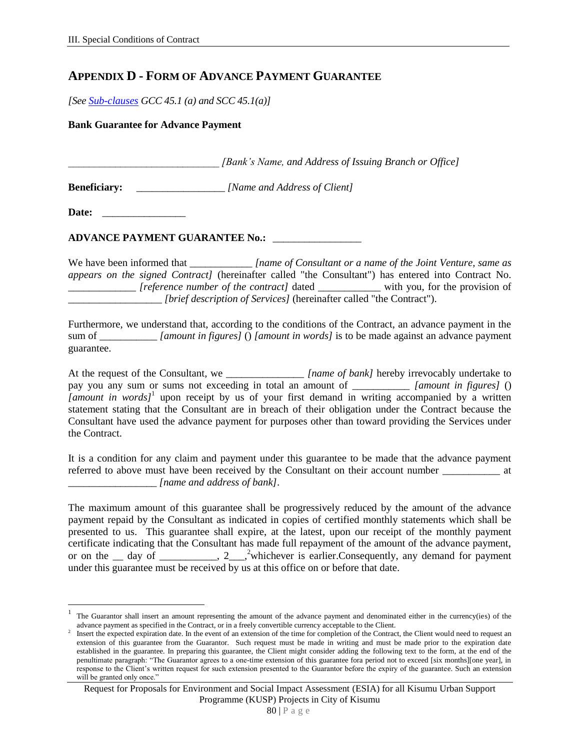### **APPENDIX D - FORM OF ADVANCE PAYMENT GUARANTEE**

*[See Sub-clauses GCC 45.1 (a) and SCC 45.1(a)]*

**Bank Guarantee for Advance Payment**

*[Bank's Name, and Address of Issuing Branch or Office]* 

**Beneficiary:** \_\_\_\_\_\_\_\_\_\_\_\_\_\_\_\_\_ *[Name and Address of Client]*

**Date:** \_\_\_\_\_\_\_\_\_\_\_\_\_\_\_\_

 $\overline{a}$ 

#### **ADVANCE PAYMENT GUARANTEE No.:** \_\_\_\_\_\_\_\_\_\_\_\_\_\_\_\_\_

We have been informed that *\_\_\_\_\_\_\_\_\_\_\_\_\_\_ [name of Consultant or a name of the Joint Venture, same as appears on the signed Contract]* (hereinafter called "the Consultant") has entered into Contract No. *reference number of the contract]* dated with you, for the provision of \_\_\_\_\_\_\_\_\_\_\_\_\_\_\_\_\_\_ *[brief description of Services]* (hereinafter called "the Contract").

Furthermore, we understand that, according to the conditions of the Contract, an advance payment in the sum of \_\_\_\_\_\_\_\_\_\_\_ *[amount in figures]* () *[amount in words]* is to be made against an advance payment guarantee.

At the request of the Consultant, we *\_\_\_\_\_\_\_\_\_\_\_\_\_\_\_\_\_\_\_\_ [name of bank]* hereby irrevocably undertake to pay you any sum or sums not exceeding in total an amount of \_\_\_\_\_\_\_\_\_\_\_ *[amount in figures]* () *[amount in words]*<sup>1</sup> upon receipt by us of your first demand in writing accompanied by a written statement stating that the Consultant are in breach of their obligation under the Contract because the Consultant have used the advance payment for purposes other than toward providing the Services under the Contract.

It is a condition for any claim and payment under this guarantee to be made that the advance payment referred to above must have been received by the Consultant on their account number at \_\_\_\_\_\_\_\_\_\_\_\_\_\_\_\_\_ *[name and address of bank]*.

The maximum amount of this guarantee shall be progressively reduced by the amount of the advance payment repaid by the Consultant as indicated in copies of certified monthly statements which shall be presented to us. This guarantee shall expire, at the latest, upon our receipt of the monthly payment certificate indicating that the Consultant has made full repayment of the amount of the advance payment, or on the \_\_ day of \_\_\_\_\_\_\_\_, 2\_\_,<sup>2</sup>whichever is earlier.Consequently, any demand for payment under this guarantee must be received by us at this office on or before that date.

<sup>1</sup> The Guarantor shall insert an amount representing the amount of the advance payment and denominated either in the currency(ies) of the advance payment as specified in the Contract, or in a freely convertible currency acceptable to the Client.  $\overline{2}$ 

Insert the expected expiration date. In the event of an extension of the time for completion of the Contract, the Client would need to request an extension of this guarantee from the Guarantor. Such request must be made in writing and must be made prior to the expiration date established in the guarantee. In preparing this guarantee, the Client might consider adding the following text to the form, at the end of the penultimate paragraph: "The Guarantor agrees to a one-time extension of this guarantee fora period not to exceed [six months][one year], in response to the Client's written request for such extension presented to the Guarantor before the expiry of the guarantee. Such an extension will be granted only once."

Request for Proposals for Environment and Social Impact Assessment (ESIA) for all Kisumu Urban Support Programme (KUSP) Projects in City of Kisumu